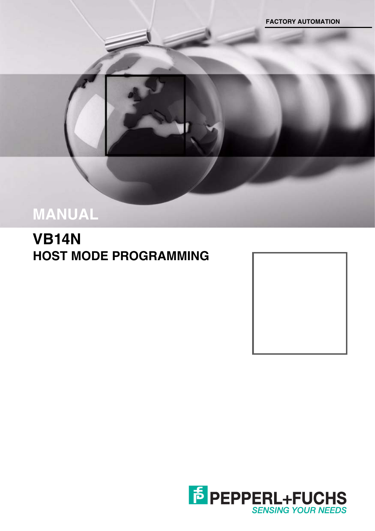# **MANUAL**

**VB14N HOST MODE PROGRAMMING**



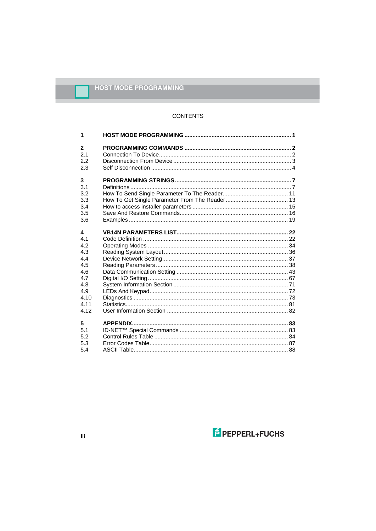### **CONTENTS**

| $\blacktriangleleft$ |  |
|----------------------|--|
| $\mathbf 2$          |  |
| 2.1                  |  |
| 2.2                  |  |
| 2.3                  |  |
| 3                    |  |
| 3.1                  |  |
| 3.2                  |  |
| 3.3                  |  |
| 3.4                  |  |
| 3.5                  |  |
| 3.6                  |  |
| 4                    |  |
| 41                   |  |
| 4.2                  |  |
| 4.3                  |  |
| 4.4                  |  |
| 4.5                  |  |
| 4.6                  |  |
| 4.7                  |  |
| 4.8                  |  |
| 4.9                  |  |
| 4.10                 |  |
| 4.11                 |  |
| 4.12                 |  |
| 5                    |  |
| 5.1                  |  |
| 5.2                  |  |
| 5.3                  |  |
| 5.4                  |  |

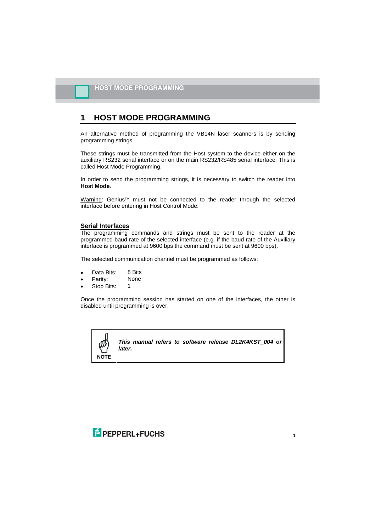# **1 HOST MODE PROGRAMMING**

An alternative method of programming the VB14N laser scanners is by sending programming strings.

These strings must be transmitted from the Host system to the device either on the auxiliary RS232 serial interface or on the main RS232/RS485 serial interface. This is called Host Mode Programming.

In order to send the programming strings, it is necessary to switch the reader into **Host Mode**.

Warning: Genius<sup>™</sup> must not be connected to the reader through the selected interface before entering in Host Control Mode.

#### **Serial Interfaces**

The programming commands and strings must be sent to the reader at the programmed baud rate of the selected interface (e.g. if the baud rate of the Auxiliary interface is programmed at 9600 bps the command must be sent at 9600 bps).

The selected communication channel must be programmed as follows:

- Data Bits: 8 Bits
- Parity: None
- Stop Bits: 1

Once the programming session has started on one of the interfaces, the other is disabled until programming is over.



*This manual refers to software release DL2K4KST\_004 or later.* 

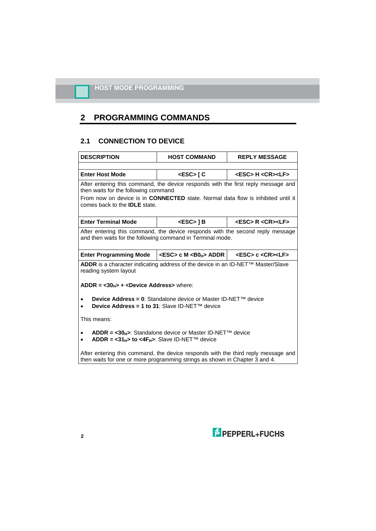## **2 PROGRAMMING COMMANDS**

### **2.1 CONNECTION TO DEVICE**

| <b>DESCRIPTION</b>                                                                                                                                                                                                                                     | <b>HOST COMMAND</b> | <b>REPLY MESSAGE</b>           |  |  |
|--------------------------------------------------------------------------------------------------------------------------------------------------------------------------------------------------------------------------------------------------------|---------------------|--------------------------------|--|--|
|                                                                                                                                                                                                                                                        |                     |                                |  |  |
| <b>Enter Host Mode</b>                                                                                                                                                                                                                                 | <esc> [ C</esc>     | <esc>H<cr><lf></lf></cr></esc> |  |  |
| After entering this command, the device responds with the first reply message and<br>then waits for the following command.<br>From now on device is in CONNECTED state. Normal data flow is inhibited until it<br>comes back to the <b>IDLE</b> state. |                     |                                |  |  |
| <b>Enter Terminal Mode</b>                                                                                                                                                                                                                             | $<$ ESC> 1 B        | $<$ ESC> R $<$ CR> $<$ LF>     |  |  |
| After entering this command, the device responds with the second reply message<br>and then waits for the following command in Terminal mode.                                                                                                           |                     |                                |  |  |
| $<$ ESC> c M $<$ B0 $_{H}$ > ADDR<br><esc> c <cr><lf><br/><b>Enter Programming Mode</b></lf></cr></esc>                                                                                                                                                |                     |                                |  |  |
| ADDR is a character indicating address of the device in an ID-NET™ Master/Slave<br>reading system layout<br>$ADDR = <30_{H} > + <$ Device Address> where:                                                                                              |                     |                                |  |  |
| <b>Device Address = 0:</b> Standalone device or Master ID-NET™ device<br><b>Device Address = 1 to 31:</b> Slave ID-NET™ device                                                                                                                         |                     |                                |  |  |
| This means:                                                                                                                                                                                                                                            |                     |                                |  |  |
| ADDR = $<$ 30 <sub>H</sub> >: Standalone device or Master ID-NET <sup>TM</sup> device<br>ADDR = $<$ 31H> to $<$ 4FH>: Slave ID-NET <sup>TM</sup> device<br>$\bullet$                                                                                   |                     |                                |  |  |
| After entering this command, the device responds with the third reply message and<br>then waits for one or more programming strings as shown in Chapter 3 and 4.                                                                                       |                     |                                |  |  |

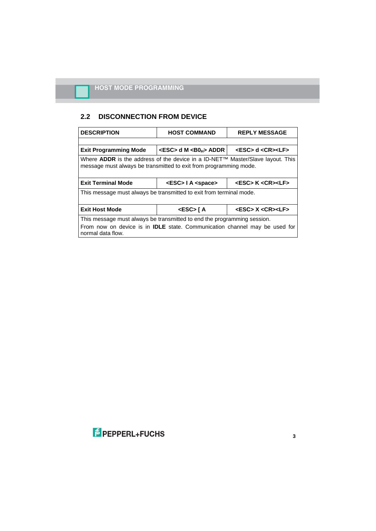### **2.2 DISCONNECTION FROM DEVICE**

| <b>DESCRIPTION</b>                                                                                                                                                     | <b>HOST COMMAND</b>                            | <b>REPLY MESSAGE</b>             |  |  |  |  |
|------------------------------------------------------------------------------------------------------------------------------------------------------------------------|------------------------------------------------|----------------------------------|--|--|--|--|
|                                                                                                                                                                        |                                                |                                  |  |  |  |  |
| <b>Exit Programming Mode</b>                                                                                                                                           | $\epsilon$ ESC> d M $\epsilon$ B0 $\mu$ > ADDR | <esc> d <cr><lf></lf></cr></esc> |  |  |  |  |
| Where <b>ADDR</b> is the address of the device in a ID-NET <sup>™</sup> Master/Slave layout. This<br>message must always be transmitted to exit from programming mode. |                                                |                                  |  |  |  |  |
| <b>Exit Terminal Mode</b><br><esc> K <cr><lf><br/><math>&lt;</math>ESC&gt; I A <math>&lt;</math>space&gt;</lf></cr></esc>                                              |                                                |                                  |  |  |  |  |
| This message must always be transmitted to exit from terminal mode.                                                                                                    |                                                |                                  |  |  |  |  |
| <b>Exit Host Mode</b>                                                                                                                                                  | <esc> X <cr><lf></lf></cr></esc>               |                                  |  |  |  |  |
| This message must always be transmitted to end the programming session.                                                                                                |                                                |                                  |  |  |  |  |
| From now on device is in <b>IDLE</b> state. Communication channel may be used for<br>normal data flow.                                                                 |                                                |                                  |  |  |  |  |

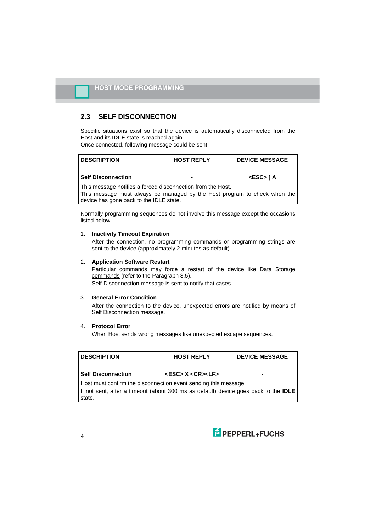### **2.3 SELF DISCONNECTION**

Specific situations exist so that the device is automatically disconnected from the Host and its **IDLE** state is reached again.

Once connected, following message could be sent:

| <b>DESCRIPTION</b>                                                    | <b>HOST REPLY</b> | <b>DEVICE MESSAGE</b> |  |  |  |
|-----------------------------------------------------------------------|-------------------|-----------------------|--|--|--|
|                                                                       |                   |                       |  |  |  |
| l Self Disconnection<br><esc> [ A<br/><math>\blacksquare</math></esc> |                   |                       |  |  |  |
| This message notifies a forced disconnection from the Host.           |                   |                       |  |  |  |

This message must always be managed by the Host program to check when the

device has gone back to the IDLE state.

Normally programming sequences do not involve this message except the occasions listed below:

#### 1. **Inactivity Timeout Expiration**

After the connection, no programming commands or programming strings are sent to the device (approximately 2 minutes as default).

#### 2. **Application Software Restart**

Particular commands may force a restart of the device like Data Storage commands (refer to the Paragraph 3.5). Self-Disconnection message is sent to notify that cases.

#### 3. **General Error Condition**

After the connection to the device, unexpected errors are notified by means of Self Disconnection message.

#### 4. **Protocol Error**

When Host sends wrong messages like unexpected escape sequences.

| <b>DESCRIPTION</b>                                                                                                                                                      | <b>HOST REPLY</b>                | <b>DEVICE MESSAGE</b> |  |  |
|-------------------------------------------------------------------------------------------------------------------------------------------------------------------------|----------------------------------|-----------------------|--|--|
|                                                                                                                                                                         |                                  |                       |  |  |
| <b>Self Disconnection</b>                                                                                                                                               | <esc> X <cr><lf></lf></cr></esc> | -                     |  |  |
| Host must confirm the disconnection event sending this message.<br>If not sent, after a timeout (about 300 ms as default) device goes back to the <b>IDLE</b><br>state. |                                  |                       |  |  |

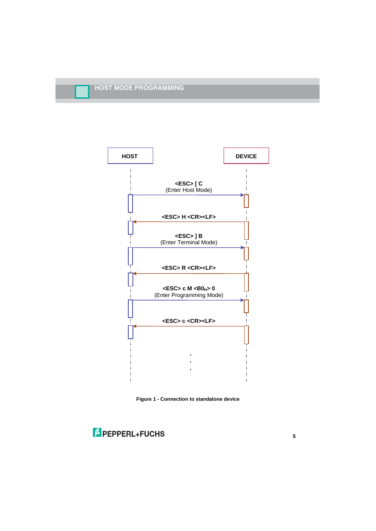

**Figure 1 - Connection to standalone device**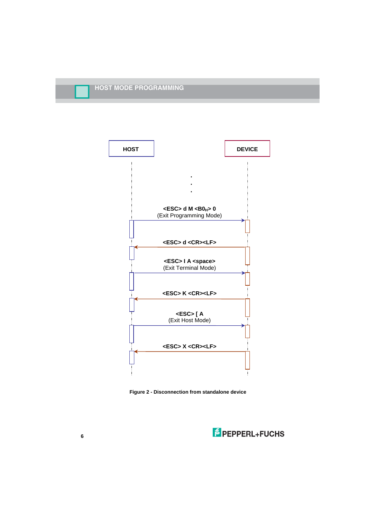

**Figure 2 - Disconnection from standalone device** 

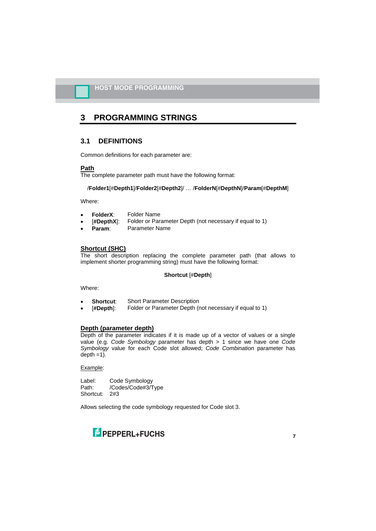# **3 PROGRAMMING STRINGS**

### **3.1 DEFINITIONS**

Common definitions for each parameter are:

#### **Path**

The complete parameter path must have the following format:

#### /**Folder1**[#**Depth1**]/**Folder2**[#**Depth2**]/ … /**FolderN**[#**DepthN**]/**Param**[#**DepthM**]

Where:

- **FolderX**: Folder Name
- [**#DepthX**]: Folder or Parameter Depth (not necessary if equal to 1)
- **Param**: Parameter Name

#### **Shortcut (SHC)**

The short description replacing the complete parameter path (that allows to implement shorter programming string) must have the following format:

#### **Shortcut** [#**Depth**]

Where:

- **Shortcut**: Short Parameter Description
- [#Depth]: Folder or Parameter Depth (not necessary if equal to 1)

#### **Depth (parameter depth)**

Depth of the parameter indicates if it is made up of a vector of values or a single value (e.g. *Code Symbology* parameter has depth > 1 since we have one *Code Symbology* value for each Code slot allowed; *Code Combination* parameter has  $depth = 1$ ).

Example:

Label: Code Symbology Path: /Codes/Code#3/Type Shortcut: 2#3

Allows selecting the code symbology requested for Code slot 3.

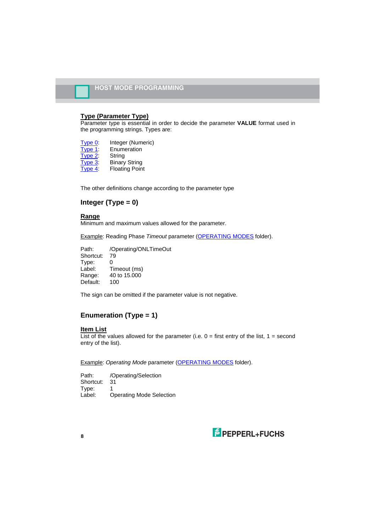#### **Type (Parameter Type)**

Parameter type is essential in order to decide the parameter **VALUE** format used in the programming strings. Types are:

- Type 0: Integer (Numeric)
- Type 1: Enumeration
- Type 2: String
- Type 3: Binary String
- Type 4: Floating Point

The other definitions change according to the parameter type

### **Integer (Type = 0)**

#### **Range**

Minimum and maximum values allowed for the parameter.

Example: Reading Phase *Timeout* parameter (OPERATING MODES folder).

| /Operating/ONLTimeOut |
|-----------------------|
| 79                    |
| O                     |
| Timeout (ms)          |
| 40 to 15.000          |
| 100                   |
|                       |

The sign can be omitted if the parameter value is not negative.

### **Enumeration (Type = 1)**

#### **Item List**

List of the values allowed for the parameter (i.e.  $0 =$  first entry of the list,  $1 =$  second entry of the list).

Example: *Operating Mode* parameter (OPERATING MODES folder).

Path: /Operating/Selection Shortcut: 31 Type: 1 Label: Operating Mode Selection

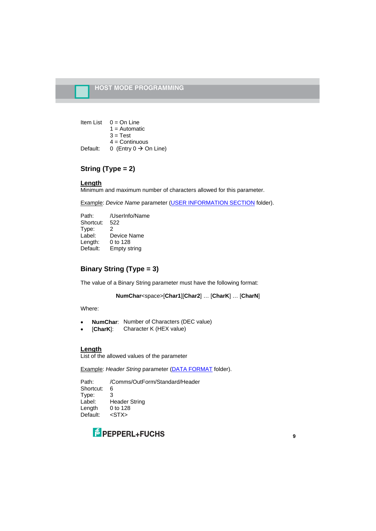Item List  $0 = On$  Line  $1 =$  Automatic  $3 = Test$  $4 =$  Continuous Default:  $0$  (Entry  $0 \rightarrow$  On Line)

### **String (Type = 2)**

#### **Length**

Minimum and maximum number of characters allowed for this parameter.

Example: *Device Name* parameter (USER INFORMATION SECTION folder).

| Path:     | /UserInfo/Name      |
|-----------|---------------------|
| Shortcut: | 522                 |
| Type:     | 2                   |
| Label:    | Device Name         |
| Length:   | 0 to 128            |
| Default:  | <b>Empty string</b> |

### **Binary String (Type = 3)**

The value of a Binary String parameter must have the following format:

```
NumChar<space>[Char1][Char2] … [CharK] … [CharN]
```
Where:

- **NumChar**: Number of Characters (DEC value)
- [**CharK**]: Character K (HEX value)

#### **Length**

List of the allowed values of the parameter

Example: *Header String* parameter (DATA FORMAT folder).

| Path:     | /Comms/OutForm/Standard/Header |
|-----------|--------------------------------|
| Shortcut: | 6                              |
| Type:     | 3                              |
| Label:    | <b>Header String</b>           |
| Length    | 0 to 128                       |
| Default:  | $<$ STX $>$                    |

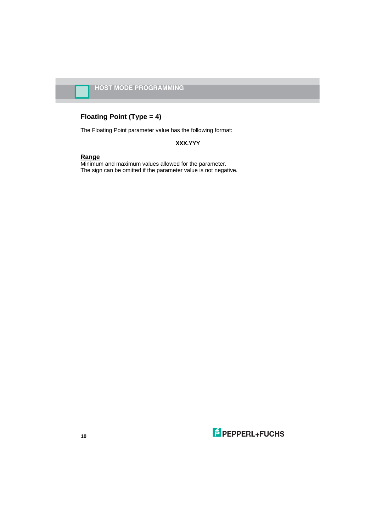### **Floating Point (Type = 4)**

The Floating Point parameter value has the following format:

#### **XXX.YYY**

#### **Range**

Minimum and maximum values allowed for the parameter. The sign can be omitted if the parameter value is not negative.

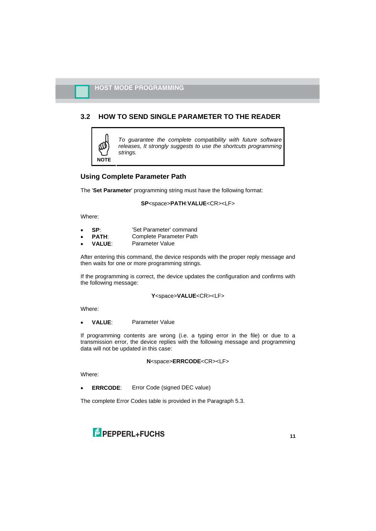### **3.2 HOW TO SEND SINGLE PARAMETER TO THE READER**



*To guarantee the complete compatibility with future software releases, It strongly suggests to use the shortcuts programming strings.* 

### **Using Complete Parameter Path**

The '**Set Parameter**' programming string must have the following format:

#### **SP**<space>**PATH**:**VALUE**<CR><LF>

Where:

- **SP**: 'Set Parameter' command
- **PATH**: Complete Parameter Path
- **VALUE**: Parameter Value

After entering this command, the device responds with the proper reply message and then waits for one or more programming strings.

If the programming is correct, the device updates the configuration and confirms with the following message:

#### **Y**<space>**VALUE**<CR><LF>

Where:

**VALUE**: Parameter Value

If programming contents are wrong (i.e. a typing error in the file) or due to a transmission error, the device replies with the following message and programming data will not be updated in this case:

#### **N**<space>**ERRCODE**<CR><LF>

Where:

**ERRCODE**: Error Code (signed DEC value)

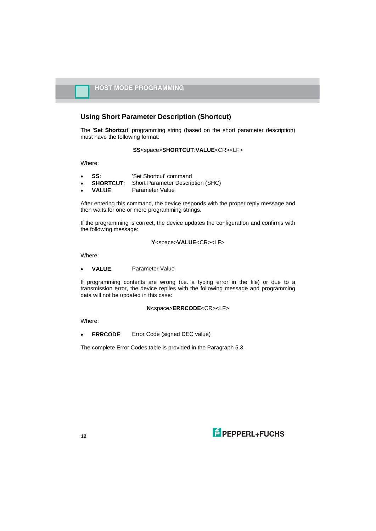### **Using Short Parameter Description (Shortcut)**

The '**Set Shortcut**' programming string (based on the short parameter description) must have the following format:

**SS**<space>**SHORTCUT**:**VALUE**<CR><LF>

Where:

- **SS**: 'Set Shortcut' command
- **SHORTCUT**: Short Parameter Description (SHC)
- **VALUE**: Parameter Value

After entering this command, the device responds with the proper reply message and then waits for one or more programming strings.

If the programming is correct, the device updates the configuration and confirms with the following message:

#### **Y**<space>**VALUE**<CR><LF>

Where:

**VALUE**: Parameter Value

If programming contents are wrong (i.e. a typing error in the file) or due to a transmission error, the device replies with the following message and programming data will not be updated in this case:

#### **N**<space>**ERRCODE**<CR><LF>

Where:

**ERRCODE**: Error Code (signed DEC value)

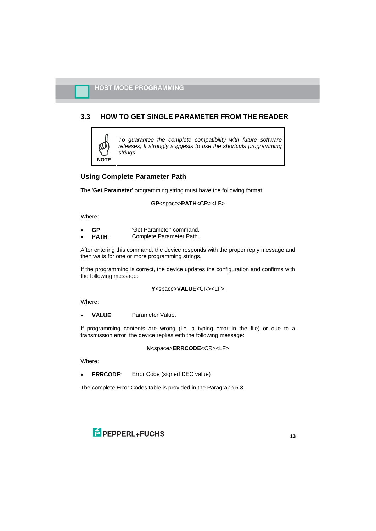### **3.3 HOW TO GET SINGLE PARAMETER FROM THE READER**



*To guarantee the complete compatibility with future software releases, It strongly suggests to use the shortcuts programming strings.* 

### **Using Complete Parameter Path**

The '**Get Parameter**' programming string must have the following format:

#### **GP**<space>**PATH**<CR><LF>

Where:

- **GP**: 'Get Parameter' command.
- **PATH**: Complete Parameter Path.

After entering this command, the device responds with the proper reply message and then waits for one or more programming strings.

If the programming is correct, the device updates the configuration and confirms with the following message:

#### **Y**<space>**VALUE**<CR><LF>

Where:

**VALUE**: Parameter Value.

If programming contents are wrong (i.e. a typing error in the file) or due to a transmission error, the device replies with the following message:

#### **N**<space>**ERRCODE**<CR><LF>

Where:

**ERRCODE**: Error Code (signed DEC value)

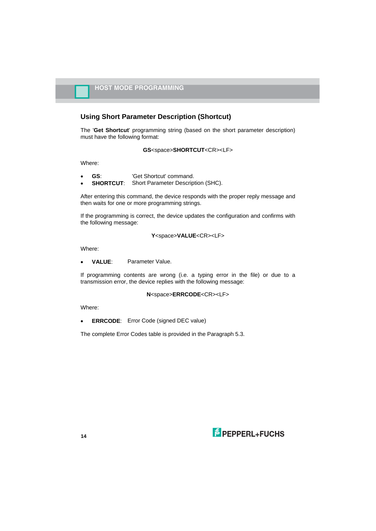### **Using Short Parameter Description (Shortcut)**

The '**Get Shortcut**' programming string (based on the short parameter description) must have the following format:

**GS**<space>**SHORTCUT**<CR><LF>

Where:

- **GS**: 'Get Shortcut' command.
- **SHORTCUT**: Short Parameter Description (SHC).

After entering this command, the device responds with the proper reply message and then waits for one or more programming strings.

If the programming is correct, the device updates the configuration and confirms with the following message:

#### **Y**<space>**VALUE**<CR><LF>

Where:

**VALUE**: Parameter Value.

If programming contents are wrong (i.e. a typing error in the file) or due to a transmission error, the device replies with the following message:

#### **N**<space>**ERRCODE**<CR><LF>

Where:

**ERRCODE**: Error Code (signed DEC value)

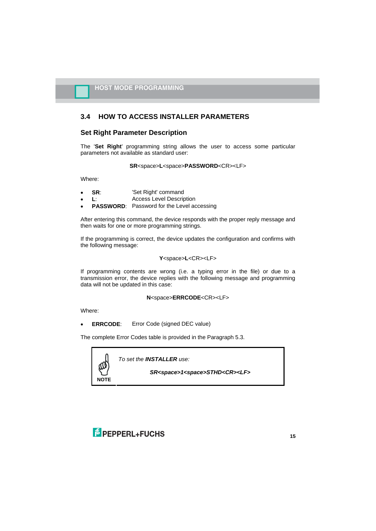### **3.4 HOW TO ACCESS INSTALLER PARAMETERS**

### **Set Right Parameter Description**

The '**Set Right**' programming string allows the user to access some particular parameters not available as standard user:

**SR**<space>**L**<space>**PASSWORD**<CR><LF>

Where:

- **SR:** 'Set Right' command
- **L**: Access Level Description
- **PASSWORD**: Password for the Level accessing

After entering this command, the device responds with the proper reply message and then waits for one or more programming strings.

If the programming is correct, the device updates the configuration and confirms with the following message:

#### **Y**<space>**L**<CR><LF>

If programming contents are wrong (i.e. a typing error in the file) or due to a transmission error, the device replies with the following message and programming data will not be updated in this case:

#### **N**<space>**ERRCODE**<CR><LF>

Where:

**ERRCODE**: Error Code (signed DEC value)

The complete Error Codes table is provided in the Paragraph 5.3.



*To set the INSTALLER use:* 

*SR<space>1<space>STHD<CR><LF>* 

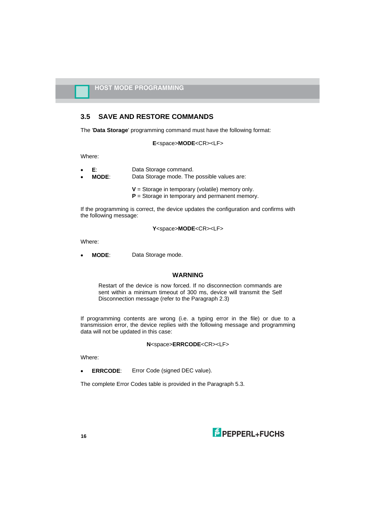### **3.5 SAVE AND RESTORE COMMANDS**

The '**Data Storage**' programming command must have the following format:

**E**<space>**MODE**<CR><LF>

Where:

- **E**: Data Storage command.
- **MODE**: Data Storage mode. The possible values are:

**V** = Storage in temporary (volatile) memory only.

**P** = Storage in temporary and permanent memory.

If the programming is correct, the device updates the configuration and confirms with the following message:

**Y**<space>**MODE**<CR><LF>

Where:

**MODE**: Data Storage mode.

#### **WARNING**

Restart of the device is now forced. If no disconnection commands are sent within a minimum timeout of 300 ms, device will transmit the Self Disconnection message (refer to the Paragraph 2.3)

If programming contents are wrong (i.e. a typing error in the file) or due to a transmission error, the device replies with the following message and programming data will not be updated in this case:

#### **N**<space>**ERRCODE**<CR><LF>

Where:

**ERRCODE**: Error Code (signed DEC value).

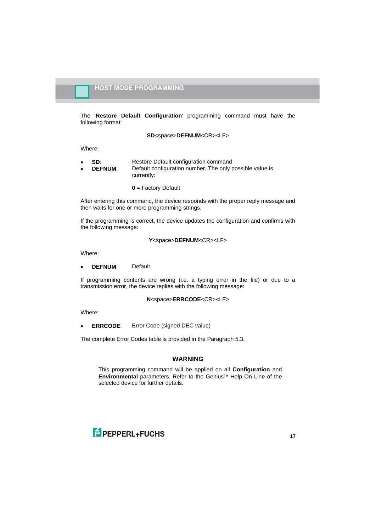The '**Restore Default Configuration**' programming command must have the following format:

#### **SD**<space>**DEFNUM**<CR><LF>

Where:

- **SD:** Restore Default configuration command
- **DEFNUM:** Default configuration number. The only possible value is currently:
	- **0** = Factory Default

After entering this command, the device responds with the proper reply message and then waits for one or more programming strings.

If the programming is correct, the device updates the configuration and confirms with the following message:

#### **Y**<space>**DEFNUM**<CR><LF>

Where:

**DEFNUM**: Default

If programming contents are wrong (i.e. a typing error in the file) or due to a transmission error, the device replies with the following message:

#### **N**<space>**ERRCODE**<CR><LF>

Where:

**ERRCODE**: Error Code (signed DEC value)

The complete Error Codes table is provided in the Paragraph 5.3.

#### **WARNING**

This programming command will be applied on all **Configuration** and **Environmental** parameters. Refer to the Genius<sup>™</sup> Help On Line of the selected device for further details.

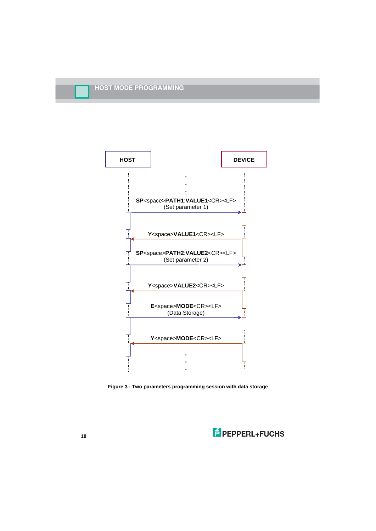

**Figure 3 - Two parameters programming session with data storage** 

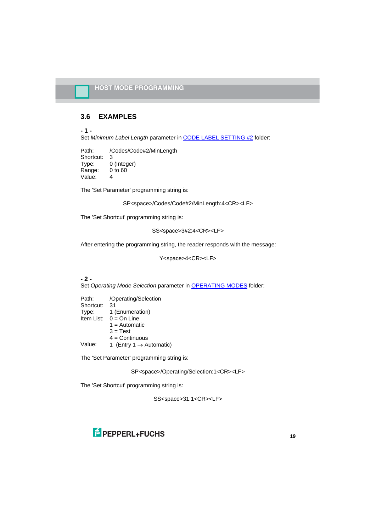### **3.6 EXAMPLES**

**- 1 -** 

Set *Minimum Label Length* parameter in CODE LABEL SETTING #2 folder:

Path: /Codes/Code#2/MinLength Shortcut: 3 Type: 0 (Integer) Range: 0 to 60 Value: 4

The 'Set Parameter' programming string is:

SP<space>/Codes/Code#2/MinLength:4<CR><LF>

The 'Set Shortcut' programming string is:

SS<space>3#2:4<CR><LF>

After entering the programming string, the reader responds with the message:

Y<space>4<CR><LF>

**- 2 -**  Set *Operating Mode Selection* parameter in OPERATING MODES folder:

Path: /Operating/Selection Shortcut: 31 Type: 1 (Enumeration) Item List:  $0 = On$  Line  $1 =$  Automatic  $3 = Test$  $4 =$  Continuous Value: 1 (Entry  $1 \rightarrow$  Automatic)

The 'Set Parameter' programming string is:

SP<space>/Operating/Selection:1<CR><LF>

The 'Set Shortcut' programming string is:

SS<space>31:1<CR><LF>

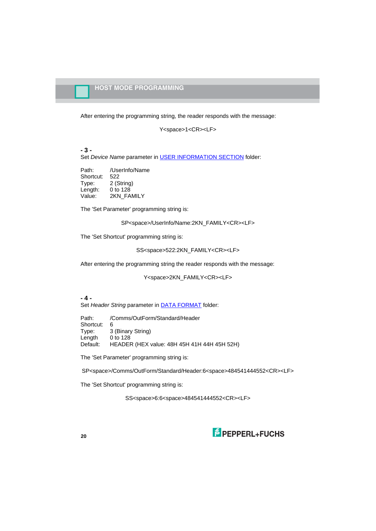After entering the programming string, the reader responds with the message:

Y<space>1<CR><LF>

**- 3 -** 

Set *Device Name* parameter in USER INFORMATION SECTION folder:

Path: /UserInfo/Name Shortcut: 522 Type: 2 (String) Length: 0 to 128 Value: 2KN\_FAMILY

The 'Set Parameter' programming string is:

SP<space>/UserInfo/Name:2KN\_FAMILY<CR><LF>

The 'Set Shortcut' programming string is:

SS<space>522:2KN\_FAMILY<CR><LF>

After entering the programming string the reader responds with the message:

Y<space>2KN\_FAMILY<CR><LF>

**- 4 -**

Set *Header String* parameter in DATA FORMAT folder:

Path: /Comms/OutForm/Standard/Header Shortcut: 6 Type: 3 (Binary String) Length 0 to 128 Default: HEADER (HEX value: 48H 45H 41H 44H 45H 52H)

The 'Set Parameter' programming string is:

SP<space>/Comms/OutForm/Standard/Header:6<space>484541444552<CR><LF>

The 'Set Shortcut' programming string is:

SS<space>6:6<space>484541444552<CR><LF>

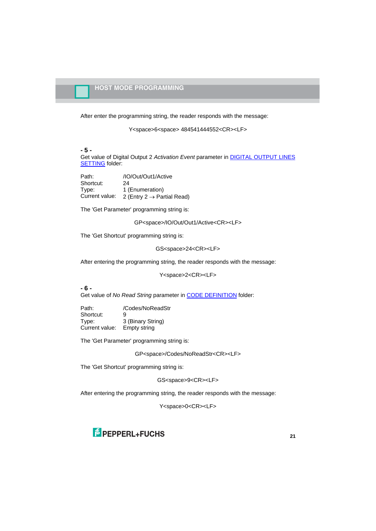After enter the programming string, the reader responds with the message:

Y<space>6<space> 484541444552<CR><LF>

#### **- 5 -**

Get value of Digital Output 2 *Activation Event* parameter in DIGITAL OUTPUT LINES SETTING folder:

| Path:          | /IO/Out/Out1/Active                    |
|----------------|----------------------------------------|
| Shortcut:      | 24                                     |
| Type:          | 1 (Enumeration)                        |
| Current value: | 2 (Entry 2 $\rightarrow$ Partial Read) |

The 'Get Parameter' programming string is:

GP<space>/IO/Out/Out1/Active<CR><LF>

The 'Get Shortcut' programming string is:

GS<space>24<CR><LF>

After entering the programming string, the reader responds with the message:

Y<space>2<CR><LF>

#### **- 6 -**

Get value of *No Read String* parameter in CODE DEFINITION folder:

| Path:          | /Codes/NoReadStr  |
|----------------|-------------------|
| Shortcut:      | я                 |
| Type:          | 3 (Binary String) |
| Current value: | Empty string      |

The 'Get Parameter' programming string is:

GP<space>/Codes/NoReadStr<CR><LF>

The 'Get Shortcut' programming string is:

GS<space>9<CR><LF>

After entering the programming string, the reader responds with the message:

Y<space>0<CR><LF>

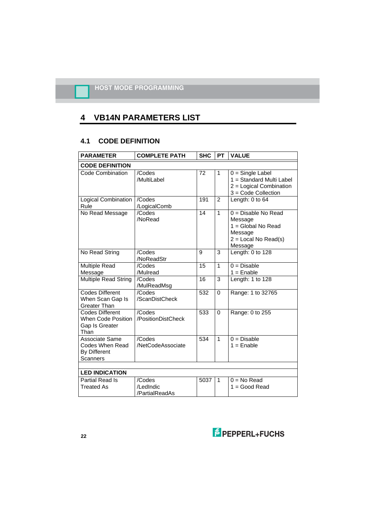# **4 VB14N PARAMETERS LIST**

### **4.1 CODE DEFINITION**

| <b>PARAMETER</b>                                                       | <b>COMPLETE PATH</b>                  | <b>SHC</b> | <b>PT</b>      | <b>VALUE</b>                                                                                                |
|------------------------------------------------------------------------|---------------------------------------|------------|----------------|-------------------------------------------------------------------------------------------------------------|
| <b>CODE DEFINITION</b>                                                 |                                       |            |                |                                                                                                             |
| <b>Code Combination</b>                                                | /Codes<br>/MultiLabel                 | 72         | $\mathbf{1}$   | $\overline{0}$ = Single Label<br>1 = Standard Multi Label<br>2 = Logical Combination<br>3 = Code Collection |
| Logical Combination<br>Rule                                            | /Codes<br>/LogicalComb                | 191        | $\overline{2}$ | Length: 0 to 64                                                                                             |
| No Read Message                                                        | /Codes<br>/NoRead                     | 14         | $\mathbf{1}$   | $0 =$ Disable No Read<br>Message<br>1 = Global No Read<br>Message<br>$2 =$ Local No Read(s)<br>Message      |
| No Read String                                                         | /Codes<br>/NoReadStr                  | 9          | 3              | Length: 0 to 128                                                                                            |
| <b>Multiple Read</b><br>Message                                        | /Codes<br>/Mulread                    | 15         | $\mathbf{1}$   | $0 = Disable$<br>$1 =$ Enable                                                                               |
| <b>Multiple Read String</b>                                            | /Codes<br>/MulReadMsg                 | 16         | 3              | Length: 1 to $128$                                                                                          |
| <b>Codes Different</b><br>When Scan Gap Is<br>Greater Than             | /Codes<br>/ScanDistCheck              | 532        | $\Omega$       | Range: 1 to 32765                                                                                           |
| <b>Codes Different</b><br>When Code Position<br>Gap Is Greater<br>Than | /Codes<br>/PositionDistCheck          | 533        | $\Omega$       | Range: 0 to 255                                                                                             |
| Associate Same<br>Codes When Read<br>By Different<br><b>Scanners</b>   | /Codes<br>/NetCodeAssociate           | 534        | $\mathbf{1}$   | $0 = Disable$<br>$1 =$ Enable                                                                               |
| <b>LED INDICATION</b>                                                  |                                       |            |                |                                                                                                             |
| Partial Read Is<br><b>Treated As</b>                                   | /Codes<br>/LedIndic<br>/PartialReadAs | 5037       | $\mathbf{1}$   | $0 = No Read$<br>$1 = Good Read$                                                                            |

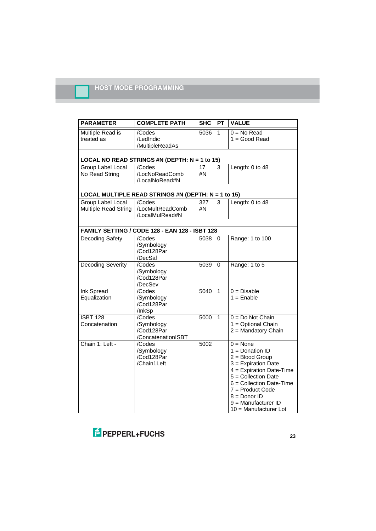| <b>PARAMETER</b>                                 | <b>COMPLETE PATH</b>                                     | <b>SHC</b> | <b>PT</b>    | <b>VALUE</b>                                                                                                                                                                                                                                               |
|--------------------------------------------------|----------------------------------------------------------|------------|--------------|------------------------------------------------------------------------------------------------------------------------------------------------------------------------------------------------------------------------------------------------------------|
| Multiple Read is<br>treated as                   | /Codes<br>/LedIndic<br>/MultipleReadAs                   | 5036       | $\mathbf{1}$ | $0 = No Read$<br>$1 = Good Read$                                                                                                                                                                                                                           |
|                                                  |                                                          |            |              |                                                                                                                                                                                                                                                            |
|                                                  | LOCAL NO READ STRINGS #N (DEPTH: N = 1 to 15)            |            |              |                                                                                                                                                                                                                                                            |
| Group Label Local<br>No Read String              | /Codes<br>/LocNoReadComb<br>/LocalNoRead#N               | 17<br>#N   | 3            | Length: 0 to 48                                                                                                                                                                                                                                            |
|                                                  | LOCAL MULTIPLE READ STRINGS #N (DEPTH: N = 1 to 15)      |            |              |                                                                                                                                                                                                                                                            |
| Group Label Local<br><b>Multiple Read String</b> | /Codes<br>/LocMultReadComb<br>/LocalMulRead#N            | 327<br>#N  | 3            | Length: 0 to 48                                                                                                                                                                                                                                            |
|                                                  | FAMILY SETTING / CODE 128 - EAN 128 - ISBT 128           |            |              |                                                                                                                                                                                                                                                            |
| <b>Decoding Safety</b>                           | /Codes                                                   | 5038       | $\mathbf 0$  | Range: 1 to 100                                                                                                                                                                                                                                            |
|                                                  | /Symbology<br>/Cod128Par<br>/DecSaf                      |            |              |                                                                                                                                                                                                                                                            |
| <b>Decoding Severity</b>                         | /Codes<br>/Symbology<br>/Cod128Par<br>/DecSev            | 5039       | $\Omega$     | Range: 1 to 5                                                                                                                                                                                                                                              |
| Ink Spread<br>Equalization                       | /Codes<br>/Symbology<br>/Cod128Par<br>/InkSp             | 5040       | $\mathbf{1}$ | $0 = Disable$<br>$1 =$ Enable                                                                                                                                                                                                                              |
| <b>ISBT 128</b><br>Concatenation                 | /Codes<br>/Symbology<br>/Cod128Par<br>/ConcatenationISBT | 5000       | $\mathbf{1}$ | $0 = Do$ Not Chain<br>1 = Optional Chain<br>2 = Mandatory Chain                                                                                                                                                                                            |
| Chain 1: Left -                                  | /Codes<br>/Symbology<br>/Cod128Par<br>/Chain1Left        | 5002       |              | $0 = None$<br>$1 =$ Donation ID<br>$2 = Blood Group$<br>3 = Expiration Date<br>4 = Expiration Date-Time<br>$5 =$ Collection Date<br>$6 =$ Collection Date-Time<br>$7 =$ Product Code<br>$8 =$ Donor ID<br>$9 =$ Manufacturer ID<br>$10 =$ Manufacturer Lot |

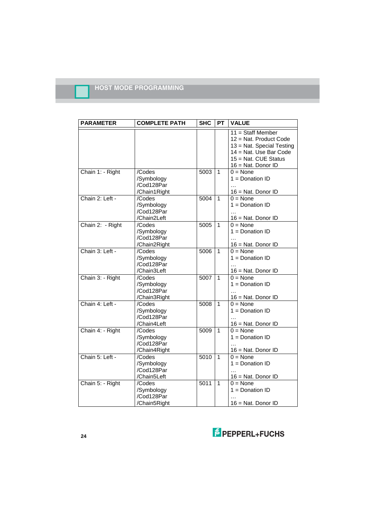| <b>PARAMETER</b> | <b>COMPLETE PATH</b>                               | <b>SHC</b> | PT             | <b>VALUE</b>                                                                                                                                         |
|------------------|----------------------------------------------------|------------|----------------|------------------------------------------------------------------------------------------------------------------------------------------------------|
|                  |                                                    |            |                | $11 =$ Staff Member<br>12 = Nat. Product Code<br>13 = Nat. Special Testing<br>14 = Nat. Use Bar Code<br>$15 = Nat. CUE Status$<br>16 = Nat. Donor ID |
| Chain 1: - Right | /Codes<br>/Symbology<br>/Cod128Par<br>/Chain1Right | 5003       | $\overline{1}$ | $0 = \text{None}$<br>$1 =$ Donation ID<br>$16 = Nat. Donor ID$                                                                                       |
| Chain 2: Left -  | /Codes<br>/Symbology<br>/Cod128Par<br>/Chain2Left  | 5004       | $\mathbf{1}$   | $0 = \text{None}$<br>$1 =$ Donation ID<br>16 = Nat. Donor ID                                                                                         |
| Chain 2: - Right | /Codes<br>/Symbology<br>/Cod128Par<br>/Chain2Right | 5005       | $\mathbf{1}$   | $0 =$ None<br>$1 =$ Donation ID<br>$16 = Nat. Donor ID$                                                                                              |
| Chain 3: Left -  | /Codes<br>/Symbology<br>/Cod128Par<br>/Chain3Left  | 5006       | $\mathbf{1}$   | $0 = \text{None}$<br>$1 =$ Donation ID<br>$16 = Nat. Donor ID$                                                                                       |
| Chain 3: - Right | /Codes<br>/Symbology<br>/Cod128Par<br>/Chain3Right | 5007       | $\mathbf{1}$   | $0 = None$<br>$1 =$ Donation ID<br>16 = Nat. Donor ID                                                                                                |
| Chain 4: Left -  | /Codes<br>/Symbology<br>/Cod128Par<br>/Chain4Left  | 5008       | $\mathbf{1}$   | $0 = \text{None}$<br>$1 =$ Donation ID<br>$16 = Nat. Donor ID$                                                                                       |
| Chain 4: - Right | /Codes<br>/Symbology<br>/Cod128Par<br>/Chain4Right | 5009       | $\mathbf{1}$   | $0 = \text{None}$<br>$1 =$ Donation ID<br>16 = Nat. Donor ID                                                                                         |
| Chain 5: Left -  | /Codes<br>/Symbology<br>/Cod128Par<br>/Chain5Left  | 5010       | $\mathbf{1}$   | $0 = \text{None}$<br>$1 =$ Donation ID<br>$16 = Nat. Donor ID$                                                                                       |
| Chain 5: - Right | /Codes<br>/Symbology<br>/Cod128Par<br>/Chain5Right | 5011       | $\mathbf{1}$   | $0 = \text{None}$<br>$1 =$ Donation ID<br>$16 = Nat. Donor ID$                                                                                       |

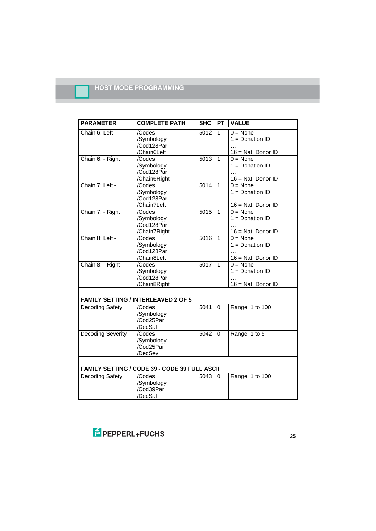| <b>PARAMETER</b>         | <b>COMPLETE PATH</b>                                                                       | <b>SHC</b> | <b>PT</b>      | <b>VALUE</b>                                                   |
|--------------------------|--------------------------------------------------------------------------------------------|------------|----------------|----------------------------------------------------------------|
| Chain 6: Left -          | /Codes<br>/Symbology<br>/Cod128Par<br>/Chain6Left                                          | 5012       | $\mathbf{1}$   | $0 = \text{None}$<br>$1 =$ Donation ID<br>16 = Nat. Donor ID   |
| Chain 6: - Right         | /Codes<br>/Symbology<br>/Cod128Par<br>/Chain6Right                                         | 5013       | $\mathbf{1}$   | $0 = \text{None}$<br>$1 =$ Donation ID<br>$16 = Nat. Donor ID$ |
| Chain 7: Left -          | /Codes<br>/Symbology<br>/Cod128Par<br>/Chain7Left                                          | 5014       | $\mathbf{1}$   | $0 = \text{None}$<br>$1 =$ Donation ID<br>16 = Nat. Donor ID   |
| Chain 7: - Right         | /Codes<br>/Symbology<br>/Cod128Par<br>/Chain7Right                                         | 5015       | $\mathbf{1}$   | $0 = \text{None}$<br>$1 =$ Donation ID<br>$16 = Nat. Donor ID$ |
| Chain 8: Left -          | /Codes<br>/Symbology<br>/Cod128Par<br>/Chain8Left                                          | 5016       | $\overline{1}$ | $0 = \text{None}$<br>$1 =$ Donation ID<br>16 = Nat. Donor ID   |
| Chain 8: - Right         | /Codes<br>/Symbology<br>/Cod128Par<br>/Chain8Right                                         | 5017       | $\mathbf{1}$   | $0 = \text{None}$<br>$1 =$ Donation ID<br>$16 = Nat. Donor ID$ |
|                          |                                                                                            |            |                |                                                                |
| Decoding Safety          | <b>FAMILY SETTING / INTERLEAVED 2 OF 5</b><br>/Codes<br>/Symbology<br>/Cod25Par<br>/DecSaf | 5041       | 0              | Range: 1 to 100                                                |
| <b>Decoding Severity</b> | /Codes<br>/Symbology<br>/Cod25Par<br>/DecSev                                               | 5042       | 0              | Range: 1 to 5                                                  |
|                          |                                                                                            |            |                |                                                                |
|                          | FAMILY SETTING / CODE 39 - CODE 39 FULL ASCII                                              |            |                |                                                                |
| Decoding Safety          | /Codes<br>/Symbology<br>/Cod39Par<br>/DecSaf                                               | 5043       | 0              | Range: 1 to 100                                                |

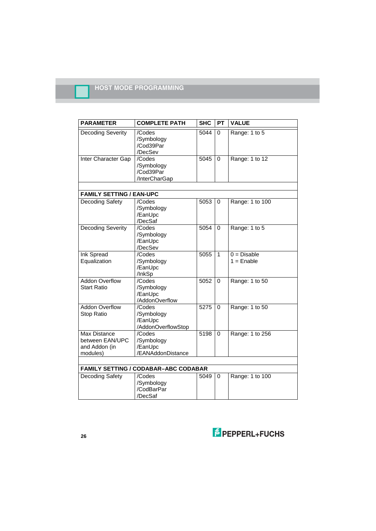| <b>PARAMETER</b>                                             | <b>COMPLETE PATH</b>                                  | <b>SHC</b> | <b>PT</b>    | <b>VALUE</b>                  |
|--------------------------------------------------------------|-------------------------------------------------------|------------|--------------|-------------------------------|
| <b>Decoding Severity</b>                                     | /Codes<br>/Symbology<br>/Cod39Par<br>/DecSev          | 5044       | 0            | Range: 1 to 5                 |
| Inter Character Gap                                          | /Codes<br>/Symbology<br>/Cod39Par<br>/InterCharGap    | 5045       | $\Omega$     | Range: 1 to 12                |
|                                                              |                                                       |            |              |                               |
| <b>FAMILY SETTING / EAN-UPC</b>                              |                                                       |            |              |                               |
| Decoding Safety                                              | /Codes<br>/Symbology<br>/EanUpc<br>/DecSaf            | 5053       | 0            | Range: 1 to 100               |
| <b>Decoding Severity</b>                                     | /Codes<br>/Symbology<br>/EanUpc<br>/DecSev            | 5054       | $\Omega$     | Range: 1 to 5                 |
| Ink Spread<br>Equalization                                   | /Codes<br>/Symbology<br>/EanUpc<br>/InkSp             | 5055       | $\mathbf{1}$ | $0 = Disable$<br>$1 =$ Enable |
| <b>Addon Overflow</b><br><b>Start Ratio</b>                  | /Codes<br>/Symbology<br>/EanUpc<br>/AddonOverflow     | 5052       | 0            | Range: 1 to 50                |
| <b>Addon Overflow</b><br>Stop Ratio                          | /Codes<br>/Symbology<br>/EanUpc<br>/AddonOverflowStop | 5275       | 0            | Range: 1 to 50                |
| Max Distance<br>between EAN/UPC<br>and Addon (in<br>modules) | /Codes<br>/Symbology<br>/EanUpc<br>/EANAddonDistance  | 5198       | $\Omega$     | Range: 1 to 256               |
|                                                              |                                                       |            |              |                               |
|                                                              | <b>FAMILY SETTING / CODABAR-ABC CODABAR</b>           |            |              |                               |
| <b>Decoding Safety</b>                                       | /Codes<br>/Symbology<br>/CodBarPar<br>/DecSaf         | 5049       | $\mathbf 0$  | Range: 1 to 100               |

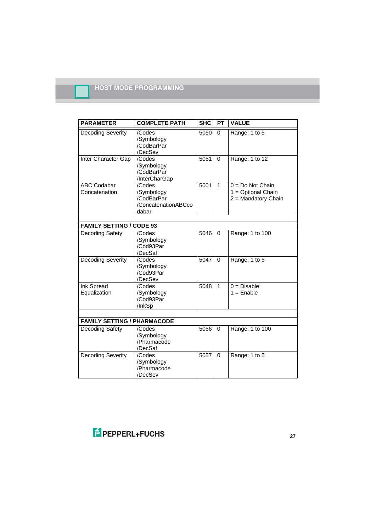| <b>PARAMETER</b>                    | <b>COMPLETE PATH</b>                                               | <b>SHC</b> | <b>PT</b>    | <b>VALUE</b>                                                    |
|-------------------------------------|--------------------------------------------------------------------|------------|--------------|-----------------------------------------------------------------|
| <b>Decoding Severity</b>            | /Codes<br>/Symbology<br>/CodBarPar<br>/DecSev                      | 5050       | $\Omega$     | Range: 1 to 5                                                   |
| Inter Character Gap                 | /Codes<br>/Symbology<br>/CodBarPar<br>/InterCharGap                | 5051       | $\Omega$     | Range: 1 to 12                                                  |
| <b>ABC Codabar</b><br>Concatenation | /Codes<br>/Symbology<br>/CodBarPar<br>/ConcatenationABCco<br>dabar | 5001       | $\mathbf{1}$ | $0 = Do$ Not Chain<br>1 = Optional Chain<br>2 = Mandatory Chain |
| <b>FAMILY SETTING / CODE 93</b>     |                                                                    |            |              |                                                                 |
| Decoding Safety                     | /Codes<br>/Symbology<br>/Cod93Par<br>/DecSaf                       | 5046       | $\mathbf 0$  | Range: 1 to 100                                                 |
| <b>Decoding Severity</b>            | /Codes<br>/Symbology<br>/Cod93Par<br>/DecSev                       | 5047       | $\Omega$     | Range: 1 to 5                                                   |
| Ink Spread<br>Equalization          | /Codes<br>/Symbology<br>/Cod93Par<br>/InkSp                        | 5048       | $\mathbf{1}$ | $0 = Disable$<br>$1 =$ Enable                                   |
|                                     |                                                                    |            |              |                                                                 |
| <b>FAMILY SETTING / PHARMACODE</b>  |                                                                    |            |              |                                                                 |
| Decoding Safety                     | /Codes<br>/Symbology<br>/Pharmacode<br>/DecSaf                     | 5056       | $\Omega$     | Range: 1 to 100                                                 |
| <b>Decoding Severity</b>            | /Codes<br>/Symbology<br>/Pharmacode<br>/DecSev                     | 5057       | $\Omega$     | Range: 1 to 5                                                   |

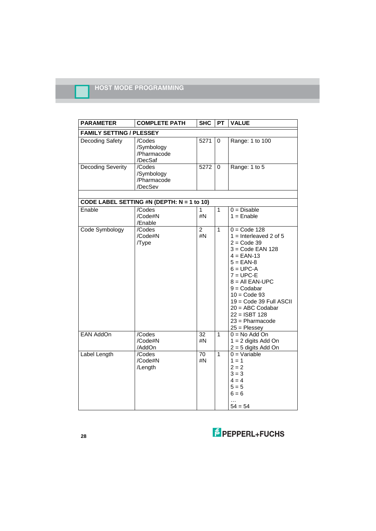| <b>PARAMETER</b>                | <b>COMPLETE PATH</b>                           | <b>SHC</b>            | <b>PT</b>      | <b>VALUE</b>                                                                                                                                                                                                                                                                                                                           |  |
|---------------------------------|------------------------------------------------|-----------------------|----------------|----------------------------------------------------------------------------------------------------------------------------------------------------------------------------------------------------------------------------------------------------------------------------------------------------------------------------------------|--|
| <b>FAMILY SETTING / PLESSEY</b> |                                                |                       |                |                                                                                                                                                                                                                                                                                                                                        |  |
| Decoding Safety                 | /Codes<br>/Symbology<br>/Pharmacode<br>/DecSaf | 5271                  | 0              | Range: 1 to 100                                                                                                                                                                                                                                                                                                                        |  |
| Decoding Severity               | /Codes<br>/Symbology<br>/Pharmacode<br>/DecSev | 5272                  | $\Omega$       | Range: 1 to 5                                                                                                                                                                                                                                                                                                                          |  |
|                                 | CODE LABEL SETTING #N (DEPTH: N = 1 to 10)     |                       |                |                                                                                                                                                                                                                                                                                                                                        |  |
| Enable                          | /Codes<br>/Code#N<br>/Enable                   | $\mathbf{1}$<br>#N    | $\mathbf{1}$   | $0 = Disable$<br>$1 =$ Enable                                                                                                                                                                                                                                                                                                          |  |
| Code Symbology                  | /Codes<br>/Code#N<br>/Type                     | $\overline{2}$<br>#N  | $\mathbf{1}$   | $0 = Code 128$<br>$1 =$ Interleaved 2 of 5<br>$2 = \text{Code } 39$<br>$3 = Code EAN 128$<br>$4 = EAN-13$<br>$5 = EAN-8$<br>$6 = \text{UPC-A}$<br>$7 = UPC-E$<br>$8 = All EAN-UPC$<br>$9 = Codabar$<br>$10 = \text{Code } 93$<br>19 = Code 39 Full ASCII<br>20 = ABC Codabar<br>$22 =$ ISBT 128<br>$23$ = Pharmacode<br>$25 =$ Plessey |  |
| <b>EAN AddOn</b>                | /Codes<br>/Code#N<br>/AddOn                    | $\overline{32}$<br>#N | $\mathbf{1}$   | $0 = No$ Add On<br>$1 = 2$ digits Add On<br>$2 = 5$ digits Add On                                                                                                                                                                                                                                                                      |  |
| Label Length                    | /Codes<br>/Code#N<br>/Length                   | $\overline{70}$<br>#N | $\overline{1}$ | $0 = \text{Variable}$<br>$1 = 1$<br>$2 = 2$<br>$3 = 3$<br>$4 = 4$<br>$5 = 5$<br>$6 = 6$<br>$54 = 54$                                                                                                                                                                                                                                   |  |

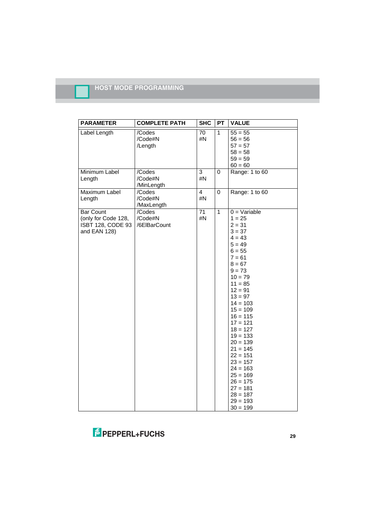| <b>PARAMETER</b>                                                             | <b>COMPLETE PATH</b>              | <b>SHC</b>            | <b>PT</b>      | <b>VALUE</b>                                                                                                                                                                                                                                                                                                                                                                                                                        |
|------------------------------------------------------------------------------|-----------------------------------|-----------------------|----------------|-------------------------------------------------------------------------------------------------------------------------------------------------------------------------------------------------------------------------------------------------------------------------------------------------------------------------------------------------------------------------------------------------------------------------------------|
| Label Length                                                                 | /Codes<br>/Code#N<br>/Length      | 70<br>#N              | 1              | $55 = 55$<br>$56 = 56$<br>$57 = 57$<br>$58 = 58$<br>$59 = 59$<br>$60 = 60$                                                                                                                                                                                                                                                                                                                                                          |
| Minimum Label<br>Length                                                      | /Codes<br>/Code#N<br>/MinLength   | $\overline{3}$<br>#N  | 0              | Range: 1 to 60                                                                                                                                                                                                                                                                                                                                                                                                                      |
| Maximum Label<br>Length                                                      | /Codes<br>/Code#N<br>/MaxLength   | $\overline{4}$<br>#N  | $\overline{0}$ | Range: 1 to 60                                                                                                                                                                                                                                                                                                                                                                                                                      |
| <b>Bar Count</b><br>(only for Code 128,<br>ISBT 128, CODE 93<br>and EAN 128) | /Codes<br>/Code#N<br>/6ElBarCount | $\overline{71}$<br>#N | $\overline{1}$ | $0 = \text{Variable}$<br>$1 = 25$<br>$2 = 31$<br>$3 = 37$<br>$4 = 43$<br>$5 = 49$<br>$6 = 55$<br>$7 = 61$<br>$8 = 67$<br>$9 = 73$<br>$10 = 79$<br>$11 = 85$<br>$12 = 91$<br>$13 = 97$<br>$14 = 103$<br>$15 = 109$<br>$16 = 115$<br>$17 = 121$<br>$18 = 127$<br>$19 = 133$<br>$20 = 139$<br>$21 = 145$<br>$22 = 151$<br>$23 = 157$<br>$24 = 163$<br>$25 = 169$<br>$26 = 175$<br>$27 = 181$<br>$28 = 187$<br>$29 = 193$<br>$30 = 199$ |

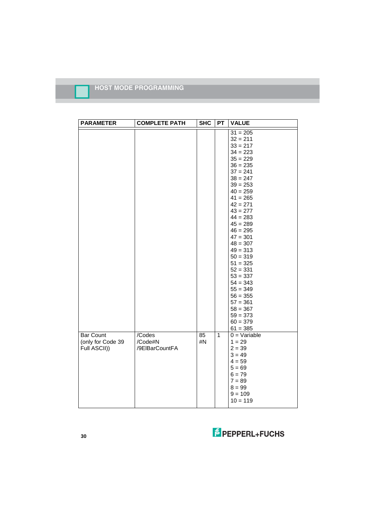| <b>PARAMETER</b>                                      | <b>COMPLETE PATH</b>                | <b>SHC</b> | <b>PT</b>      | <b>VALUE</b>                                                                                                                                                                                                                                                                                                                                                                                                                                   |
|-------------------------------------------------------|-------------------------------------|------------|----------------|------------------------------------------------------------------------------------------------------------------------------------------------------------------------------------------------------------------------------------------------------------------------------------------------------------------------------------------------------------------------------------------------------------------------------------------------|
|                                                       |                                     |            |                | $31 = 205$<br>$32 = 211$<br>$33 = 217$<br>$34 = 223$<br>$35 = 229$<br>$36 = 235$<br>$37 = 241$<br>$38 = 247$<br>$39 = 253$<br>$40 = 259$<br>$41 = 265$<br>$42 = 271$<br>$43 = 277$<br>$44 = 283$<br>$45 = 289$<br>$46 = 295$<br>$47 = 301$<br>$48 = 307$<br>$49 = 313$<br>$50 = 319$<br>$51 = 325$<br>$52 = 331$<br>$53 = 337$<br>$54 = 343$<br>$55 = 349$<br>$56 = 355$<br>$57 = 361$<br>$58 = 367$<br>$59 = 373$<br>$60 = 379$<br>$61 = 385$ |
| <b>Bar Count</b><br>(only for Code 39<br>Full ASCII)) | /Codes<br>/Code#N<br>/9EIBarCountFA | 85<br>#N   | $\overline{1}$ | $0 = \text{Variable}$<br>$1 = 29$<br>$2 = 39$<br>$3 = 49$<br>$4 = 59$<br>$5 = 69$<br>$6 = 79$<br>$7 = 89$<br>$8 = 99$<br>$9 = 109$<br>$10 = 119$                                                                                                                                                                                                                                                                                               |

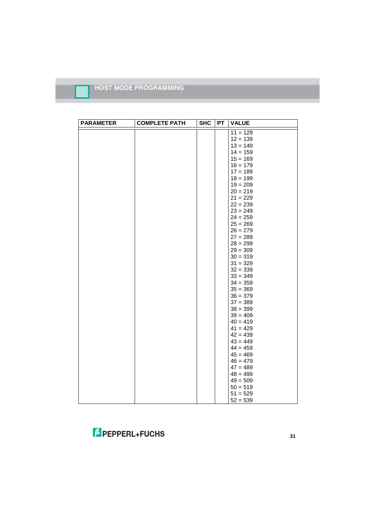| <b>PARAMETER</b> | <b>COMPLETE PATH</b> | <b>SHC</b> | PT | <b>VALUE</b> |
|------------------|----------------------|------------|----|--------------|
|                  |                      |            |    | $11 = 129$   |
|                  |                      |            |    | $12 = 139$   |
|                  |                      |            |    | $13 = 149$   |
|                  |                      |            |    | $14 = 159$   |
|                  |                      |            |    | $15 = 169$   |
|                  |                      |            |    | $16 = 179$   |
|                  |                      |            |    | $17 = 189$   |
|                  |                      |            |    | $18 = 199$   |
|                  |                      |            |    | $19 = 209$   |
|                  |                      |            |    | $20 = 219$   |
|                  |                      |            |    | $21 = 229$   |
|                  |                      |            |    | $22 = 239$   |
|                  |                      |            |    | $23 = 249$   |
|                  |                      |            |    | $24 = 259$   |
|                  |                      |            |    | $25 = 269$   |
|                  |                      |            |    | $26 = 279$   |
|                  |                      |            |    | $27 = 289$   |
|                  |                      |            |    | $28 = 299$   |
|                  |                      |            |    | $29 = 309$   |
|                  |                      |            |    | $30 = 319$   |
|                  |                      |            |    | $31 = 329$   |
|                  |                      |            |    | $32 = 339$   |
|                  |                      |            |    | $33 = 349$   |
|                  |                      |            |    | $34 = 359$   |
|                  |                      |            |    | $35 = 369$   |
|                  |                      |            |    | $36 = 379$   |
|                  |                      |            |    | $37 = 389$   |
|                  |                      |            |    | $38 = 399$   |
|                  |                      |            |    | $39 = 409$   |
|                  |                      |            |    | $40 = 419$   |
|                  |                      |            |    | $41 = 429$   |
|                  |                      |            |    | $42 = 439$   |
|                  |                      |            |    | $43 = 449$   |
|                  |                      |            |    | $44 = 459$   |
|                  |                      |            |    | $45 = 469$   |
|                  |                      |            |    | $46 = 479$   |
|                  |                      |            |    | $47 = 489$   |
|                  |                      |            |    | $48 = 499$   |
|                  |                      |            |    | $49 = 509$   |
|                  |                      |            |    | $50 = 519$   |
|                  |                      |            |    | $51 = 529$   |
|                  |                      |            |    | $52 = 539$   |

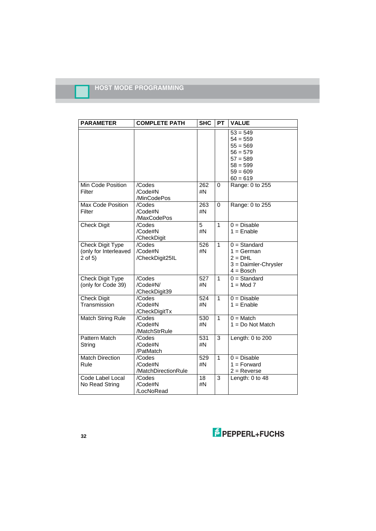| <b>PARAMETER</b>                                       | <b>COMPLETE PATH</b>                                                                       | <b>SHC</b> | <b>PT</b>    | <b>VALUE</b>                                                                                                 |
|--------------------------------------------------------|--------------------------------------------------------------------------------------------|------------|--------------|--------------------------------------------------------------------------------------------------------------|
|                                                        |                                                                                            |            |              | $53 = 549$<br>$54 = 559$<br>$55 = 569$<br>$56 = 579$<br>$57 = 589$<br>$58 = 599$<br>$59 = 609$<br>$60 = 619$ |
| Min Code Position<br>Filter                            | /Codes<br>/Code#N<br>/MinCodePos                                                           | 262<br>#N  | 0            | Range: 0 to 255                                                                                              |
| Max Code Position<br>Filter                            | /Codes<br>/Code#N<br>/MaxCodePos                                                           | 263<br>#N  | $\Omega$     | Range: 0 to 255                                                                                              |
| <b>Check Digit</b>                                     | /Codes<br>/Code#N<br>/CheckDigit                                                           | 5<br>#N    | $\mathbf{1}$ | $0 = Disable$<br>$1 =$ Enable                                                                                |
| Check Digit Type<br>(only for Interleaved<br>$2$ of 5) | $\overline{\overline{\smash{^\prime}}\hspace{-1.5pt}C}$ odes<br>/Code#N<br>/CheckDigit25IL | 526<br>#N  | $\mathbf{1}$ | $0 = Standard$<br>$1 = German$<br>$2 = DHL$<br>3 = Daimler-Chrysler<br>$4 = \text{Bosch}$                    |
| Check Digit Type<br>(only for Code 39)                 | /Codes<br>/Code#N/<br>/CheckDigit39                                                        | 527<br>#N  | $\mathbf{1}$ | $0 = Standard$<br>$1 = Mod 7$                                                                                |
| Check Digit<br>Transmission                            | /Codes<br>/Code#N<br>/CheckDigitTx                                                         | 524<br>#N  | $\mathbf{1}$ | $0 = Disable$<br>$1 =$ Enable                                                                                |
| <b>Match String Rule</b>                               | /Codes<br>/Code#N<br>/MatchStrRule                                                         | 530<br>#N  | $\mathbf{1}$ | $0 = Match$<br>$1 = Do$ Not Match                                                                            |
| <b>Pattern Match</b><br>String                         | /Codes<br>/Code#N<br>/PatMatch                                                             | 531<br>#N  | 3            | Length: 0 to 200                                                                                             |
| <b>Match Direction</b><br>Rule                         | /Codes<br>/Code#N<br>/MatchDirectionRule                                                   | 529<br>#N  | $\mathbf{1}$ | $0 = Disable$<br>$1 = Forward$<br>$2 =$ Reverse                                                              |
| Code Label Local<br>No Read String                     | /Codes<br>/Code#N<br>/LocNoRead                                                            | 18<br>#N   | 3            | Length: 0 to 48                                                                                              |

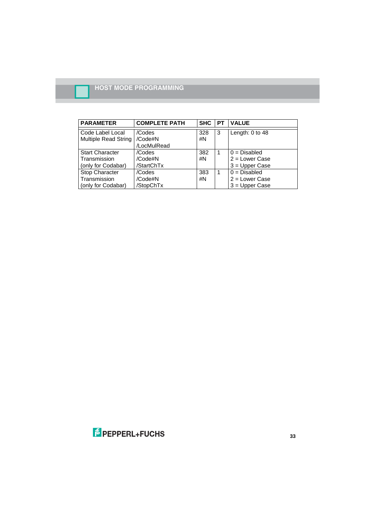| <b>PARAMETER</b>            | <b>COMPLETE PATH</b> | <b>SHC</b> | l PT | <b>VALUE</b>     |
|-----------------------------|----------------------|------------|------|------------------|
| Code Label Local            | /Codes               | 328        | 3    | Length: 0 to 48  |
| <b>Multiple Read String</b> | /Code#N              | #N         |      |                  |
|                             | /LocMulRead          |            |      |                  |
| <b>Start Character</b>      | /Codes               | 382        |      | $0 = Disabled$   |
| Transmission                | /Code#N              | #N         |      | $2 =$ Lower Case |
| (only for Codabar)          | /StartChTx           |            |      | $3 = Upper Case$ |
| Stop Character              | /Codes               | 383        |      | $0 = Disabled$   |
| Transmission                | /Code#N              | #N         |      | $2 =$ Lower Case |
| (only for Codabar)          | /StopChTx            |            |      | $3 = Upper Case$ |

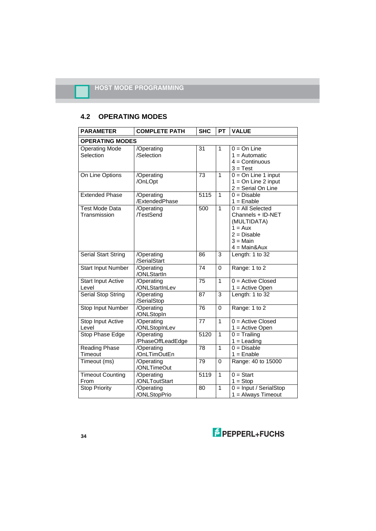### **4.2 OPERATING MODES**

| <b>PARAMETER</b>                      | <b>COMPLETE PATH</b>            | <b>SHC</b>      | <b>PT</b>      | <b>VALUE</b>                                                                                                         |  |  |
|---------------------------------------|---------------------------------|-----------------|----------------|----------------------------------------------------------------------------------------------------------------------|--|--|
| <b>OPERATING MODES</b>                |                                 |                 |                |                                                                                                                      |  |  |
| <b>Operating Mode</b><br>Selection    | /Operating<br>/Selection        | 31              | 1              | $0 = On$ Line<br>$1 =$ Automatic<br>$4 =$ Continuous<br>$3 = Test$                                                   |  |  |
| On Line Options                       | /Operating<br>/OnLOpt           | 73              | $\mathbf{1}$   | $0 = On$ Line 1 input<br>$1 = On Line 2 input$<br>2 = Serial On Line                                                 |  |  |
| <b>Extended Phase</b>                 | /Operating<br>/ExtendedPhase    | 5115            | $\overline{1}$ | $0 = Disable$<br>$1 =$ Enable                                                                                        |  |  |
| <b>Test Mode Data</b><br>Transmission | /Operating<br>/TestSend         | 500             | 1              | $0 = All Selected$<br>Channels + ID-NET<br>(MULTIDATA)<br>$1 = Aux$<br>$2 = Disable$<br>$3 =$ Main<br>$4 = Main&Aux$ |  |  |
| Serial Start String                   | /Operating<br>/SerialStart      | 86              | $\overline{3}$ | Length: 1 to 32                                                                                                      |  |  |
| <b>Start Input Number</b>             | /Operating<br>/ONLStartIn       | 74              | $\Omega$       | Range: 1 to 2                                                                                                        |  |  |
| <b>Start Input Active</b><br>Level    | /Operating<br>/ONLStartInLev    | $\overline{75}$ | $\overline{1}$ | $0 =$ Active Closed<br>$1 =$ Active Open                                                                             |  |  |
| <b>Serial Stop String</b>             | /Operating<br>/SerialStop       | 87              | 3              | Length: 1 to 32                                                                                                      |  |  |
| Stop Input Number                     | /Operating<br>/ONLStopIn        | 76              | 0              | Range: 1 to 2                                                                                                        |  |  |
| Stop Input Active<br>Level            | /Operating<br>/ONLStopInLev     | $\overline{77}$ | $\mathbf{1}$   | $0 =$ Active Closed<br>$1 =$ Active Open                                                                             |  |  |
| Stop Phase Edge                       | /Operating<br>/PhaseOffLeadEdge | 5120            | $\mathbf{1}$   | $0 =$ Trailing<br>$1 =$ Leading                                                                                      |  |  |
| <b>Reading Phase</b><br>Timeout       | /Operating<br>/OnLTimOutEn      | 78              | 1              | $0 = Disable$<br>$1 =$ Enable                                                                                        |  |  |
| Timeout (ms)                          | /Operating<br>/ONLTimeOut       | 79              | $\Omega$       | Range: 40 to 15000                                                                                                   |  |  |
| <b>Timeout Counting</b><br>From       | /Operating<br>/ONLToutStart     | 5119            | $\mathbf{1}$   | $0 =$ Start<br>$1 = Stop$                                                                                            |  |  |
| <b>Stop Priority</b>                  | /Operating<br>/ONLStopPrio      | 80              | $\mathbf{1}$   | $0 =$ Input / SerialStop<br>$1 =$ Always Timeout                                                                     |  |  |

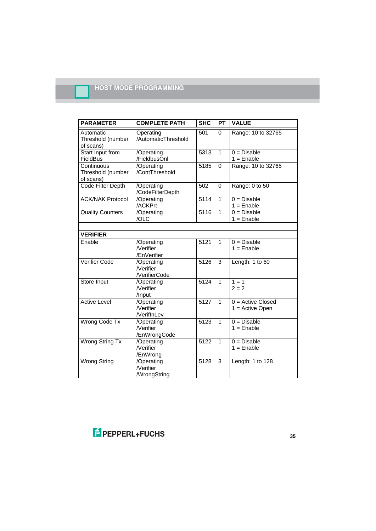| <b>PARAMETER</b>                             | <b>COMPLETE PATH</b>                          | <b>SHC</b> | <b>PT</b>    | <b>VALUE</b>                             |
|----------------------------------------------|-----------------------------------------------|------------|--------------|------------------------------------------|
| Automatic<br>Threshold (number<br>of scans)  | Operating<br>/AutomaticThreshold              | 501        | $\Omega$     | Range: 10 to 32765                       |
| <b>Start Input from</b><br>FieldBus          | /Operating<br>/FieldbusOnl                    | 5313       | $\mathbf{1}$ | $0 = Disable$<br>$1 =$ Enable            |
| Continuous<br>Threshold (number<br>of scans) | /Operating<br>/ContThreshold                  | 5185       | $\Omega$     | Range: 10 to 32765                       |
| Code Filter Depth                            | /Operating<br>/CodeFilterDepth                | 502        | $\mathbf 0$  | Range: 0 to 50                           |
| <b>ACK/NAK Protocol</b>                      | /Operating<br>/ACKPrt                         | 5114       | $\mathbf{1}$ | $\overline{0}$ = Disable<br>$1 =$ Enable |
| <b>Quality Counters</b>                      | /Operating<br>/OLC                            | 5116       | $\mathbf{1}$ | $0 = Disable$<br>$1 =$ Enable            |
| <b>VERIFIER</b>                              |                                               |            |              |                                          |
| Enable                                       | /Operating<br>/Verifier<br>/EnVerifier        | 5121       | 1            | $0 = Disable$<br>$1 =$ Enable            |
| Verifier Code                                | /Operating<br>/Verifier<br>/VerifierCode      | 5126       | 3            | Length: 1 to 60                          |
| Store Input                                  | /Operating<br>/Verifier<br>/Input             | 5124       | $\mathbf{1}$ | $1 = 1$<br>$2 = 2$                       |
| <b>Active Level</b>                          | /Operating<br>/Verifier<br>/VerifInLev        | 5127       | $\mathbf{1}$ | $0 =$ Active Closed<br>$1 =$ Active Open |
| Wrong Code Tx                                | /Operating<br><b>Nerifier</b><br>/EnWrongCode | 5123       | $\mathbf{1}$ | $0 = Disable$<br>$1 =$ Enable            |
| Wrong String Tx                              | /Operating<br>/Verifier<br>/EnWrong           | 5122       | $\mathbf{1}$ | $0 = Disable$<br>$1 =$ Enable            |
| <b>Wrong String</b>                          | /Operating<br>/Verifier<br>/WrongString       | 5128       | 3            | Length: 1 to 128                         |

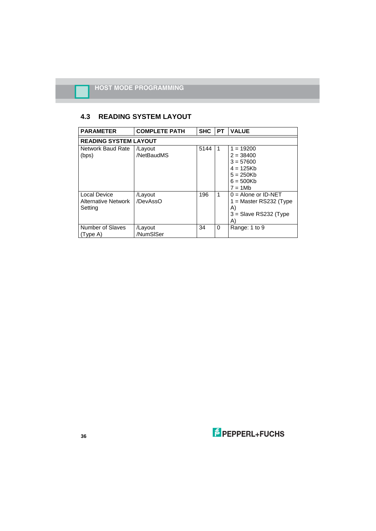## **4.3 READING SYSTEM LAYOUT**

| <b>PARAMETER</b>                                      | <b>COMPLETE PATH</b>  | <b>SHC</b> | PT       | <b>VALUE</b>                                                                                        |
|-------------------------------------------------------|-----------------------|------------|----------|-----------------------------------------------------------------------------------------------------|
| <b>READING SYSTEM LAYOUT</b>                          |                       |            |          |                                                                                                     |
| Network Baud Rate<br>(bps)                            | /Layout<br>/NetBaudMS | 5144       | 1        | $1 = 19200$<br>$2 = 38400$<br>$3 = 57600$<br>$4 = 125Kb$<br>$5 = 250Kb$<br>$6 = 500Kb$<br>$7 = 1Mb$ |
| <b>Local Device</b><br>Alternative Network<br>Setting | /Layout<br>/DevAssO   | 196        | 1        | $0 =$ Alone or ID-NET<br>1 = Master RS232 (Type<br>A)<br>$3 =$ Slave RS232 (Type<br>A)              |
| Number of Slaves<br>(Type A)                          | /Layout<br>/NumSISer  | 34         | $\Omega$ | Range: 1 to 9                                                                                       |

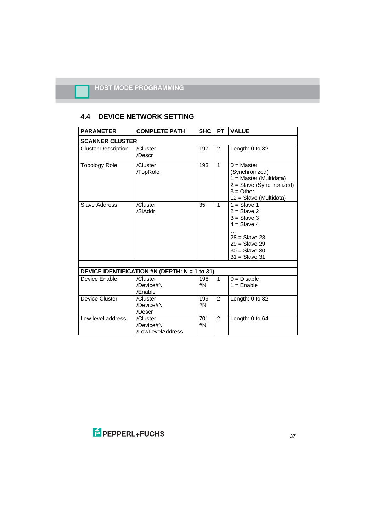## **4.4 DEVICE NETWORK SETTING**

| <b>PARAMETER</b>           | <b>COMPLETE PATH</b>                                                              | <b>SHC</b> | <b>PT</b>      | <b>VALUE</b>                                                                                                                                     |  |  |
|----------------------------|-----------------------------------------------------------------------------------|------------|----------------|--------------------------------------------------------------------------------------------------------------------------------------------------|--|--|
| <b>SCANNER CLUSTER</b>     |                                                                                   |            |                |                                                                                                                                                  |  |  |
| <b>Cluster Description</b> | /Cluster<br>/Descr                                                                | 197        | 2              | Length: 0 to 32                                                                                                                                  |  |  |
| <b>Topology Role</b>       | /Cluster<br>/TopRole                                                              | 193        | $\mathbf{1}$   | $0 = Master$<br>(Synchronized)<br>$1 = Master (Multidata)$<br>2 = Slave (Synchronized)<br>$3 = Other$<br>12 = Slave (Multidata)                  |  |  |
| Slave Address              | /Cluster<br>/SIAddr                                                               | 35         | $\mathbf{1}$   | $1 =$ Slave 1<br>$2 =$ Slave 2<br>$3 =$ Slave 3<br>$4 =$ Slave 4<br>$28 =$ Slave $28$<br>$29$ = Slave 29<br>$30 =$ Slave $30$<br>$31 =$ Slave 31 |  |  |
|                            |                                                                                   |            |                |                                                                                                                                                  |  |  |
| Device Enable              | DEVICE IDENTIFICATION #N (DEPTH: N = 1 to 31)<br>/Cluster<br>/Device#N<br>/Enable | 198<br>#N  | $\mathbf{1}$   | $0 = Disable$<br>$1 =$ Enable                                                                                                                    |  |  |
| Device Cluster             | /Cluster<br>/Device#N<br>/Descr                                                   | 199<br>#N  | $\overline{2}$ | Length: 0 to 32                                                                                                                                  |  |  |
| Low level address          | /Cluster<br>/Device#N<br>/LowLevelAddress                                         | 701<br>#N  | 2              | Length: 0 to 64                                                                                                                                  |  |  |

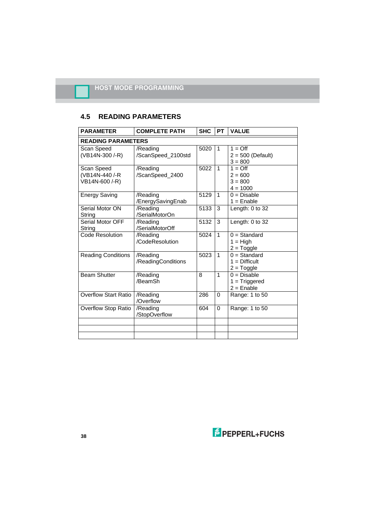# **4.5 READING PARAMETERS**

| <b>PARAMETER</b>                             | <b>COMPLETE PATH</b>           | <b>SHC</b> | <b>PT</b>      | <b>VALUE</b>                                            |  |  |
|----------------------------------------------|--------------------------------|------------|----------------|---------------------------------------------------------|--|--|
| <b>READING PARAMETERS</b>                    |                                |            |                |                                                         |  |  |
| Scan Speed<br>(VB14N-300/-R)                 | /Reading<br>/ScanSpeed_2100std | 5020       | $\overline{1}$ | $1 = \text{Off}$<br>$2 = 500$ (Default)<br>$3 = 800$    |  |  |
| Scan Speed<br>(VB14N-440/-R<br>VB14N-600/-R) | /Reading<br>/ScanSpeed_2400    | 5022       | $\overline{1}$ | $1 = \bigcap f$<br>$2 = 600$<br>$3 = 800$<br>$4 = 1000$ |  |  |
| <b>Energy Saving</b>                         | /Reading<br>/EnergySavingEnab  | 5129       | $\mathbf{1}$   | $0 = Disable$<br>$1 =$ Enable                           |  |  |
| Serial Motor ON<br>String                    | /Reading<br>/SerialMotorOn     | 5133       | 3              | Length: $0$ to $32$                                     |  |  |
| Serial Motor OFF<br>String                   | /Reading<br>/SerialMotorOff    | 5132       | 3              | Length: 0 to 32                                         |  |  |
| Code Resolution                              | /Reading<br>/CodeResolution    | 5024       | $\mathbf{1}$   | $0 = Standard$<br>$1 = High$<br>$2 = Toggle$            |  |  |
| <b>Reading Conditions</b>                    | /Reading<br>/ReadingConditions | 5023       | $\mathbf{1}$   | $0 = Standard$<br>$1 =$ Difficult<br>$2 = Toggle$       |  |  |
| <b>Beam Shutter</b>                          | /Reading<br>/BeamSh            | 8          | $\mathbf{1}$   | $0 = Disable$<br>$1 = Triaggered$<br>$2 =$ Enable       |  |  |
| <b>Overflow Start Ratio</b>                  | /Reading<br>/Overflow          | 286        | $\Omega$       | Range: 1 to 50                                          |  |  |
| <b>Overflow Stop Ratio</b>                   | /Reading<br>/StopOverflow      | 604        | $\Omega$       | Range: 1 to 50                                          |  |  |
|                                              |                                |            |                |                                                         |  |  |
|                                              |                                |            |                |                                                         |  |  |
|                                              |                                |            |                |                                                         |  |  |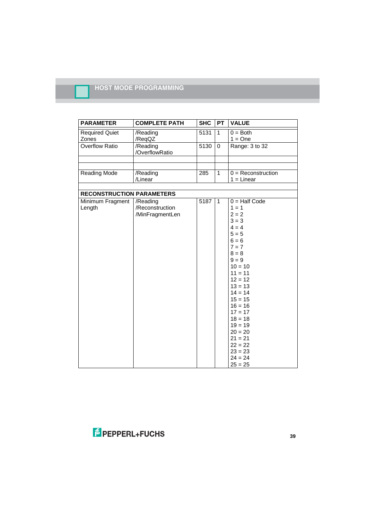| <b>PARAMETER</b>                 | <b>COMPLETE PATH</b>                    | <b>SHC</b> | <b>PT</b>    | <b>VALUE</b>                                                                                                                                                                                                                                                                                                    |
|----------------------------------|-----------------------------------------|------------|--------------|-----------------------------------------------------------------------------------------------------------------------------------------------------------------------------------------------------------------------------------------------------------------------------------------------------------------|
| <b>Required Quiet</b><br>Zones   | /Reading<br>/ReqQZ                      | 5131       | $\mathbf{1}$ | $0 =$ Both<br>$1 = One$                                                                                                                                                                                                                                                                                         |
| <b>Overflow Ratio</b>            | $\overline{R}$ eading<br>/OverflowRatio | 5130       | $\Omega$     | Range: 3 to 32                                                                                                                                                                                                                                                                                                  |
|                                  |                                         |            |              |                                                                                                                                                                                                                                                                                                                 |
| Reading Mode                     | /Reading<br>/Linear                     | 285        | $\mathbf{1}$ | $0 =$ Reconstruction<br>$1 =$ Linear                                                                                                                                                                                                                                                                            |
| <b>RECONSTRUCTION PARAMETERS</b> |                                         |            |              |                                                                                                                                                                                                                                                                                                                 |
| Minimum Fragment                 | /Reading                                | 5187       | $\mathbf{1}$ | $0 = Half Code$                                                                                                                                                                                                                                                                                                 |
| Length                           | /Reconstruction<br>/MinFragmentLen      |            |              | $1 = 1$<br>$2 = 2$<br>$3 = 3$<br>$4 = 4$<br>$5 = 5$<br>$6 = 6$<br>$7 = 7$<br>$8 = 8$<br>$9 = 9$<br>$10 = 10$<br>$11 = 11$<br>$12 = 12$<br>$13 = 13$<br>$14 = 14$<br>$15 = 15$<br>$16 = 16$<br>$17 = 17$<br>$18 = 18$<br>$19 = 19$<br>$20 = 20$<br>$21 = 21$<br>$22 = 22$<br>$23 = 23$<br>$24 = 24$<br>$25 = 25$ |

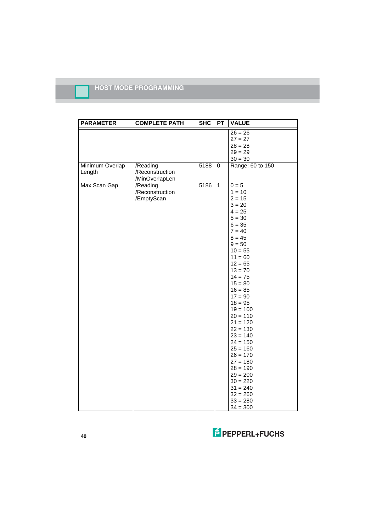| <b>PARAMETER</b>          | <b>COMPLETE PATH</b>                          | <b>SHC</b> | <b>PT</b>      | <b>VALUE</b>                                                                                                                                                                                                                                                                                                                                                                                                                                                             |
|---------------------------|-----------------------------------------------|------------|----------------|--------------------------------------------------------------------------------------------------------------------------------------------------------------------------------------------------------------------------------------------------------------------------------------------------------------------------------------------------------------------------------------------------------------------------------------------------------------------------|
|                           |                                               |            |                | $26 = 26$<br>$27 = 27$<br>$28 = 28$<br>$29 = 29$<br>$30 = 30$                                                                                                                                                                                                                                                                                                                                                                                                            |
| Minimum Overlap<br>Length | /Reading<br>/Reconstruction<br>/MinOverlapLen | 5188       | $\mathbf 0$    | Range: 60 to 150                                                                                                                                                                                                                                                                                                                                                                                                                                                         |
| Max Scan Gap              | /Reading<br>/Reconstruction<br>/EmptyScan     | 5186       | $\overline{1}$ | $0 = 5$<br>$1 = 10$<br>$2 = 15$<br>$3 = 20$<br>$4 = 25$<br>$5 = 30$<br>$6 = 35$<br>$7 = 40$<br>$8 = 45$<br>$9 = 50$<br>$10 = 55$<br>$11 = 60$<br>$12 = 65$<br>$13 = 70$<br>$14 = 75$<br>$15 = 80$<br>$16 = 85$<br>$17 = 90$<br>$18 = 95$<br>$19 = 100$<br>$20 = 110$<br>$21 = 120$<br>$22 = 130$<br>$23 = 140$<br>$24 = 150$<br>$25 = 160$<br>$26 = 170$<br>$27 = 180$<br>$28 = 190$<br>$29 = 200$<br>$30 = 220$<br>$31 = 240$<br>$32 = 260$<br>$33 = 280$<br>$34 = 300$ |

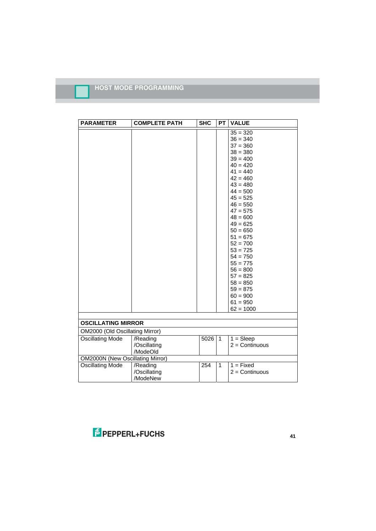| <b>PARAMETER</b>                        | <b>COMPLETE PATH</b>                 | <b>SHC</b> | PT I         | <b>VALUE</b>                                                                                                                                                                                                                                                                                                                                                                                          |
|-----------------------------------------|--------------------------------------|------------|--------------|-------------------------------------------------------------------------------------------------------------------------------------------------------------------------------------------------------------------------------------------------------------------------------------------------------------------------------------------------------------------------------------------------------|
|                                         |                                      |            |              | $35 = 320$<br>$36 = 340$<br>$37 = 360$<br>$38 = 380$<br>$39 = 400$<br>$40 = 420$<br>$41 = 440$<br>$42 = 460$<br>$43 = 480$<br>$44 = 500$<br>$45 = 525$<br>$46 = 550$<br>$47 = 575$<br>$48 = 600$<br>$49 = 625$<br>$50 = 650$<br>$51 = 675$<br>$52 = 700$<br>$53 = 725$<br>$54 = 750$<br>$55 = 775$<br>$56 = 800$<br>$57 = 825$<br>$58 = 850$<br>$59 = 875$<br>$60 = 900$<br>$61 = 950$<br>$62 = 1000$ |
|                                         |                                      |            |              |                                                                                                                                                                                                                                                                                                                                                                                                       |
| <b>OSCILLATING MIRROR</b>               |                                      |            |              |                                                                                                                                                                                                                                                                                                                                                                                                       |
| OM2000 (Old Oscillating Mirror)         |                                      |            |              |                                                                                                                                                                                                                                                                                                                                                                                                       |
| <b>Oscillating Mode</b>                 | /Reading<br>/Oscillating<br>/ModeOld | 5026       | $\mathbf{1}$ | $1 = \text{Sleep}$<br>$2 =$ Continuous                                                                                                                                                                                                                                                                                                                                                                |
| <b>OM2000N (New Oscillating Mirror)</b> |                                      |            |              |                                                                                                                                                                                                                                                                                                                                                                                                       |
| <b>Oscillating Mode</b>                 | /Reading<br>/Oscillating<br>/ModeNew | 254        | $\mathbf{1}$ | $1 =$ Fixed<br>$2 =$ Continuous                                                                                                                                                                                                                                                                                                                                                                       |

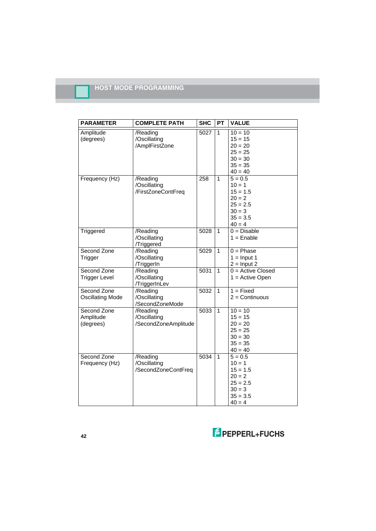| <b>PARAMETER</b>                       | <b>COMPLETE PATH</b>                             | <b>SHC</b> | <b>PT</b>      | <b>VALUE</b>                                                                                        |
|----------------------------------------|--------------------------------------------------|------------|----------------|-----------------------------------------------------------------------------------------------------|
| Amplitude<br>(degrees)                 | /Reading<br>/Oscillating<br>/AmplFirstZone       | 5027       | 1              | $10 = 10$<br>$15 = 15$<br>$20 = 20$<br>$25 = 25$<br>$30 = 30$<br>$35 = 35$<br>$40 = 40$             |
| Frequency (Hz)                         | /Reading<br>/Oscillating<br>/FirstZoneContFreq   | 258        | 1              | $5 = 0.5$<br>$10 = 1$<br>$15 = 1.5$<br>$20 = 2$<br>$25 = 2.5$<br>$30 = 3$<br>$35 = 3.5$<br>$40 = 4$ |
| Triggered                              | /Reading<br>/Oscillating<br>/Triggered           | 5028       | $\mathbf{1}$   | $0 = Disable$<br>$1 =$ Enable                                                                       |
| Second Zone<br>Trigger                 | /Reading<br>/Oscillating<br>/TriggerIn           | 5029       | $\mathbf{1}$   | $0 = Phase$<br>$1 =$ Input 1<br>$2 =$ Input 2                                                       |
| Second Zone<br><b>Trigger Level</b>    | /Reading<br>/Oscillating<br>/TriggerInLev        | 5031       | $\overline{1}$ | $0 =$ Active Closed<br>$1 =$ Active Open                                                            |
| Second Zone<br><b>Oscillating Mode</b> | /Reading<br>/Oscillating<br>/SecondZoneMode      | 5032       | $\overline{1}$ | $1 =$ Fixed<br>$2 =$ Continuous                                                                     |
| Second Zone<br>Amplitude<br>(degrees)  | /Reading<br>/Oscillating<br>/SecondZoneAmplitude | 5033       | $\overline{1}$ | $10 = 10$<br>$15 = 15$<br>$20 = 20$<br>$25 = 25$<br>$30 = 30$<br>$35 = 35$<br>$40 = 40$             |
| Second Zone<br>Frequency (Hz)          | /Reading<br>/Oscillating<br>/SecondZoneContFreq  | 5034       | $\mathbf{1}$   | $5 = 0.5$<br>$10 = 1$<br>$15 = 1.5$<br>$20 = 2$<br>$25 = 2.5$<br>$30 = 3$<br>$35 = 3.5$<br>$40 = 4$ |

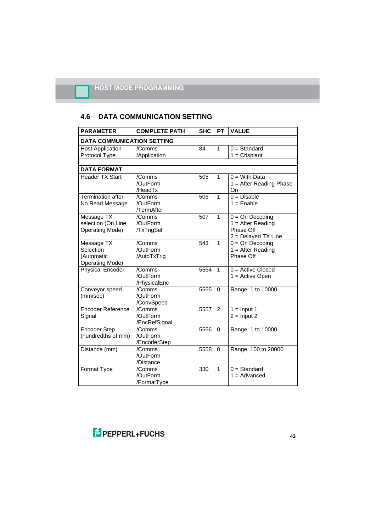#### **4.6 DATA COMMUNICATION SETTING**

| <b>PARAMETER</b>                                                | <b>COMPLETE PATH</b>                | <b>SHC</b> | <b>PT</b>      | <b>VALUE</b>                                                                 |  |  |
|-----------------------------------------------------------------|-------------------------------------|------------|----------------|------------------------------------------------------------------------------|--|--|
| <b>DATA COMMUNICATION SETTING</b>                               |                                     |            |                |                                                                              |  |  |
| <b>Host Application</b><br>Protocol Type                        | /Comms<br>/Application              | 84         | 1              | $0 = Standard$<br>$1 =$ Crisplant                                            |  |  |
|                                                                 |                                     |            |                |                                                                              |  |  |
| <b>DATA FORMAT</b>                                              |                                     |            |                |                                                                              |  |  |
| <b>Header TX Start</b>                                          | /Comms<br>/OutForm<br>/HeadTx       | 505        | 1              | $0 =$ With Data<br>$1 =$ After Reading Phase<br>On                           |  |  |
| <b>Termination after</b><br>No Read Message                     | /Comms<br>/OutForm<br>/TermAfter    | 506        | 1              | $0 = Disable$<br>$1 =$ Enable                                                |  |  |
| <b>Message TX</b><br>selection (On Line<br>Operating Mode)      | /Comms<br>/OutForm<br>/TxTrigSel    | 507        | $\mathbf{1}$   | $0 = On$ Decoding<br>$1 =$ After Reading<br>Phase Off<br>2 = Delayed TX Line |  |  |
| <b>Message TX</b><br>Selection<br>(Automatic<br>Operating Mode) | /Comms<br>/OutForm<br>/AutoTxTrig   | 543        | $\mathbf{1}$   | $0 = On$ Decoding<br>$1 =$ After Reading<br>Phase Off                        |  |  |
| <b>Physical Encoder</b>                                         | /Comms<br>/OutForm<br>/PhysicalEnc  | 5554       | $\mathbf{1}$   | $0 =$ Active Closed<br>$1 =$ Active Open                                     |  |  |
| Conveyor speed<br>(mm/sec)                                      | /Comms<br>/OutForm<br>/ConvSpeed    | 5555       | $\Omega$       | Range: 1 to 10000                                                            |  |  |
| Encoder Reference<br>Signal                                     | /Comms<br>/OutForm<br>/EncRefSignal | 5557       | $\overline{2}$ | $1 =$ Input 1<br>$2 =$ Input 2                                               |  |  |
| <b>Encoder Step</b><br>(hundredths of mm)                       | /Comms<br>/OutForm<br>/EncoderStep  | 5556       | $\Omega$       | Range: 1 to 10000                                                            |  |  |
| Distance (mm)                                                   | /Comms<br>/OutForm<br>/Distance     | 5558       | $\Omega$       | Range: 100 to 20000                                                          |  |  |
| Format Type                                                     | /Comms<br>/OutForm<br>/FormatType   | 330        | $\mathbf{1}$   | $0 = Standard$<br>$1 =$ Advanced                                             |  |  |

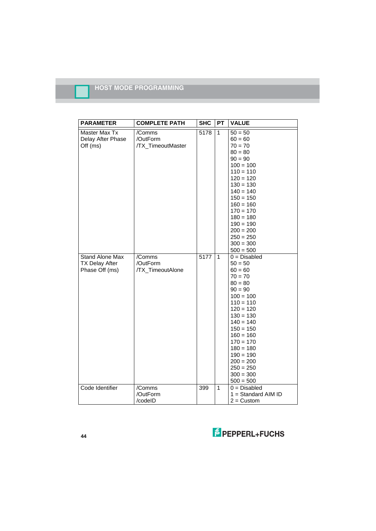| <b>PARAMETER</b>                                                  | <b>COMPLETE PATH</b>                    | <b>SHC</b> | <b>PT</b>    | <b>VALUE</b>                                                                                                                                                                                                                                                                                      |
|-------------------------------------------------------------------|-----------------------------------------|------------|--------------|---------------------------------------------------------------------------------------------------------------------------------------------------------------------------------------------------------------------------------------------------------------------------------------------------|
| <b>Master Max Tx</b><br>Delay After Phase<br>Off (ms)             | /Comms<br>/OutForm<br>/TX_TimeoutMaster | 5178       | $\mathbf{1}$ | $50 = 50$<br>$60 = 60$<br>$70 = 70$<br>$80 = 80$<br>$90 = 90$<br>$100 = 100$<br>$110 = 110$<br>$120 = 120$<br>$130 = 130$<br>$140 = 140$<br>$150 = 150$<br>$160 = 160$<br>$170 = 170$<br>$180 = 180$<br>$190 = 190$<br>$200 = 200$<br>$250 = 250$<br>$300 = 300$<br>$500 = 500$                   |
| <b>Stand Alone Max</b><br><b>TX Delay After</b><br>Phase Off (ms) | /Comms<br>/OutForm<br>/TX_TimeoutAlone  | 5177       | $\mathbf{1}$ | $0 = Disabled$<br>$50 = 50$<br>$60 = 60$<br>$70 = 70$<br>$80 = 80$<br>$90 = 90$<br>$100 = 100$<br>$110 = 110$<br>$120 = 120$<br>$130 = 130$<br>$140 = 140$<br>$150 = 150$<br>$160 = 160$<br>$170 = 170$<br>$180 = 180$<br>$190 = 190$<br>$200 = 200$<br>$250 = 250$<br>$300 = 300$<br>$500 = 500$ |
| Code Identifier                                                   | /Comms<br>/OutForm<br>/codeID           | 399        | 1            | $0 = Disabled$<br>1 = Standard AIM ID<br>$2 =$ Custom                                                                                                                                                                                                                                             |

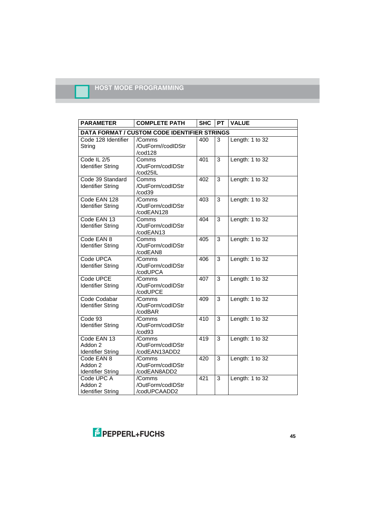| <b>PARAMETER</b>                                    | <b>COMPLETE PATH</b>                                                 | <b>SHC</b> | <b>PT</b>      | <b>VALUE</b>    |  |  |
|-----------------------------------------------------|----------------------------------------------------------------------|------------|----------------|-----------------|--|--|
| <b>DATA FORMAT / CUSTOM CODE IDENTIFIER STRINGS</b> |                                                                      |            |                |                 |  |  |
| Code 128 Identifier<br>String                       | /Comms<br>/OutForm//codIDStr<br>/cod128                              | 400        | 3              | Length: 1 to 32 |  |  |
| Code IL 2/5<br><b>Identifier String</b>             | Comms<br>/OutForm/codIDStr<br>/cod25IL                               | 401        | $\overline{3}$ | Length: 1 to 32 |  |  |
| Code 39 Standard<br><b>Identifier String</b>        | Comms<br>/OutForm/codIDStr<br>/cod39                                 | 402        | 3              | Length: 1 to 32 |  |  |
| Code EAN 128<br><b>Identifier String</b>            | /Comms<br>/OutForm/codIDStr<br>/codEAN128                            | 403        | $\overline{3}$ | Length: 1 to 32 |  |  |
| Code EAN 13<br><b>Identifier String</b>             | Comms<br>/OutForm/codIDStr<br>/codEAN13                              | 404        | 3              | Length: 1 to 32 |  |  |
| Code EAN 8<br><b>Identifier String</b>              | Comms<br>/OutForm/codIDStr<br>/codEAN8                               | 405        | 3              | Length: 1 to 32 |  |  |
| Code UPCA<br><b>Identifier String</b>               | /Comms<br>/OutForm/codIDStr<br>/codUPCA                              | 406        | $\overline{3}$ | Length: 1 to 32 |  |  |
| Code UPCE<br><b>Identifier String</b>               | /Comms<br>/OutForm/codIDStr<br>/codUPCE                              | 407        | $\overline{3}$ | Length: 1 to 32 |  |  |
| Code Codabar<br><b>Identifier String</b>            | /Comms<br>/OutForm/codIDStr<br>/codBAR                               | 409        | 3              | Length: 1 to 32 |  |  |
| Code 93<br><b>Identifier String</b>                 | /Comms<br>/OutForm/codIDStr<br>/cod93                                | 410        | $\overline{3}$ | Length: 1 to 32 |  |  |
| Code EAN 13<br>Addon 2<br><b>Identifier String</b>  | $\overline{\overline{C}}$ omms<br>/OutForm/codIDStr<br>/codEAN13ADD2 | 419        | $\overline{3}$ | Length: 1 to 32 |  |  |
| Code EAN 8<br>Addon 2<br><b>Identifier String</b>   | /Comms<br>/OutForm/codIDStr<br>/codEAN8ADD2                          | 420        | 3              | Length: 1 to 32 |  |  |
| Code UPC A<br>Addon 2<br><b>Identifier String</b>   | /Comms<br>/OutForm/codIDStr<br>/codUPCAADD2                          | 421        | $\overline{3}$ | Length: 1 to 32 |  |  |

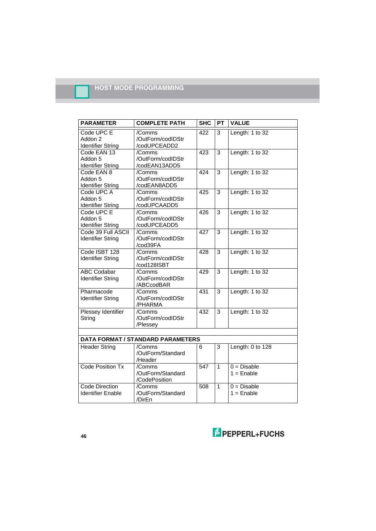| <b>PARAMETER</b>                                   | <b>COMPLETE PATH</b>                         | <b>SHC</b> | <b>PT</b>      | <b>VALUE</b>                  |  |
|----------------------------------------------------|----------------------------------------------|------------|----------------|-------------------------------|--|
| Code UPC E<br>Addon 2<br><b>Identifier String</b>  | /Comms<br>/OutForm/codIDStr<br>/codUPCEADD2  | 422        | 3              | Length: 1 to 32               |  |
| Code EAN 13<br>Addon 5<br><b>Identifier String</b> | /Comms<br>/OutForm/codIDStr<br>/codEAN13ADD5 | 423        | $\overline{3}$ | Length: 1 to 32               |  |
| Code EAN 8<br>Addon 5<br><b>Identifier String</b>  | /Comms<br>/OutForm/codIDStr<br>/codEAN8ADD5  | 424        | 3              | Length: 1 to 32               |  |
| Code UPC A<br>Addon 5<br><b>Identifier String</b>  | /Comms<br>/OutForm/codIDStr<br>/codUPCAADD5  | 425        | 3              | Length: 1 to 32               |  |
| Code UPC E<br>Addon 5<br><b>Identifier String</b>  | /Comms<br>/OutForm/codIDStr<br>/codUPCEADD5  | 426        | 3              | Length: 1 to 32               |  |
| Code 39 Full ASCII<br><b>Identifier String</b>     | /Comms<br>/OutForm/codIDStr<br>/cod39FA      | 427        | $\overline{3}$ | Length: 1 to 32               |  |
| Code ISBT 128<br><b>Identifier String</b>          | /Comms<br>/OutForm/codIDStr<br>/cod128ISBT   | 428        | $\overline{3}$ | Length: 1 to 32               |  |
| <b>ABC Codabar</b><br><b>Identifier String</b>     | /Comms<br>/OutForm/codIDStr<br>/ABCcodBAR    | 429        | $\overline{3}$ | Length: 1 to 32               |  |
| Pharmacode<br><b>Identifier String</b>             | /Comms<br>/OutForm/codIDStr<br>/PHARMA       | 431        | 3              | Length: 1 to 32               |  |
| Plessey Identifier<br>String                       | /Comms<br>/OutForm/codIDStr<br>/Plessey      | 432        | 3              | Length: 1 to 32               |  |
|                                                    |                                              |            |                |                               |  |
|                                                    | <b>DATA FORMAT / STANDARD PARAMETERS</b>     |            |                |                               |  |
| <b>Header String</b>                               | /Comms<br>/OutForm/Standard<br>/Header       | 6          | 3              | Length: 0 to 128              |  |
| <b>Code Position Tx</b>                            | /Comms<br>/OutForm/Standard<br>/CodePosition | 547        | $\mathbf{1}$   | $0 = Disable$<br>$1 =$ Enable |  |
| <b>Code Direction</b><br><b>Identifier Enable</b>  | /Comms<br>/OutForm/Standard<br>/DirEn        | 508        | $\mathbf{1}$   | $0 = Disable$<br>$1 =$ Enable |  |

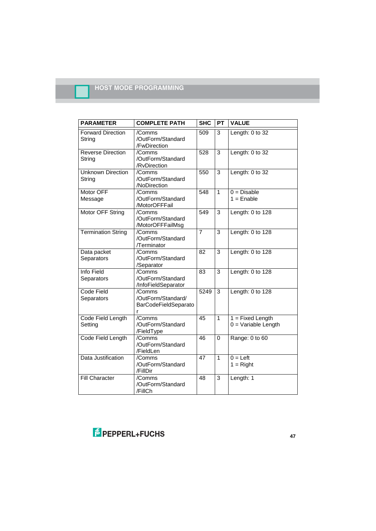| <b>PARAMETER</b>                   | <b>COMPLETE PATH</b>                                                                       | <b>SHC</b>       | <b>PT</b>      | <b>VALUE</b>                                |
|------------------------------------|--------------------------------------------------------------------------------------------|------------------|----------------|---------------------------------------------|
| <b>Forward Direction</b><br>String | /Comms<br>/OutForm/Standard<br>/FwDirection                                                | 509              | 3              | Length: 0 to 32                             |
| <b>Reverse Direction</b><br>String | /Comms<br>/OutForm/Standard<br>/RvDirection                                                | 528              | $\overline{3}$ | Length: 0 to 32                             |
| <b>Unknown Direction</b><br>String | /Comms<br>/OutForm/Standard<br>/NoDirection                                                | 550              | $\overline{3}$ | Length: 0 to 32                             |
| Motor OFF<br>Message               | /Comms<br>/OutForm/Standard<br>/MotorOFFFail                                               | $\overline{548}$ | $\mathbf{1}$   | $0 = Disable$<br>$1 =$ Enable               |
| Motor OFF String                   | /Comms<br>/OutForm/Standard<br>/MotorOFFFailMsg                                            | 549              | 3              | Length: 0 to 128                            |
| <b>Termination String</b>          | /Comms<br>/OutForm/Standard<br>/Terminator                                                 | $\overline{7}$   | 3              | Length: 0 to 128                            |
| Data packet<br>Separators          | /Comms<br>/OutForm/Standard<br>/Separator                                                  | 82               | $\overline{3}$ | Length: 0 to 128                            |
| <b>Info Field</b><br>Separators    | /Comms<br>/OutForm/Standard<br>/InfoFieldSeparator                                         | $\overline{83}$  | $\overline{3}$ | Length: 0 to 128                            |
| <b>Code Field</b><br>Separators    | $\overline{\overline{\mathsf{C}om}}$ ms<br>/OutForm/Standard/<br>BarCodeFieldSeparato<br>r | 5249             | $\overline{3}$ | Length: 0 to 128                            |
| Code Field Length<br>Setting       | /Comms<br>/OutForm/Standard<br>/FieldType                                                  | 45               | $\mathbf{1}$   | $1 = Fixed Length$<br>$0 =$ Variable Length |
| Code Field Length                  | /Comms<br>/OutForm/Standard<br>/FieldLen                                                   | 46               | $\Omega$       | Range: 0 to 60                              |
| Data Justification                 | /Comms<br>/OutForm/Standard<br>/FillDir                                                    | 47               | $\mathbf{1}$   | $0 = \text{Left}$<br>$1 =$ Right            |
| <b>Fill Character</b>              | /Comms<br>/OutForm/Standard<br>/FillCh                                                     | 48               | 3              | Length: 1                                   |

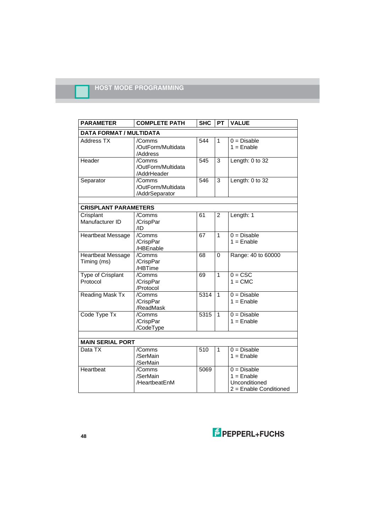| <b>PARAMETER</b>                        | <b>COMPLETE PATH</b>                           | <b>SHC</b> | <b>PT</b>      | <b>VALUE</b>                                                             |
|-----------------------------------------|------------------------------------------------|------------|----------------|--------------------------------------------------------------------------|
| <b>DATA FORMAT / MULTIDATA</b>          |                                                |            |                |                                                                          |
| <b>Address TX</b>                       | /Comms<br>/OutForm/Multidata<br>/Address       | 544        | $\mathbf{1}$   | $0 = Disable$<br>$1 =$ Enable                                            |
| Header                                  | /Comms<br>/OutForm/Multidata<br>/AddrHeader    | 545        | $\overline{3}$ | Length: 0 to 32                                                          |
| Separator                               | /Comms<br>/OutForm/Multidata<br>/AddrSeparator | 546        | $\overline{3}$ | Length: 0 to 32                                                          |
| <b>CRISPLANT PARAMETERS</b>             |                                                |            |                |                                                                          |
| Crisplant<br>Manufacturer ID            | /Comms<br>/CrispPar<br>/ID                     | 61         | $\overline{2}$ | Length: 1                                                                |
| <b>Heartbeat Message</b>                | /Comms<br>/CrispPar<br>/HBEnable               | 67         | $\mathbf{1}$   | $0 = Disable$<br>$1 =$ Enable                                            |
| <b>Heartbeat Message</b><br>Timing (ms) | /Comms<br>/CrispPar<br>/HBTime                 | 68         | $\Omega$       | Range: 40 to 60000                                                       |
| Type of Crisplant<br>Protocol           | /Comms<br>/CrispPar<br>/Protocol               | 69         | $\mathbf{1}$   | $0 = CSC$<br>$1 = CMC$                                                   |
| Reading Mask Tx                         | /Comms<br>/CrispPar<br>/ReadMask               | 5314       | $\mathbf{1}$   | $0 = Disable$<br>$1 =$ Enable                                            |
| Code Type Tx                            | /Comms<br>/CrispPar<br>/CodeType               | 5315       | $\mathbf{1}$   | $0 = Disable$<br>$1 =$ Enable                                            |
|                                         |                                                |            |                |                                                                          |
| <b>MAIN SERIAL PORT</b>                 |                                                |            |                |                                                                          |
| Data TX                                 | /Comms<br>/SerMain<br>/SerMain                 | 510        | $\mathbf{1}$   | $0 = Disable$<br>$1 =$ Enable                                            |
| Heartbeat                               | /Comms<br>/SerMain<br>/HeartbeatEnM            | 5069       |                | $0 = Disable$<br>$1 =$ Enable<br>Unconditioned<br>2 = Enable Conditioned |

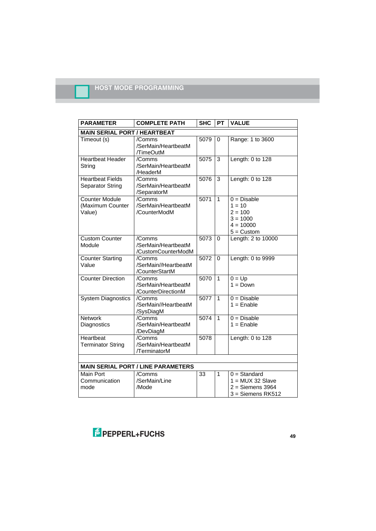| <b>PARAMETER</b>                                    | <b>COMPLETE PATH</b>                                | <b>SHC</b> | PТ             | <b>VALUE</b>                                                                        |  |
|-----------------------------------------------------|-----------------------------------------------------|------------|----------------|-------------------------------------------------------------------------------------|--|
| <b>MAIN SERIAL PORT / HEARTBEAT</b>                 |                                                     |            |                |                                                                                     |  |
| Timeout (s)                                         | /Comms<br>/SerMain/HeartbeatM<br>/TimeOutM          | 5079       | 0              | Range: 1 to 3600                                                                    |  |
| <b>Heartbeat Header</b><br>String                   | /Comms<br>/SerMain/HeartbeatM<br>/HeaderM           | 5075       | $\overline{3}$ | Length: 0 to 128                                                                    |  |
| <b>Heartbeat Fields</b><br>Separator String         | /Comms<br>/SerMain/HeartbeatM<br>/SeparatorM        | 5076       | 3              | Length: 0 to 128                                                                    |  |
| <b>Counter Module</b><br>(Maximum Counter<br>Value) | /Comms<br>/SerMain/HeartbeatM<br>/CounterModM       | 5071       | $\mathbf{1}$   | $0 = Disable$<br>$1 = 10$<br>$2 = 100$<br>$3 = 1000$<br>$4 = 10000$<br>$5 =$ Custom |  |
| <b>Custom Counter</b><br>Module                     | /Comms<br>/SerMain/HeartbeatM<br>/CustomCounterModM | 5073       | $\Omega$       | Length: 2 to 10000                                                                  |  |
| <b>Counter Starting</b><br>Value                    | /Comms<br>/SerMain//HeartbeatM<br>/CounterStartM    | 5072       | $\Omega$       | Length: 0 to 9999                                                                   |  |
| <b>Counter Direction</b>                            | /Comms<br>/SerMain/HeartbeatM<br>/CounterDirectionM | 5070       | $\mathbf{1}$   | $0 = Up$<br>$1 = Down$                                                              |  |
| <b>System Diagnostics</b>                           | /Comms<br>/SerMain//HeartbeatM<br>/SysDiagM         | 5077       | $\mathbf{1}$   | $0 = Disable$<br>$1 =$ Enable                                                       |  |
| <b>Network</b><br>Diagnostics                       | /Comms<br>/SerMain/HeartbeatM<br>/DevDiagM          | 5074       | $\mathbf{1}$   | $0 = Disable$<br>$1 =$ Enable                                                       |  |
| Heartbeat<br><b>Terminator String</b>               | /Comms<br>/SerMain/HeartbeatM<br>/TerminatorM       | 5078       |                | Length: 0 to 128                                                                    |  |
|                                                     |                                                     |            |                |                                                                                     |  |
|                                                     | <b>MAIN SERIAL PORT / LINE PARAMETERS</b>           |            |                |                                                                                     |  |
| Main Port<br>Communication<br>mode                  | /Comms<br>/SerMain/Line<br>/Mode                    | 33         | $\mathbf{1}$   | $0 = Standard$<br>$1 = MUX$ 32 Slave<br>$2 =$ Siemens 3964<br>3 = Siemens RK512     |  |

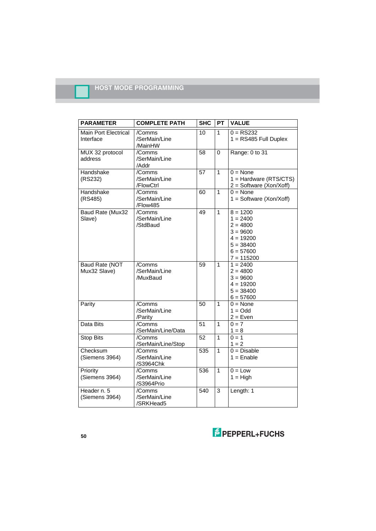| <b>PARAMETER</b>                         | <b>COMPLETE PATH</b>                                                  | <b>SHC</b> | <b>PT</b>      | <b>VALUE</b>                                                                                                      |
|------------------------------------------|-----------------------------------------------------------------------|------------|----------------|-------------------------------------------------------------------------------------------------------------------|
| <b>Main Port Electrical</b><br>Interface | /Comms<br>/SerMain/Line<br>/MainHW                                    | 10         | 1              | $0 = RS232$<br>$1 = RS485$ Full Duplex                                                                            |
| MUX 32 protocol<br>address               | /Comms<br>/SerMain/Line<br>/Addr                                      | 58         | $\Omega$       | Range: 0 to 31                                                                                                    |
| Handshake<br>(RS232)                     | $\overline{\overline{\mathsf{C}om}}$ ms<br>/SerMain/Line<br>/FlowCtrl | 57         | $\mathbf{1}$   | $0 = \text{None}$<br>1 = Hardware (RTS/CTS)<br>$2 =$ Software (Xon/Xoff)                                          |
| Handshake<br>(RS485)                     | /Comms<br>/SerMain/Line<br>/Flow485                                   | 60         | $\mathbf{1}$   | $0 = \text{None}$<br>$1 =$ Software (Xon/Xoff)                                                                    |
| Baud Rate (Mux32<br>Slave)               | /Comms<br>/SerMain/Line<br>/StdBaud                                   | 49         | $\mathbf{1}$   | $8 = 1200$<br>$1 = 2400$<br>$2 = 4800$<br>$3 = 9600$<br>$4 = 19200$<br>$5 = 38400$<br>$6 = 57600$<br>$7 = 115200$ |
| Baud Rate (NOT<br>Mux32 Slave)           | /Comms<br>/SerMain/Line<br>/MuxBaud                                   | 59         | $\mathbf{1}$   | $1 = 2400$<br>$2 = 4800$<br>$3 = 9600$<br>$4 = 19200$<br>$5 = 38400$<br>$6 = 57600$                               |
| Parity                                   | /Comms<br>/SerMain/Line<br>/Parity                                    | 50         | 1              | $0 = \text{None}$<br>$1 = \text{Odd}$<br>$2 = Even$                                                               |
| Data Bits                                | /Comms<br>/SerMain/Line/Data                                          | 51         | 1              | $0 = 7$<br>$1 = 8$                                                                                                |
| <b>Stop Bits</b>                         | /Comms<br>/SerMain/Line/Stop                                          | 52         | $\overline{1}$ | $0 = 1$<br>$1 = 2$                                                                                                |
| Checksum<br>(Siemens 3964)               | /Comms<br>/SerMain/Line<br>/S3964Chk                                  | 535        | $\mathbf{1}$   | $0 = Disable$<br>$1 =$ Enable                                                                                     |
| Priority<br>(Siemens 3964)               | /Comms<br>/SerMain/Line<br>/S3964Prio                                 | 536        | 1              | $0 = Low$<br>$1 = High$                                                                                           |
| Header n. 5<br>(Siemens 3964)            | /Comms<br>/SerMain/Line<br>/SRKHead5                                  | 540        | $\overline{3}$ | Length: 1                                                                                                         |

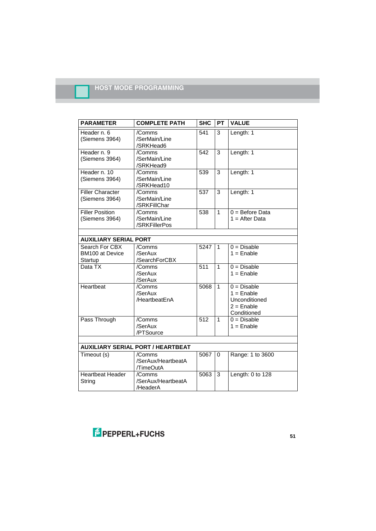| <b>PARAMETER</b>                                    | <b>COMPLETE PATH</b>                      | <b>SHC</b>       | <b>PT</b>      | <b>VALUE</b>                                                                  |  |
|-----------------------------------------------------|-------------------------------------------|------------------|----------------|-------------------------------------------------------------------------------|--|
| Header n. 6<br>(Siemens 3964)                       | /Comms<br>/SerMain/Line<br>/SRKHead6      | 541              | 3              | Length: 1                                                                     |  |
| Header n. 9<br>(Siemens 3964)                       | /Comms<br>/SerMain/Line<br>/SRKHead9      | 542              | 3              | Length: 1                                                                     |  |
| Header n. 10<br>(Siemens 3964)                      | /Comms<br>/SerMain/Line<br>/SRKHead10     | 539              | $\overline{3}$ | Length: 1                                                                     |  |
| <b>Filler Character</b><br>(Siemens 3964)           | /Comms<br>/SerMain/Line<br>/SRKFillChar   | 537              | 3              | Length: 1                                                                     |  |
| <b>Filler Position</b><br>(Siemens 3964)            | /Comms<br>/SerMain/Line<br>/SRKFillerPos  | 538              | $\mathbf{1}$   | $0 =$ Before Data<br>$1 =$ After Data                                         |  |
|                                                     |                                           |                  |                |                                                                               |  |
| <b>AUXILIARY SERIAL PORT</b>                        |                                           |                  |                |                                                                               |  |
| Search For CBX<br><b>BM100 at Device</b><br>Startup | /Comms<br>/SerAux<br>/SearchForCBX        | 5247             | $\mathbf{1}$   | $0 = Disable$<br>$1 =$ Enable                                                 |  |
| Data TX                                             | /Comms<br>/SerAux<br>/SerAux              | $\overline{511}$ | $\mathbf{1}$   | $0 = Disable$<br>$1 =$ Enable                                                 |  |
| Heartbeat                                           | /Comms<br>/SerAux<br>/HeartbeatEnA        | 5068             | $\mathbf{1}$   | $0 = Disable$<br>$1 =$ Enable<br>Unconditioned<br>$2 =$ Enable<br>Conditioned |  |
| Pass Through                                        | /Comms<br>/SerAux<br>/PTSource            | 512              | $\mathbf{1}$   | $0 = Disable$<br>$1 =$ Enable                                                 |  |
|                                                     |                                           |                  |                |                                                                               |  |
|                                                     | <b>AUXILIARY SERIAL PORT / HEARTBEAT</b>  |                  |                |                                                                               |  |
| Timeout (s)                                         | /Comms<br>/SerAux/HeartbeatA<br>/TimeOutA | 5067             | $\mathbf 0$    | Range: 1 to 3600                                                              |  |
| <b>Heartbeat Header</b><br>String                   | /Comms<br>/SerAux/HeartbeatA<br>/HeaderA  | 5063             | 3              | Length: 0 to 128                                                              |  |

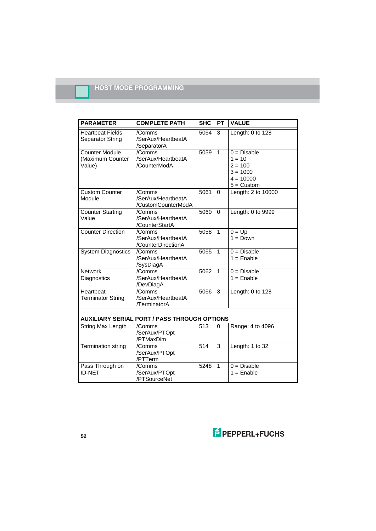| <b>PARAMETER</b>                                    | <b>COMPLETE PATH</b>                               | <b>SHC</b> | <b>PT</b>      | <b>VALUE</b>                                                                        |
|-----------------------------------------------------|----------------------------------------------------|------------|----------------|-------------------------------------------------------------------------------------|
| <b>Heartbeat Fields</b><br>Separator String         | /Comms<br>/SerAux/HeartbeatA<br>/SeparatorA        | 5064       | 3              | Length: 0 to 128                                                                    |
| <b>Counter Module</b><br>(Maximum Counter<br>Value) | /Comms<br>/SerAux/HeartbeatA<br>/CounterModA       | 5059       | $\overline{1}$ | $0 = Disable$<br>$1 = 10$<br>$2 = 100$<br>$3 = 1000$<br>$4 = 10000$<br>$5 =$ Custom |
| <b>Custom Counter</b><br>Module                     | /Comms<br>/SerAux/HeartbeatA<br>/CustomCounterModA | 5061       | $\Omega$       | Length: 2 to 10000                                                                  |
| <b>Counter Starting</b><br>Value                    | /Comms<br>/SerAux/HeartbeatA<br>/CounterStartA     | 5060       | $\Omega$       | Length: 0 to 9999                                                                   |
| <b>Counter Direction</b>                            | /Comms<br>/SerAux/HeartbeatA<br>/CounterDirectionA | 5058       | $\mathbf{1}$   | $\overline{0}$ = Up<br>$1 = Down$                                                   |
| <b>System Diagnostics</b>                           | /Comms<br>/SerAux/HeartbeatA<br>/SysDiagA          | 5065       | $\mathbf{1}$   | $0 = Disable$<br>$1 =$ Enable                                                       |
| <b>Network</b><br>Diagnostics                       | /Comms<br>/SerAux/HeartbeatA<br>/DevDiagA          | 5062       | $\mathbf{1}$   | $0 = Disable$<br>$1 =$ Enable                                                       |
| Heartbeat<br><b>Terminator String</b>               | /Comms<br>/SerAux/HeartbeatA<br>/TerminatorA       | 5066       | $\overline{3}$ | Length: 0 to 128                                                                    |
| <b>AUXILIARY SERIAL PORT / PASS THROUGH OPTIONS</b> |                                                    |            |                |                                                                                     |
| String Max Length                                   | /Comms<br>/SerAux/PTOpt<br>/PTMaxDim               | 513        | $\Omega$       | Range: 4 to 4096                                                                    |
| <b>Termination string</b>                           | /Comms<br>/SerAux/PTOpt<br>/PTTerm                 | 514        | $\overline{3}$ | Length: 1 to 32                                                                     |
| Pass Through on<br><b>ID-NET</b>                    | /Comms<br>/SerAux/PTOpt<br>/PTSourceNet            | 5248       | $\mathbf{1}$   | $0 = Disable$<br>$1 =$ Enable                                                       |

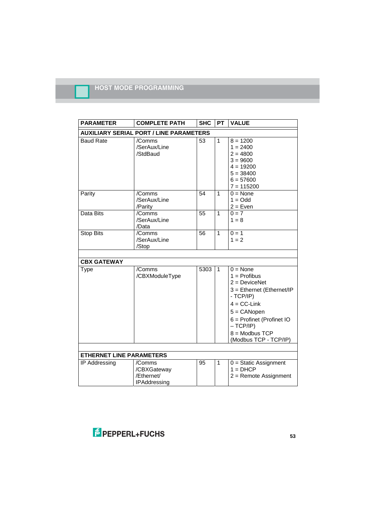| <b>PARAMETER</b>                | <b>COMPLETE PATH</b>                                       | <b>SHC</b> | <b>PT</b>    | <b>VALUE</b>                                                                                                                                                                                                                 |
|---------------------------------|------------------------------------------------------------|------------|--------------|------------------------------------------------------------------------------------------------------------------------------------------------------------------------------------------------------------------------------|
|                                 | <b>AUXILIARY SERIAL PORT / LINE PARAMETERS</b>             |            |              |                                                                                                                                                                                                                              |
| <b>Baud Rate</b>                | /Comms<br>/SerAux/Line<br>/StdBaud                         | 53         | $\mathbf{1}$ | $8 = 1200$<br>$1 = 2400$<br>$2 = 4800$<br>$3 = 9600$<br>$4 = 19200$<br>$5 = 38400$<br>$6 = 57600$<br>$7 = 115200$                                                                                                            |
| Parity                          | /Comms<br>/SerAux/Line<br>/Parity                          | 54         | $\mathbf{1}$ | $0 = \text{None}$<br>$1 = \text{Odd}$<br>$2 = Even$                                                                                                                                                                          |
| Data Bits                       | /Comms<br>/SerAux/Line<br>/Data                            | 55         | 1            | $0 = 7$<br>$1 = 8$                                                                                                                                                                                                           |
| <b>Stop Bits</b>                | /Comms<br>/SerAux/Line<br>/Stop                            | 56         | 1            | $0 = 1$<br>$1 = 2$                                                                                                                                                                                                           |
|                                 |                                                            |            |              |                                                                                                                                                                                                                              |
| <b>CBX GATEWAY</b>              |                                                            |            |              |                                                                                                                                                                                                                              |
| Type                            | /Comms<br>/CBXModuleType                                   | 5303       | $\mathbf{1}$ | $0 = \text{None}$<br>$1 =$ Profibus<br>$2 = DeviceNet$<br>3 = Ethernet (Ethernet/IP<br>- TCP/IP)<br>$4 = CC$ -Link<br>$5 =$ CANopen<br>6 = Profinet (Profinet IO<br>$- TCP/IP)$<br>$8 =$ Modbus TCP<br>(Modbus TCP - TCP/IP) |
|                                 |                                                            |            |              |                                                                                                                                                                                                                              |
| <b>ETHERNET LINE PARAMETERS</b> |                                                            |            |              |                                                                                                                                                                                                                              |
| IP Addressing                   | /Comms<br>/CBXGateway<br>/Ethernet/<br><b>IPAddressing</b> | 95         | $\mathbf{1}$ | $0 =$ Static Assignment<br>$1 = DHCP$<br>$2 =$ Remote Assignment                                                                                                                                                             |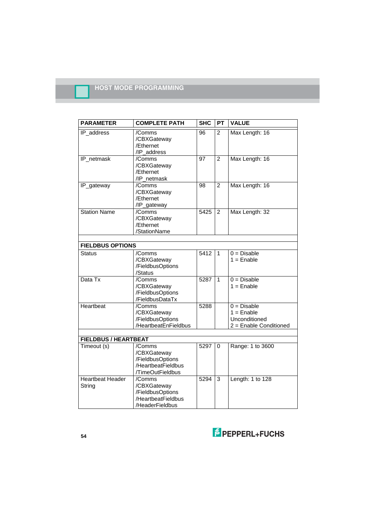| <b>PARAMETER</b>                  | <b>COMPLETE PATH</b>                                                                | <b>SHC</b> | PT             | <b>VALUE</b>                                                             |
|-----------------------------------|-------------------------------------------------------------------------------------|------------|----------------|--------------------------------------------------------------------------|
| IP address                        | /Comms<br>/CBXGateway<br>/Ethernet<br>/IP_address                                   | 96         | 2              | Max Length: 16                                                           |
| IP_netmask                        | /Comms<br>/CBXGateway<br>/Ethernet<br>/IP_netmask                                   | 97         | $\mathfrak{p}$ | Max Length: 16                                                           |
| IP_gateway                        | /Comms<br>/CBXGateway<br>/Ethernet<br>/IP_gateway                                   | 98         | $\overline{2}$ | Max Length: 16                                                           |
| <b>Station Name</b>               | /Comms<br>/CBXGateway<br>/Ethernet<br>/StationName                                  | 5425       | $\overline{2}$ | Max Length: 32                                                           |
|                                   |                                                                                     |            |                |                                                                          |
| <b>FIELDBUS OPTIONS</b>           |                                                                                     |            |                |                                                                          |
| <b>Status</b>                     | /Comms<br>/CBXGateway<br>/FieldbusOptions<br>/Status                                | 5412       | $\mathbf{1}$   | $0 = Disable$<br>$1 =$ Enable                                            |
| Data Tx                           | /Comms<br>/CBXGateway<br>/FieldbusOptions<br>/FieldbusDataTx                        | 5287       | $\overline{1}$ | $0 = Disable$<br>$1 =$ Enable                                            |
| Heartbeat                         | /Comms<br>/CBXGateway<br>/FieldbusOptions<br>/HeartbeatEnFieldbus                   | 5288       |                | $0 = Disable$<br>$1 =$ Enable<br>Unconditioned<br>2 = Enable Conditioned |
|                                   |                                                                                     |            |                |                                                                          |
| <b>FIELDBUS / HEARTBEAT</b>       |                                                                                     |            |                |                                                                          |
| Timeout (s)                       | /Comms<br>/CBXGateway<br>/FieldbusOptions<br>/HeartbeatFieldbus<br>/TimeOutFieldbus | 5297       | 0              | Range: 1 to 3600                                                         |
| <b>Heartbeat Header</b><br>String | /Comms<br>/CBXGateway<br>/FieldbusOptions<br>/HeartbeatFieldbus<br>/HeaderFieldbus  | 5294       | $\overline{3}$ | Length: 1 to 128                                                         |

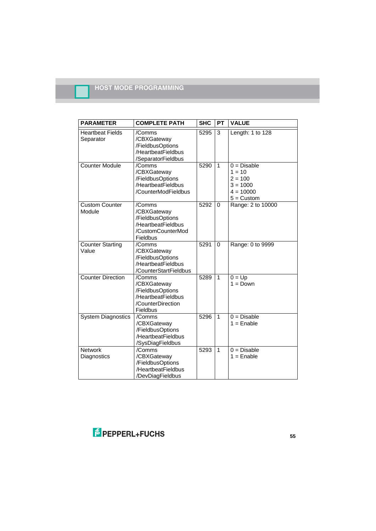| <b>PARAMETER</b>                     | <b>COMPLETE PATH</b>                                                                                    | <b>SHC</b> | <b>PT</b>    | <b>VALUE</b>                                                                        |
|--------------------------------------|---------------------------------------------------------------------------------------------------------|------------|--------------|-------------------------------------------------------------------------------------|
| <b>Heartbeat Fields</b><br>Separator | /Comms<br>/CBXGateway<br>/FieldbusOptions<br>/HeartbeatFieldbus<br>/SeparatorFieldbus                   | 5295       | 3            | Length: 1 to 128                                                                    |
| <b>Counter Module</b>                | /Comms<br>/CBXGateway<br>/FieldbusOptions<br>/HeartbeatFieldbus<br>/CounterModFieldbus                  | 5290       | $\mathbf{1}$ | $0 = Disable$<br>$1 = 10$<br>$2 = 100$<br>$3 = 1000$<br>$4 = 10000$<br>$5 =$ Custom |
| <b>Custom Counter</b><br>Module      | /Comms<br>/CBXGateway<br>/FieldbusOptions<br>/HeartbeatFieldbus<br>/CustomCounterMod<br>Fieldbus        | 5292       | $\Omega$     | Range: 2 to 10000                                                                   |
| <b>Counter Starting</b><br>Value     | /Comms<br>/CBXGateway<br>/FieldbusOptions<br>/HeartbeatFieldbus<br>/CounterStartFieldbus                | 5291       | $\Omega$     | Range: 0 to 9999                                                                    |
| <b>Counter Direction</b>             | /Comms<br>/CBXGateway<br>/FieldbusOptions<br>/HeartbeatFieldbus<br>/CounterDirection<br><b>Fieldbus</b> | 5289       | $\mathbf{1}$ | $0 = Up$<br>$1 = Down$                                                              |
| <b>System Diagnostics</b>            | /Comms<br>/CBXGateway<br>/FieldbusOptions<br>/HeartbeatFieldbus<br>/SysDiagFieldbus                     | 5296       | $\mathbf{1}$ | $0 = Disable$<br>$1 =$ Enable                                                       |
| <b>Network</b><br>Diagnostics        | /Comms<br>/CBXGateway<br>/FieldbusOptions<br>/HeartbeatFieldbus<br>/DevDiagFieldbus                     | 5293       | $\mathbf{1}$ | $0 = Disable$<br>$1 =$ Enable                                                       |

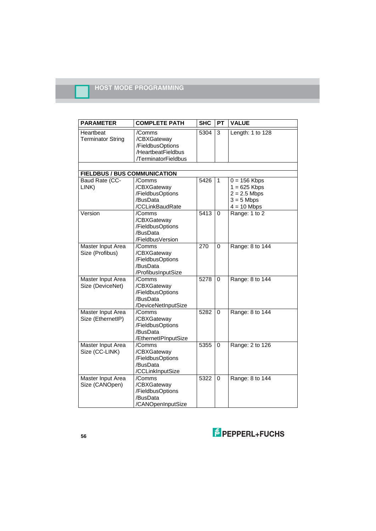| <b>PARAMETER</b>                       | <b>COMPLETE PATH</b>                                                                   | <b>SHC</b> | <b>PT</b>   | <b>VALUE</b>                                                                        |  |  |  |  |
|----------------------------------------|----------------------------------------------------------------------------------------|------------|-------------|-------------------------------------------------------------------------------------|--|--|--|--|
| Heartbeat<br><b>Terminator String</b>  | /Comms<br>/CBXGateway<br>/FieldbusOptions<br>/HeartbeatFieldbus<br>/TerminatorFieldbus | 5304       | 3           | Length: 1 to 128                                                                    |  |  |  |  |
|                                        |                                                                                        |            |             |                                                                                     |  |  |  |  |
|                                        | <b>FIELDBUS / BUS COMMUNICATION</b>                                                    |            |             |                                                                                     |  |  |  |  |
| Baud Rate (CC-<br>LINK)                | /Comms<br>/CBXGateway<br>/FieldbusOptions<br>/BusData<br>/CCLinkBaudRate               | 5426       | 1           | $0 = 156$ Kbps<br>$1 = 625$ Kbps<br>$2 = 2.5$ Mbps<br>$3 = 5$ Mbps<br>$4 = 10$ Mbps |  |  |  |  |
| Version                                | /Comms<br>/CBXGateway<br>/FieldbusOptions<br>/BusData<br>/FieldbusVersion              | 5413       | $\Omega$    | Range: 1 to 2                                                                       |  |  |  |  |
| Master Input Area<br>Size (Profibus)   | /Comms<br>/CBXGateway<br>/FieldbusOptions<br>/BusData<br>/ProfibusInputSize            | 270        | $\Omega$    | Range: 8 to 144                                                                     |  |  |  |  |
| Master Input Area<br>Size (DeviceNet)  | /Comms<br>/CBXGateway<br>/FieldbusOptions<br>/BusData<br>/DeviceNetInputSize           | 5278       | $\Omega$    | Range: 8 to 144                                                                     |  |  |  |  |
| Master Input Area<br>Size (EthernetIP) | /Comms<br>/CBXGateway<br>/FieldbusOptions<br>/BusData<br>/EthernetIPInputSize          | 5282       | $\mathbf 0$ | Range: 8 to 144                                                                     |  |  |  |  |
| Master Input Area<br>Size (CC-LINK)    | /Comms<br>/CBXGateway<br>/FieldbusOptions<br>/BusData<br>/CCLinkInputSize              | 5355       | $\Omega$    | Range: 2 to 126                                                                     |  |  |  |  |
| Master Input Area<br>Size (CANOpen)    | /Comms<br>/CBXGateway<br>/FieldbusOptions<br>/BusData<br>/CANOpenInputSize             | 5322       | $\mathbf 0$ | Range: 8 to 144                                                                     |  |  |  |  |

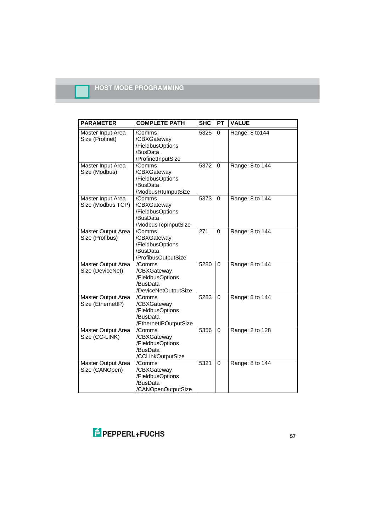| <b>PARAMETER</b>                            | <b>COMPLETE PATH</b>                                                                                   | <b>SHC</b> | <b>PT</b>      | <b>VALUE</b>    |
|---------------------------------------------|--------------------------------------------------------------------------------------------------------|------------|----------------|-----------------|
| Master Input Area<br>Size (Profinet)        | /Comms<br>/CBXGateway<br>/FieldbusOptions<br>/BusData<br>/ProfinetInputSize                            | 5325       | 0              | Range: 8 to 144 |
| Master Input Area<br>Size (Modbus)          | /Comms<br>/CBXGateway<br>/FieldbusOptions<br>/BusData<br>/ModbusRtuInputSize                           | 5372       | $\mathbf 0$    | Range: 8 to 144 |
| Master Input Area<br>Size (Modbus TCP)      | /Comms<br>/CBXGateway<br>/FieldbusOptions<br>/BusData<br>/ModbusTcpInputSize                           | 5373       | $\Omega$       | Range: 8 to 144 |
| Master Output Area<br>Size (Profibus)       | /Comms<br>/CBXGateway<br>/FieldbusOptions<br>/BusData<br>/ProfibusOutputSize                           | 271        | $\Omega$       | Range: 8 to 144 |
| Master Output Area<br>Size (DeviceNet)      | /Comms<br>/CBXGateway<br>/FieldbusOptions<br>/BusData<br>/DeviceNetOutputSize                          | 5280       | $\overline{0}$ | Range: 8 to 144 |
| Master Output Area<br>Size (EthernetIP)     | $\overline{\overline{C}}$ omms<br>/CBXGateway<br>/FieldbusOptions<br>/BusData<br>/EthernetIPOutputSize | 5283       | $\overline{0}$ | Range: 8 to 144 |
| <b>Master Output Area</b><br>Size (CC-LINK) | /Comms<br>/CBXGateway<br>/FieldbusOptions<br>/BusData<br>/CCLinkOutputSize                             | 5356       | $\overline{0}$ | Range: 2 to 128 |
| Master Output Area<br>Size (CANOpen)        | /Comms<br>/CBXGateway<br>/FieldbusOptions<br>/BusData<br>/CANOpenOutputSize                            | 5321       | 0              | Range: 8 to 144 |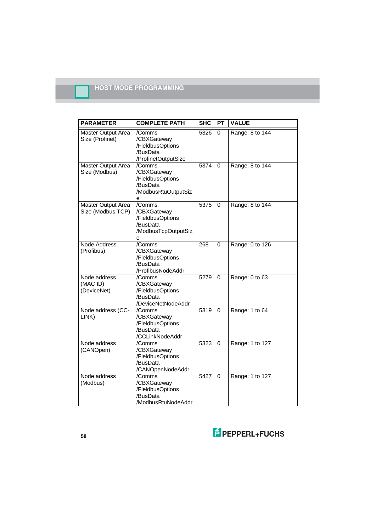| <b>PARAMETER</b>                               | <b>COMPLETE PATH</b>                                                              | <b>SHC</b> | <b>PT</b>   | <b>VALUE</b>    |
|------------------------------------------------|-----------------------------------------------------------------------------------|------------|-------------|-----------------|
| Master Output Area<br>Size (Profinet)          | /Comms<br>/CBXGateway<br>/FieldbusOptions<br>/BusData<br>/ProfinetOutputSize      | 5326       | 0           | Range: 8 to 144 |
| <b>Master Output Area</b><br>Size (Modbus)     | /Comms<br>/CBXGateway<br>/FieldbusOptions<br>/BusData<br>/ModbusRtuOutputSiz      | 5374       | $\mathbf 0$ | Range: 8 to 144 |
| <b>Master Output Area</b><br>Size (Modbus TCP) | /Comms<br>/CBXGateway<br>/FieldbusOptions<br>/BusData<br>/ModbusTcpOutputSiz<br>e | 5375       | $\mathbf 0$ | Range: 8 to 144 |
| <b>Node Address</b><br>(Profibus)              | /Comms<br>/CBXGateway<br>/FieldbusOptions<br>/BusData<br>/ProfibusNodeAddr        | 268        | 0           | Range: 0 to 126 |
| Node address<br>(MAC ID)<br>(DeviceNet)        | /Comms<br>/CBXGateway<br>/FieldbusOptions<br>/BusData<br>/DeviceNetNodeAddr       | 5279       | $\Omega$    | Range: 0 to 63  |
| Node address (CC-<br>LINK)                     | /Comms<br>/CBXGateway<br>/FieldbusOptions<br>/BusData<br>/CCLinkNodeAddr          | 5319       | 0           | Range: 1 to 64  |
| Node address<br>(CANOpen)                      | /Comms<br>/CBXGateway<br>/FieldbusOptions<br>/BusData<br>/CANOpenNodeAddr         | 5323       | 0           | Range: 1 to 127 |
| Node address<br>(Modbus)                       | /Comms<br>/CBXGateway<br>/FieldbusOptions<br>/BusData<br>/ModbusRtuNodeAddr       | 5427       | $\Omega$    | Range: 1 to 127 |

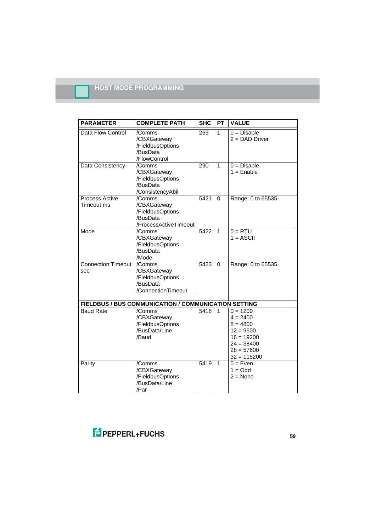| <b>PARAMETER</b>                 | <b>COMPLETE PATH</b>                                                           | <b>SHC</b> | <b>PT</b>    | <b>VALUE</b>                                                                                                           |
|----------------------------------|--------------------------------------------------------------------------------|------------|--------------|------------------------------------------------------------------------------------------------------------------------|
| Data Flow Control                | /Comms<br>/CBXGateway<br>/FieldbusOptions<br>/BusData<br>/FlowControl          | 269        | 1            | $0 = Disable$<br>$2 = DAD$ Driver                                                                                      |
| Data Consistency                 | /Comms<br>/CBXGateway<br>/FieldbusOptions<br>/BusData<br>/ConsistencyAbil      | 290        | $\mathbf{1}$ | $0 = Disable$<br>$1 =$ Enable                                                                                          |
| Process Active<br>Timeout ms     | /Comms<br>/CBXGateway<br>/FieldbusOptions<br>/BusData<br>/ProcessActiveTimeout | 5421       | $\Omega$     | Range: 0 to 65535                                                                                                      |
| Mode                             | /Comms<br>/CBXGateway<br>/FieldbusOptions<br>/BusData<br>/Mode                 | 5422       | $\mathbf{1}$ | $0 = RTU$<br>$1 = ASCII$                                                                                               |
| <b>Connection Timeout</b><br>sec | /Comms<br>/CBXGateway<br>/FieldbusOptions<br>/BusData<br>/ConnectionTimeout    | 5423       | $\mathbf 0$  | Range: 0 to 65535                                                                                                      |
|                                  |                                                                                |            |              |                                                                                                                        |
|                                  | FIELDBUS / BUS COMMUNICATION / COMMUNICATION SETTING                           |            |              |                                                                                                                        |
| <b>Baud Rate</b>                 | /Comms<br>/CBXGateway<br>/FieldbusOptions<br>/BusData/Line<br>/Baud            | 5418       | 1            | $0 = 1200$<br>$4 = 2400$<br>$8 = 4800$<br>$12 = 9600$<br>$16 = 19200$<br>$24 = 38400$<br>$28 = 57600$<br>$32 = 115200$ |
| Parity                           | /Comms<br>/CBXGateway<br>/FieldbusOptions<br>/BusData/Line<br>/Par             | 5419       | $\mathbf{1}$ | $0 = Even$<br>$1 = Odd$<br>$2 = None$                                                                                  |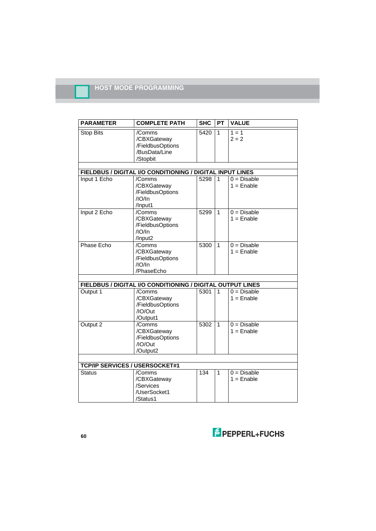| <b>PARAMETER</b>                      | <b>COMPLETE PATH</b>                                                   | <b>SHC</b> | <b>PT</b>    | <b>VALUE</b>                  |
|---------------------------------------|------------------------------------------------------------------------|------------|--------------|-------------------------------|
| <b>Stop Bits</b>                      | /Comms<br>/CBXGateway<br>/FieldbusOptions<br>/BusData/Line<br>/Stopbit | 5420       | 1            | $1 = 1$<br>$2 = 2$            |
|                                       | FIELDBUS / DIGITAL I/O CONDITIONING / DIGITAL INPUT LINES              |            |              |                               |
| Input 1 Echo                          | /Comms<br>/CBXGateway<br>/FieldbusOptions<br>/IO/In<br>/Input1         | 5298       | 1            | $0 = Disable$<br>$1 =$ Enable |
| Input 2 Echo                          | /Comms<br>/CBXGateway<br>/FieldbusOptions<br>/IO/In<br>/Input2         | 5299       | $\mathbf{1}$ | $0 = Disable$<br>$1 =$ Enable |
| <b>Phase Echo</b>                     | /Comms<br>/CBXGateway<br>/FieldbusOptions<br>/IO/In<br>/PhaseEcho      | 5300       | $\mathbf{1}$ | $0 = Disable$<br>$1 =$ Enable |
|                                       |                                                                        |            |              |                               |
|                                       | FIELDBUS / DIGITAL I/O CONDITIONING / DIGITAL OUTPUT LINES             |            |              |                               |
| Output 1                              | /Comms<br>/CBXGateway<br>/FieldbusOptions<br>/IO/Out<br>/Output1       | 5301       | $\mathbf{1}$ | $0 = Disable$<br>$1 =$ Enable |
| Output 2                              | /Comms<br>/CBXGateway<br>/FieldbusOptions<br>/IO/Out<br>/Output2       | 5302       | $\mathbf{1}$ | $0 = Disable$<br>$1 =$ Enable |
|                                       |                                                                        |            |              |                               |
| <b>TCP/IP SERVICES / USERSOCKET#1</b> |                                                                        |            |              |                               |
| <b>Status</b>                         | /Comms<br>/CBXGateway<br>/Services<br>/UserSocket1<br>/Status1         | 134        | $\mathbf{1}$ | $0 = Disable$<br>$1 =$ Enable |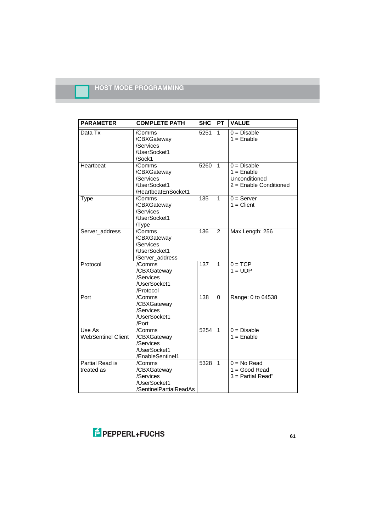| <b>PARAMETER</b>                     | <b>COMPLETE PATH</b>                                                         | <b>SHC</b>        | <b>PT</b>      | <b>VALUE</b>                                                             |
|--------------------------------------|------------------------------------------------------------------------------|-------------------|----------------|--------------------------------------------------------------------------|
| Data Tx                              | /Comms<br>/CBXGateway<br>/Services<br>/UserSocket1<br>/Sock1                 | $\overline{5}251$ | $\mathbf{1}$   | $0 = Disable$<br>$1 =$ Enable                                            |
| Heartbeat                            | /Comms<br>/CBXGateway<br>/Services<br>/UserSocket1<br>/HeartbeatEnSocket1    | 5260              | $\mathbf{1}$   | $0 = Disable$<br>$1 =$ Enable<br>Unconditioned<br>2 = Enable Conditioned |
| <b>Type</b>                          | /Comms<br>/CBXGateway<br>/Services<br>/UserSocket1<br>/Type                  | 135               | $\mathbf{1}$   | $0 =$ Server<br>$1 =$ Client                                             |
| Server_address                       | /Comms<br>/CBXGateway<br>/Services<br>/UserSocket1<br>/Server_address        | 136               | $\overline{2}$ | Max Length: 256                                                          |
| Protocol                             | /Comms<br>/CBXGateway<br>/Services<br>/UserSocket1<br>/Protocol              | 137               | $\mathbf{1}$   | $0 = TCP$<br>$1 = UDP$                                                   |
| Port                                 | /Comms<br>/CBXGateway<br>/Services<br>/UserSocket1<br>/Port                  | 138               | $\Omega$       | Range: 0 to 64538                                                        |
| Use As<br><b>WebSentinel Client</b>  | /Comms<br>/CBXGateway<br>/Services<br>/UserSocket1<br>/EnableSentinel1       | 5254              | $\overline{1}$ | $0 = Disable$<br>$1 =$ Enable                                            |
| <b>Partial Read is</b><br>treated as | /Comms<br>/CBXGateway<br>/Services<br>/UserSocket1<br>/SentinelPartialReadAs | 5328              | $\mathbf{1}$   | $0 = No Read$<br>$1 = Good Read$<br>$3$ = Partial Read"                  |

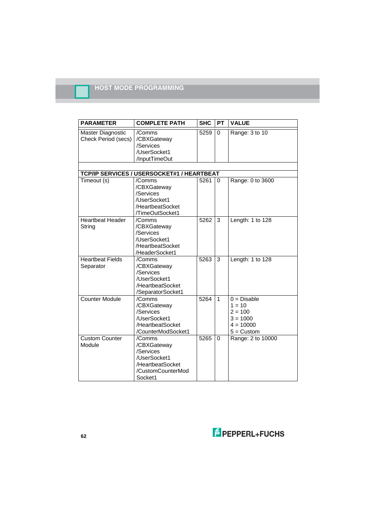| <b>PARAMETER</b>                         | <b>COMPLETE PATH</b>                                                                                   | <b>SHC</b> | <b>PT</b>      | <b>VALUE</b>                                                                        |
|------------------------------------------|--------------------------------------------------------------------------------------------------------|------------|----------------|-------------------------------------------------------------------------------------|
| Master Diagnostic<br>Check Period (secs) | /Comms<br>/CBXGateway<br>/Services<br>/UserSocket1<br>/InputTimeOut                                    | 5259       | $\Omega$       | Range: 3 to 10                                                                      |
|                                          |                                                                                                        |            |                |                                                                                     |
| Timeout (s)                              | <b>TCP/IP SERVICES / USERSOCKET#1 / HEARTBEAT</b><br>/Comms                                            | 5261       | $\mathbf 0$    | Range: 0 to 3600                                                                    |
|                                          | /CBXGateway<br>/Services<br>/UserSocket1<br>/HeartbeatSocket<br>/TimeOutSocket1                        |            |                |                                                                                     |
| <b>Heartbeat Header</b><br>String        | /Comms<br>/CBXGateway<br>/Services<br>/UserSocket1<br>/HeartbeatSocket<br>/HeaderSocket1               | 5262       | $\overline{3}$ | Length: 1 to 128                                                                    |
| <b>Heartbeat Fields</b><br>Separator     | /Comms<br>/CBXGateway<br>/Services<br>/UserSocket1<br>/HeartbeatSocket<br>/SeparatorSocket1            | 5263       | 3              | Length: 1 to 128                                                                    |
| <b>Counter Module</b>                    | /Comms<br>/CBXGateway<br>/Services<br>/UserSocket1<br>/HeartbeatSocket<br>/CounterModSocket1           | 5264       | $\mathbf{1}$   | $0 = Disable$<br>$1 = 10$<br>$2 = 100$<br>$3 = 1000$<br>$4 = 10000$<br>$5 =$ Custom |
| <b>Custom Counter</b><br>Module          | /Comms<br>/CBXGateway<br>/Services<br>/UserSocket1<br>/HeartbeatSocket<br>/CustomCounterMod<br>Socket1 | 5265       | $\Omega$       | Range: 2 to 10000                                                                   |

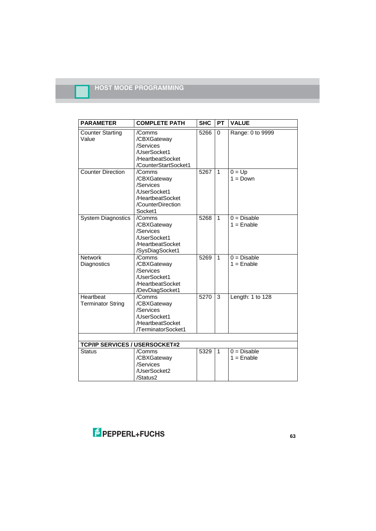| <b>PARAMETER</b>                                       | <b>COMPLETE PATH</b>                                                                                   | <b>SHC</b> | <b>PT</b>      | <b>VALUE</b>                  |  |
|--------------------------------------------------------|--------------------------------------------------------------------------------------------------------|------------|----------------|-------------------------------|--|
| <b>Counter Starting</b><br>Value                       | /Comms<br>/CBXGateway<br>/Services<br>/UserSocket1<br>/HeartbeatSocket<br>/CounterStartSocket1         | 5266       | $\Omega$       | Range: 0 to 9999              |  |
| <b>Counter Direction</b>                               | /Comms<br>/CBXGateway<br>/Services<br>/UserSocket1<br>/HeartbeatSocket<br>/CounterDirection<br>Socket1 | 5267       | $\overline{1}$ | $0 = Up$<br>$1 = Down$        |  |
| <b>System Diagnostics</b>                              | /Comms<br>/CBXGateway<br>/Services<br>/UserSocket1<br>/HeartbeatSocket<br>/SysDiagSocket1              | 5268       | $\mathbf{1}$   | $0 = Disable$<br>$1 =$ Enable |  |
| <b>Network</b><br>Diagnostics                          | /Comms<br>/CBXGateway<br>/Services<br>/UserSocket1<br>/HeartbeatSocket<br>/DevDiagSocket1              | 5269       | $\mathbf{1}$   | $0 = Disable$<br>$1 =$ Enable |  |
| Heartbeat<br><b>Terminator String</b>                  | /Comms<br>/CBXGateway<br>/Services<br>/UserSocket1<br>/HeartbeatSocket<br>/TerminatorSocket1           | 5270       | $\overline{3}$ | Length: 1 to 128              |  |
|                                                        |                                                                                                        |            |                |                               |  |
| <b>TCP/IP SERVICES / USERSOCKET#2</b><br><b>Status</b> | /Comms<br>/CBXGateway<br>/Services<br>/UserSocket2<br>/Status2                                         | 5329       | 1              | $0 = Disable$<br>$1 =$ Enable |  |

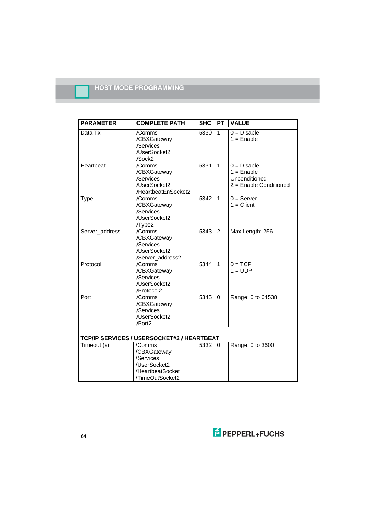| <b>PARAMETER</b>                                  | <b>COMPLETE PATH</b>                                                                      | <b>SHC</b> | <b>PT</b>      | <b>VALUE</b>                                                             |  |
|---------------------------------------------------|-------------------------------------------------------------------------------------------|------------|----------------|--------------------------------------------------------------------------|--|
| Data Tx                                           | /Comms<br>/CBXGateway<br>/Services<br>/UserSocket2<br>/Sock2                              | 5330       | $\mathbf{1}$   | $0 = Disable$<br>$1 =$ Enable                                            |  |
| Heartbeat                                         | /Comms<br>/CBXGateway<br>/Services<br>/UserSocket2<br>/HeartbeatEnSocket2                 | 5331       | $\mathbf{1}$   | $0 = Disable$<br>$1 =$ Enable<br>Unconditioned<br>2 = Enable Conditioned |  |
| <b>Type</b>                                       | /Comms<br>/CBXGateway<br>/Services<br>/UserSocket2<br>/Type2                              | 5342       | $\mathbf{1}$   | $0 =$ Server<br>$1 =$ Client                                             |  |
| Server_address                                    | /Comms<br>/CBXGateway<br>/Services<br>/UserSocket2<br>/Server_address2                    | 5343       | 2              | Max Length: 256                                                          |  |
| Protocol                                          | /Comms<br>/CBXGateway<br>/Services<br>/UserSocket2<br>/Protocol2                          | 5344       | $\overline{1}$ | $0 = TCP$<br>$1 = UDP$                                                   |  |
| Port                                              | /Comms<br>/CBXGateway<br>/Services<br>/UserSocket2<br>/Port2                              | 5345       | $\mathbf 0$    | Range: 0 to 64538                                                        |  |
| <b>TCP/IP SERVICES / USERSOCKET#2 / HEARTBEAT</b> |                                                                                           |            |                |                                                                          |  |
| Timeout (s)                                       | /Comms<br>/CBXGateway<br>/Services<br>/UserSocket2<br>/HeartbeatSocket<br>/TimeOutSocket2 | 5332       | $\Omega$       | Range: 0 to 3600                                                         |  |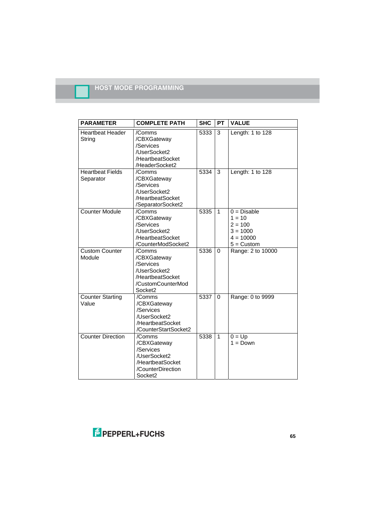| <b>PARAMETER</b>                     | <b>COMPLETE PATH</b>                                                                                               | <b>SHC</b> | <b>PT</b>      | <b>VALUE</b>                                                                        |
|--------------------------------------|--------------------------------------------------------------------------------------------------------------------|------------|----------------|-------------------------------------------------------------------------------------|
| <b>Heartbeat Header</b><br>String    | /Comms<br>/CBXGateway<br>/Services<br>/UserSocket2<br>/HeartbeatSocket<br>/HeaderSocket2                           | 5333       | 3              | Length: 1 to 128                                                                    |
| <b>Heartbeat Fields</b><br>Separator | /Comms<br>/CBXGateway<br>/Services<br>/UserSocket2<br>/HeartbeatSocket<br>/SeparatorSocket2                        | 5334       | $\overline{3}$ | Length: 1 to 128                                                                    |
| <b>Counter Module</b>                | /Comms<br>/CBXGateway<br>/Services<br>/UserSocket2<br>/HeartbeatSocket<br>/CounterModSocket2                       | 5335       | $\mathbf{1}$   | $0 = Disable$<br>$1 = 10$<br>$2 = 100$<br>$3 = 1000$<br>$4 = 10000$<br>$5 =$ Custom |
| <b>Custom Counter</b><br>Module      | /Comms<br>/CBXGateway<br>/Services<br>/UserSocket2<br>/HeartbeatSocket<br>/CustomCounterMod<br>Socket <sub>2</sub> | 5336       | $\Omega$       | Range: 2 to 10000                                                                   |
| <b>Counter Starting</b><br>Value     | /Comms<br>/CBXGateway<br>/Services<br>/UserSocket2<br>/HeartbeatSocket<br>/CounterStartSocket2                     | 5337       | 0              | Range: 0 to 9999                                                                    |
| <b>Counter Direction</b>             | /Comms<br>/CBXGateway<br>/Services<br>/UserSocket2<br>/HeartbeatSocket<br>/CounterDirection<br>Socket <sub>2</sub> | 5338       | $\mathbf{1}$   | $0 = Up$<br>$1 = Down$                                                              |

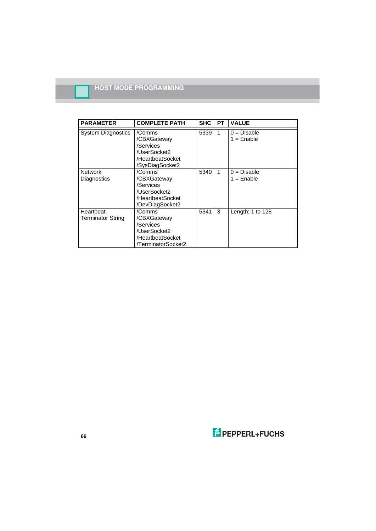| <b>PARAMETER</b>                      | <b>COMPLETE PATH</b>                                                                         | <b>SHC</b> | PТ | <b>VALUE</b>                  |
|---------------------------------------|----------------------------------------------------------------------------------------------|------------|----|-------------------------------|
| <b>System Diagnostics</b>             | /Comms<br>/CBXGateway<br>/Services<br>/UserSocket2<br>/HeartbeatSocket<br>/SysDiagSocket2    | 5339       | 1  | $0 = Disable$<br>$1 =$ Enable |
| <b>Network</b><br>Diagnostics         | /Comms<br>/CBXGateway<br>/Services<br>/UserSocket2<br>/HeartbeatSocket<br>/DevDiagSocket2    | 5340       | 1  | $0 = Disable$<br>$1 =$ Enable |
| Heartbeat<br><b>Terminator String</b> | /Comms<br>/CBXGateway<br>/Services<br>/UserSocket2<br>/HeartbeatSocket<br>/TerminatorSocket2 | 5341       | 3  | Length: 1 to 128              |

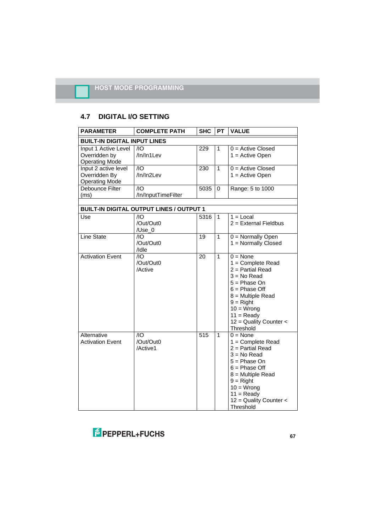## **4.7 DIGITAL I/O SETTING**

| <b>PARAMETER</b>                                               | <b>COMPLETE PATH</b>                            | <b>SHC</b>      | <b>PT</b>    | <b>VALUE</b>                                                                                                                                                                                                                     |  |
|----------------------------------------------------------------|-------------------------------------------------|-----------------|--------------|----------------------------------------------------------------------------------------------------------------------------------------------------------------------------------------------------------------------------------|--|
| <b>BUILT-IN DIGITAL INPUT LINES</b>                            |                                                 |                 |              |                                                                                                                                                                                                                                  |  |
| Input 1 Active Level<br>Overridden by<br><b>Operating Mode</b> | /10<br>/In/In1Lev                               | 229             | 1            | $0 =$ Active Closed<br>$1 =$ Active Open                                                                                                                                                                                         |  |
| Input 2 active level<br>Overridden By<br><b>Operating Mode</b> | /10<br>/In/In2Lev                               | 230             | $\mathbf{1}$ | $0 =$ Active Closed<br>$1 =$ Active Open                                                                                                                                                                                         |  |
| <b>Debounce Filter</b><br>(ms)                                 | /10<br>/In/InputTimeFilter                      | 5035            | $\Omega$     | Range: 5 to 1000                                                                                                                                                                                                                 |  |
|                                                                | <b>BUILT-IN DIGITAL OUTPUT LINES / OUTPUT 1</b> |                 |              |                                                                                                                                                                                                                                  |  |
| Use                                                            | /10<br>/Out/Out0<br>/Use_0                      | 5316            | $\mathbf{1}$ | $1 = Local$<br>2 = External Fieldbus                                                                                                                                                                                             |  |
| Line State                                                     | /10<br>/Out/Out0<br>/Idle                       | $\overline{19}$ | $\mathbf{1}$ | 0 = Normally Open<br>1 = Normally Closed                                                                                                                                                                                         |  |
| <b>Activation Event</b>                                        | /10<br>/Out/Out0<br>/Active                     | 20              | $\mathbf{1}$ | $0 = \text{None}$<br>$1 =$ Complete Read<br>$2$ = Partial Read<br>$3 = No Read$<br>$5 =$ Phase On<br>$6$ = Phase Off<br>8 = Multiple Read<br>$9 =$ Right<br>$10 = Wrong$<br>$11 =$ Ready<br>12 = Quality Counter <<br>Threshold  |  |
| Alternative<br><b>Activation Event</b>                         | /10<br>/Out/Out0<br>/Active1                    | 515             | $\mathbf{1}$ | $0 = \text{None}$<br>$1 =$ Complete Read<br>2 = Partial Read<br>$3 = No Read$<br>$5 =$ Phase On<br>$6$ = Phase Off<br>$8 =$ Multiple Read<br>$9 = Right$<br>$10 = W$ rong<br>$11 =$ Ready<br>12 = Quality Counter <<br>Threshold |  |

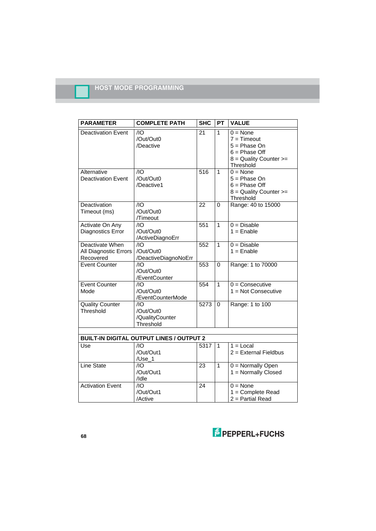| <b>PARAMETER</b>                                      | <b>COMPLETE PATH</b>                                   | <b>SHC</b> | <b>PT</b>    | <b>VALUE</b>                                                                                                   |
|-------------------------------------------------------|--------------------------------------------------------|------------|--------------|----------------------------------------------------------------------------------------------------------------|
| <b>Deactivation Event</b>                             | /10<br>/Out/Out0<br>/Deactive                          | 21         | 1            | $0 = \text{None}$<br>$7 = Timeout$<br>$5 = Phase On$<br>$6$ = Phase Off<br>8 = Quality Counter >=<br>Threshold |
| Alternative<br><b>Deactivation Event</b>              | /10<br>/Out/Out0<br>/Deactive1                         | 516        | 1            | $0 = None$<br>$5 =$ Phase On<br>$6$ = Phase Off<br>$8 =$ Quality Counter $>=$<br>Threshold                     |
| Deactivation<br>Timeout (ms)                          | /10<br>/Out/Out0<br>/Timeout                           | 22         | $\Omega$     | Range: 40 to 15000                                                                                             |
| Activate On Any<br>Diagnostics Error                  | /10<br>/Out/Out0<br>/ActiveDiagnoErr                   | 551        | 1            | $0 = Disable$<br>$1 =$ Enable                                                                                  |
| Deactivate When<br>All Diagnostic Errors<br>Recovered | /10<br>/Out/Out0<br>/DeactiveDiagnoNoErr               | 552        | $\mathbf{1}$ | $0 = Disable$<br>$1 =$ Enable                                                                                  |
| <b>Event Counter</b>                                  | /10<br>/Out/Out0<br>/EventCounter                      | 553        | $\mathbf 0$  | Range: 1 to 70000                                                                                              |
| <b>Event Counter</b><br>Mode                          | /10<br>/Out/Out0<br>/EventCounterMode                  | 554        | $\mathbf{1}$ | $0 =$ Consecutive<br>$1 = Not Consecutive$                                                                     |
| <b>Quality Counter</b><br>Threshold                   | /10<br>/Out/Out0<br>/QualityCounter<br>Threshold       | 5273       | $\Omega$     | Range: 1 to 100                                                                                                |
|                                                       |                                                        |            |              |                                                                                                                |
| Use                                                   | <b>BUILT-IN DIGITAL OUTPUT LINES / OUTPUT 2</b><br>/10 | 5317       | $\mathbf{1}$ | $1 =$ Local                                                                                                    |
|                                                       | /Out/Out1<br>/Use_1                                    |            |              | $2 =$ External Fieldbus                                                                                        |
| <b>Line State</b>                                     | /10<br>/Out/Out1<br>/Idle                              | 23         | $\mathbf{1}$ | $0 =$ Normally Open<br>1 = Normally Closed                                                                     |
| <b>Activation Event</b>                               | /1O<br>/Out/Out1<br>/Active                            | 24         |              | $0 = None$<br>$1 =$ Complete Read<br>$2 =$ Partial Read                                                        |

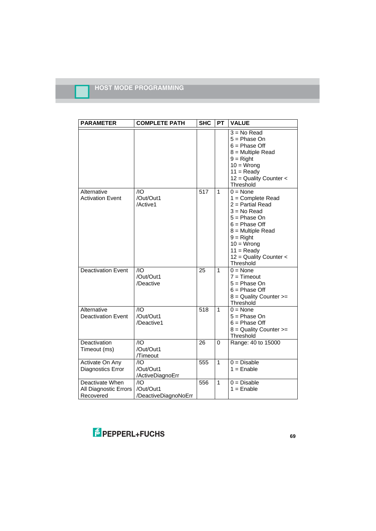| <b>PARAMETER</b>                                      | <b>COMPLETE PATH</b>                                 | <b>SHC</b>       | <b>PT</b>    | <b>VALUE</b>                                                                                                                                                                                                                   |
|-------------------------------------------------------|------------------------------------------------------|------------------|--------------|--------------------------------------------------------------------------------------------------------------------------------------------------------------------------------------------------------------------------------|
|                                                       |                                                      |                  |              | $3 = No Read$<br>$5 = Phase On$<br>$6$ = Phase Off<br>8 = Multiple Read<br>$9 =$ Right<br>$10 = W$ rong<br>$11 =$ Ready<br>12 = Quality Counter <<br>Threshold                                                                 |
| Alternative<br><b>Activation Event</b>                | /10<br>/Out/Out1<br>/Active1                         | $\overline{517}$ | $\mathbf{1}$ | $0 = \text{None}$<br>$1 =$ Complete Read<br>2 = Partial Read<br>$3 = No Read$<br>$5 = Phase On$<br>$6$ = Phase Off<br>8 = Multiple Read<br>$9 =$ Right<br>$10 = W$ rong<br>$11 =$ Ready<br>12 = Quality Counter <<br>Threshold |
| <b>Deactivation Event</b>                             | /10<br>/Out/Out1<br>/Deactive                        | 25               | $\mathbf{1}$ | $0 = \text{None}$<br>$7 =$ Timeout<br>$5 = Phase On$<br>$6$ = Phase Off<br>$8 =$ Quality Counter $>=$<br>Threshold                                                                                                             |
| Alternative<br><b>Deactivation Event</b>              | /10<br>/Out/Out1<br>/Deactive1                       | $\overline{518}$ | $\mathbf{1}$ | $0 = \text{None}$<br>$5 =$ Phase On<br>$6$ = Phase Off<br>$8 =$ Quality Counter $>=$<br>Threshold                                                                                                                              |
| Deactivation<br>Timeout (ms)                          | /10<br>/Out/Out1<br>/Timeout                         | 26               | $\Omega$     | Range: 40 to 15000                                                                                                                                                                                                             |
| Activate On Any<br>Diagnostics Error                  | /10<br>/Out/Out1<br>/ActiveDiagnoErr                 | 555              | $\mathbf{1}$ | $0 = Disable$<br>$1 =$ Enable                                                                                                                                                                                                  |
| Deactivate When<br>All Diagnostic Errors<br>Recovered | $\overline{10}$<br>/Out/Out1<br>/DeactiveDiagnoNoErr | 556              | $\mathbf{1}$ | $0 = Disable$<br>$1 =$ Enable                                                                                                                                                                                                  |

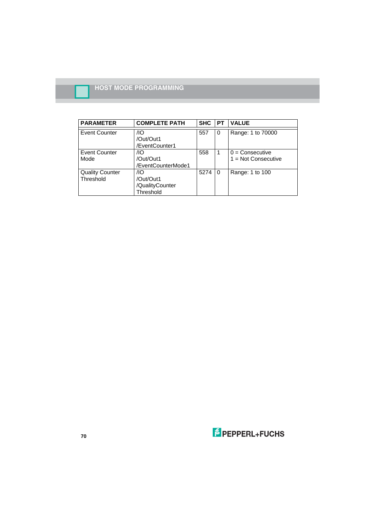| <b>PARAMETER</b>                    | <b>COMPLETE PATH</b>                             | <b>SHC</b> | l PT     | <b>VALUE</b>                               |
|-------------------------------------|--------------------------------------------------|------------|----------|--------------------------------------------|
| <b>Event Counter</b>                | /10<br>/Out/Out1<br>/EventCounter1               | 557        | $\Omega$ | Range: 1 to 70000                          |
| <b>Event Counter</b><br>Mode        | /IO<br>/Out/Out1<br>/EventCounterMode1           | 558        | 1        | $0 =$ Consecutive<br>$1 = Not Consecutive$ |
| <b>Quality Counter</b><br>Threshold | /10<br>/Out/Out1<br>/QualityCounter<br>Threshold | 5274       | $\Omega$ | Range: 1 to 100                            |

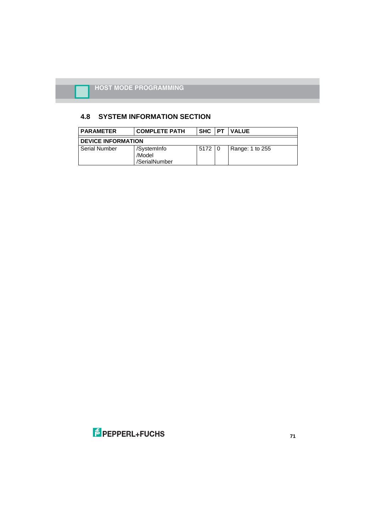#### **4.8 SYSTEM INFORMATION SECTION**

| <b>PARAMETER</b>          | <b>COMPLETE PATH</b>                   | <b>SHC</b> | I PT | <b>VALUE</b>    |  |
|---------------------------|----------------------------------------|------------|------|-----------------|--|
| <b>DEVICE INFORMATION</b> |                                        |            |      |                 |  |
| Serial Number             | /SystemInfo<br>/Model<br>/SerialNumber | $5172$ 10  |      | Range: 1 to 255 |  |

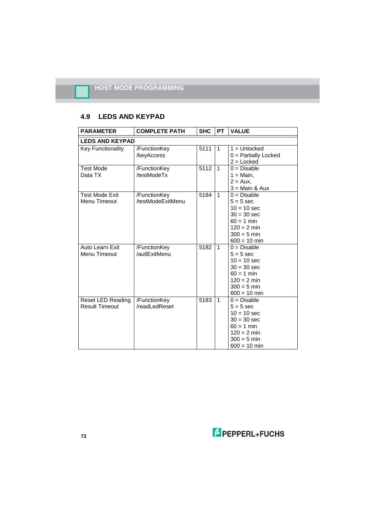### **4.9 LEDS AND KEYPAD**

| <b>PARAMETER</b>                                  | <b>COMPLETE PATH</b>              | <b>SHC</b> | <b>PT</b>    | <b>VALUE</b>                                                                                                                               |  |  |
|---------------------------------------------------|-----------------------------------|------------|--------------|--------------------------------------------------------------------------------------------------------------------------------------------|--|--|
| <b>LEDS AND KEYPAD</b>                            |                                   |            |              |                                                                                                                                            |  |  |
| <b>Key Functionality</b>                          | /FunctionKey<br>/keyAccess        | 5111       | $\mathbf{1}$ | $1 =$ Unlocked<br>$0 =$ Partially Locked<br>$2 =$ Locked                                                                                   |  |  |
| <b>Test Mode</b><br>Data TX                       | /FunctionKey<br>/testModeTx       | 5112       | $\mathbf{1}$ | $0 = Disable$<br>$1 = \text{Main}$ ,<br>$2 = Aux$ .<br>$3 =$ Main & Aux                                                                    |  |  |
| <b>Test Mode Exit</b><br>Menu Timeout             | /FunctionKey<br>/testModeExitMenu | 5184       | $\mathbf{1}$ | $0 = Disable$<br>$5 = 5$ sec<br>$10 = 10$ sec<br>$30 = 30$ sec<br>$60 = 1$ min<br>$120 = 2 \text{ min}$<br>$300 = 5$ min<br>$600 = 10$ min |  |  |
| Auto Learn Exit<br>Menu Timeout                   | /FunctionKey<br>/autlExitMenu     | 5182       | 1            | $0 = Disable$<br>$5 = 5$ sec<br>$10 = 10$ sec<br>$30 = 30$ sec<br>$60 = 1$ min<br>$120 = 2$ min<br>$300 = 5$ min<br>$600 = 10$ min         |  |  |
| <b>Reset LED Reading</b><br><b>Result Timeout</b> | /FunctionKey<br>/readLedReset     | 5183       | 1            | $0 = Disable$<br>$5 = 5$ sec<br>$10 = 10$ sec<br>$30 = 30$ sec<br>$60 = 1$ min<br>$120 = 2$ min<br>$300 = 5$ min<br>$600 = 10$ min         |  |  |

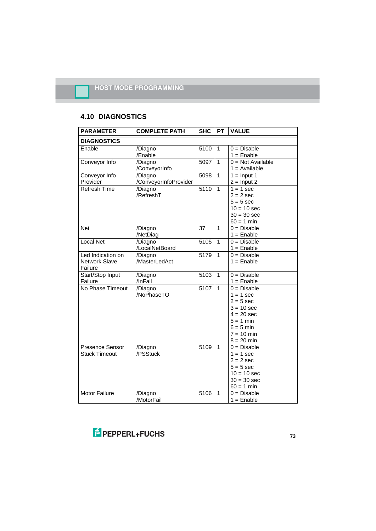### **4.10 DIAGNOSTICS**

| <b>PARAMETER</b>                              | <b>COMPLETE PATH</b>              | <b>SHC</b> | <b>PT</b>      | <b>VALUE</b>                                                                                                                              |
|-----------------------------------------------|-----------------------------------|------------|----------------|-------------------------------------------------------------------------------------------------------------------------------------------|
| <b>DIAGNOSTICS</b>                            |                                   |            |                |                                                                                                                                           |
| Enable                                        | /Diagno<br>/Enable                | 5100       | $\mathbf{1}$   | $0 = Disable$<br>$1 =$ Enable                                                                                                             |
| Conveyor Info                                 | $\sqrt{Diag}$ no<br>/ConveyorInfo | 5097       | $\overline{1}$ | $0 = Not Available$<br>$1 =$ Available                                                                                                    |
| Conveyor Info<br>Provider                     | /Diagno<br>/ConveyorInfoProvider  | 5098       | 1              | $1 =$ Input 1<br>$2 =$ Input 2                                                                                                            |
| <b>Refresh Time</b>                           | /Diagno<br>/RefreshT              | 5110       | $\overline{1}$ | $1 = 1$ sec<br>$2 = 2$ sec<br>$5 = 5$ sec<br>$10 = 10$ sec<br>$30 = 30$ sec<br>$60 = 1$ min                                               |
| <b>Net</b>                                    | /Diagno<br>/NetDiag               | 37         | 1              | $0 = Disable$<br>$1 =$ Enable                                                                                                             |
| <b>Local Net</b>                              | /Diagno<br>/LocalNetBoard         | 5105       | $\mathbf{1}$   | $0 = Disable$<br>$1 =$ Enable                                                                                                             |
| Led Indication on<br>Network Slave<br>Failure | /Diagno<br>/MasterLedAct          | 5179       | 1              | $0 = Disable$<br>$1 =$ Enable                                                                                                             |
| Start/Stop Input<br>Failure                   | /Diagno<br>/InFail                | 5103       | $\overline{1}$ | $0 = Disable$<br>$1 =$ Enable                                                                                                             |
| No Phase Timeout                              | /Diagno<br>/NoPhaseTO             | 5107       | $\mathbf{1}$   | $0 = Disable$<br>$1 = 1$ sec<br>$2 = 5$ sec<br>$3 = 10$ sec<br>$4 = 20$ sec<br>$5 = 1$ min<br>$6 = 5$ min<br>$7 = 10$ min<br>$8 = 20$ min |
| Presence Sensor<br><b>Stuck Timeout</b>       | /Diagno<br>/PSStuck               | 5109       | $\mathbf{1}$   | $0 = Disable$<br>$1 = 1$ sec<br>$2 = 2$ sec<br>$5 = 5$ sec<br>$10 = 10$ sec<br>$30 = 30$ sec<br>$60 = 1$ min                              |
| <b>Motor Failure</b>                          | /Diagno<br>/MotorFail             | 5106       | $\mathbf 1$    | $0 = Disable$<br>$1 =$ Enable                                                                                                             |

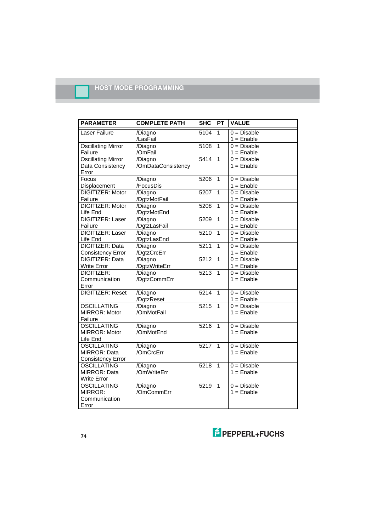| <b>PARAMETER</b>          | <b>COMPLETE PATH</b> | <b>SHC</b>       | PT             | <b>VALUE</b>  |
|---------------------------|----------------------|------------------|----------------|---------------|
| Laser Failure             | /Diagno              | 5104             | 1              | $0 = Disable$ |
|                           | /LasFail             |                  |                | $1 =$ Enable  |
| <b>Oscillating Mirror</b> | /Diagno              | 5108             | $\overline{1}$ | $0 = Disable$ |
| Failure                   | /OmFail              |                  |                | $1 =$ Enable  |
| <b>Oscillating Mirror</b> | /Diagno              | 5414             | $\overline{1}$ | $0 = Disable$ |
| Data Consistency          | /OmDataConsistency   |                  |                | $1 =$ Enable  |
| Error                     |                      |                  |                |               |
| Focus                     | /Diagno              | 5206             | $\overline{1}$ | $0 = Disable$ |
| Displacement              | /FocusDis            |                  |                | $1 =$ Enable  |
| <b>DIGITIZER: Motor</b>   | /Diagno              | 5207             | $\mathbf{1}$   | $0 = Disable$ |
| Failure                   | /DgtzMotFail         |                  |                | $1 =$ Enable  |
| <b>DIGITIZER: Motor</b>   | /Diagno              | $\frac{1}{5208}$ | $\overline{1}$ | $0 = Disable$ |
| Life End                  | /DgtzMotEnd          |                  |                | $1 =$ Enable  |
| <b>DIGITIZER: Laser</b>   | /Diagno              | 5209             | 1              | $0 = Disable$ |
| Failure                   | /DgtzLasFail         |                  |                | $1 =$ Enable  |
| <b>DIGITIZER: Laser</b>   | /Diagno              | 5210             | $\mathbf{1}$   | $0 = Disable$ |
| Life End                  | /DgtzLasEnd          |                  |                | $1 =$ Enable  |
| <b>DIGITIZER: Data</b>    | /Diagno              | 5211             | $\overline{1}$ | $0 = Disable$ |
| <b>Consistency Error</b>  | /DgtzCrcErr          |                  |                | $1 =$ Enable  |
| DIGITIZER: Data           | /Diagno              | 5212             | $\mathbf{1}$   | $0 = Disable$ |
| Write Error               | /DgtzWriteErr        |                  |                | $1 =$ Enable  |
| <b>DIGITIZER:</b>         | /Diagno              | 5213             | $\overline{1}$ | $0 = Disable$ |
| Communication             | /DgtzCommErr         |                  |                | $1 =$ Enable  |
| Error                     |                      |                  |                |               |
| <b>DIGITIZER: Reset</b>   | /Diagno              | 5214             | $\mathbf{1}$   | $0 = Disable$ |
|                           | /DgtzReset           |                  |                | $1 =$ Enable  |
| <b>OSCILLATING</b>        | /Diagno              | 5215             | $\mathbf{1}$   | $0 = Disable$ |
| <b>MIRROR: Motor</b>      | /OmMotFail           |                  |                | $1 =$ Enable  |
| Failure                   |                      |                  |                |               |
| <b>OSCILLATING</b>        | /Diagno              | 5216             | $\mathbf{1}$   | $0 = Disable$ |
| <b>MIRROR: Motor</b>      | /OmMotEnd            |                  |                | $1 =$ Enable  |
| Life End                  |                      |                  |                |               |
| <b>OSCILLATING</b>        | /Diagno              | 5217             | $\overline{1}$ | $0 = Disable$ |
| <b>MIRROR: Data</b>       | /OmCrcErr            |                  |                | $1 =$ Enable  |
| <b>Consistency Error</b>  |                      |                  |                |               |
| <b>OSCILLATING</b>        | /Diagno              | 5218             | $\overline{1}$ | $0 = Disable$ |
| <b>MIRROR: Data</b>       | /OmWriteErr          |                  |                | $1 =$ Enable  |
| <b>Write Error</b>        |                      |                  |                |               |
| <b>OSCILLATING</b>        | /Diagno              | 5219             | $\mathbf{1}$   | $0 = Disable$ |
| MIRROR:                   | /OmCommErr           |                  |                | $1 =$ Enable  |
| Communication             |                      |                  |                |               |
| Error                     |                      |                  |                |               |

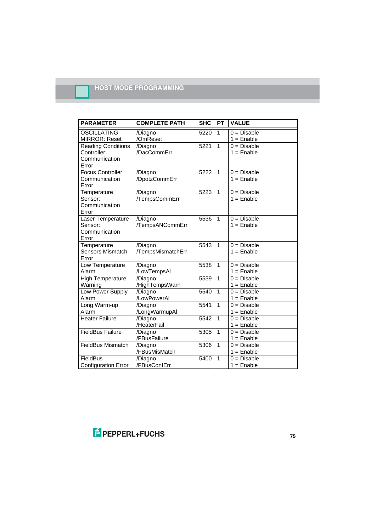| <b>PARAMETER</b>                                                   | <b>COMPLETE PATH</b>         | <b>SHC</b> | <b>PT</b>      | <b>VALUE</b>                             |
|--------------------------------------------------------------------|------------------------------|------------|----------------|------------------------------------------|
| <b>OSCILLATING</b><br><b>MIRROR: Reset</b>                         | /Diagno<br>/OmReset          | 5220       | 1              | $\overline{0}$ = Disable<br>$1 =$ Enable |
| <b>Reading Conditions</b><br>Controller:<br>Communication<br>Error | /Diagno<br>/DacCommErr       | 5221       | $\mathbf{1}$   | $0 = Disable$<br>$1 =$ Enable            |
| Focus Controller:<br>Communication<br>Error                        | /Diagno<br>/DpotzCommErr     | 5222       | $\mathbf{1}$   | $0 = Disable$<br>$1 =$ Enable            |
| Temperature<br>Sensor:<br>Communication<br>Error                   | /Diagno<br>/TempsCommErr     | 5223       | $\mathbf{1}$   | $0 = Disable$<br>$1 =$ Enable            |
| Laser Temperature<br>Sensor:<br>Communication<br>Error             | /Diagno<br>/TempsANCommErr   | 5536       | $\mathbf{1}$   | $0 = Disable$<br>$1 =$ Enable            |
| Temperature<br>Sensors Mismatch<br>Error                           | /Diagno<br>/TempsMismatchErr | 5543       | $\mathbf{1}$   | $0 = Disable$<br>$1 =$ Enable            |
| Low Temperature<br>Alarm                                           | /Diagno<br>/LowTempsAl       | 5538       | $\mathbf{1}$   | $0 = Disable$<br>$1 =$ Enable            |
| <b>High Temperature</b><br>Warning                                 | /Diagno<br>/HighTempsWarn    | 5539       | $\mathbf{1}$   | $0 = Disable$<br>$1 =$ Enable            |
| Low Power Supply<br>Alarm                                          | /Diagno<br>/LowPowerAl       | 5540       | $\mathbf{1}$   | $0 = Disable$<br>$1 =$ Enable            |
| Long Warm-up<br>Alarm                                              | /Diagno<br>/LongWarmupAl     | 5541       | 1              | $0 = Disable$<br>$1 =$ Enable            |
| <b>Heater Failure</b>                                              | /Diagno<br>/HeaterFail       | 5542       | $\overline{1}$ | $0 = Disable$<br>$1 =$ Enable            |
| <b>FieldBus Failure</b>                                            | /Diagno<br>/FBusFailure      | 5305       | 1              | $0 = Disable$<br>$1 =$ Enable            |
| <b>FieldBus Mismatch</b>                                           | /Diagno<br>/FBusMisMatch     | 5306       | $\mathbf{1}$   | $0 = Disable$<br>$1 =$ Enable            |
| <b>FieldBus</b><br><b>Configuration Error</b>                      | /Diagno<br>/FBusConfErr      | 5400       | $\mathbf{1}$   | $0 = Disable$<br>$1 =$ Enable            |

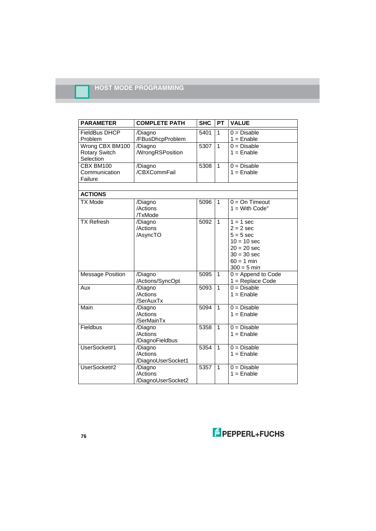| <b>PARAMETER</b>                                     | <b>COMPLETE PATH</b>                      | <b>SHC</b> | <b>PT</b>    | <b>VALUE</b>                                                                                                                  |
|------------------------------------------------------|-------------------------------------------|------------|--------------|-------------------------------------------------------------------------------------------------------------------------------|
| FieldBus DHCP<br>Problem                             | /Diagno<br>/FBusDhcpProblem               | 5401       | $\mathbf{1}$ | $0 = Disable$<br>$1 =$ Enable                                                                                                 |
| Wrong CBX BM100<br><b>Rotary Switch</b><br>Selection | /Diagno<br>/WrongRSPosition               | 5307       | $\mathbf{1}$ | $0 = Disable$<br>$1 =$ Enable                                                                                                 |
| CBX BM100<br>Communication<br>Failure                | /Diagno<br>/CBXCommFail                   | 5308       | $\mathbf{1}$ | $0 = Disable$<br>$1 =$ Enable                                                                                                 |
| <b>ACTIONS</b>                                       |                                           |            |              |                                                                                                                               |
| <b>TX Mode</b>                                       | /Diagno<br>/Actions<br>/TxMode            | 5096       | $\mathbf{1}$ | $0 = On$ Timeout<br>$1 = With Code"$                                                                                          |
| <b>TX</b> Refresh                                    | /Diagno<br>/Actions<br>/AsyncTO           | 5092       | $\mathbf{1}$ | $1 = 1$ sec<br>$2 = 2$ sec<br>$5 = 5$ sec<br>$10 = 10$ sec<br>$20 = 20$ sec<br>$30 = 30$ sec<br>$60 = 1$ min<br>$300 = 5$ min |
| <b>Message Position</b>                              | /Diagno<br>/Actions/SyncOpt               | 5095       | $\mathbf{1}$ | $0 =$ Append to Code<br>1 = Replace Code                                                                                      |
| Aux                                                  | $\sqrt{Diag}$ no<br>/Actions<br>/SerAuxTx | 5093       | $\mathbf{1}$ | $0 = Disable$<br>$1 =$ Enable                                                                                                 |
| Main                                                 | /Diagno<br>/Actions<br>/SerMainTx         | 5094       | $\mathbf{1}$ | $0 = Disable$<br>$1 =$ Enable                                                                                                 |
| Fieldbus                                             | /Diagno<br>/Actions<br>/DiagnoFieldbus    | 5358       | $\mathbf{1}$ | $0 = Disable$<br>$1 =$ Enable                                                                                                 |
| UserSocket#1                                         | /Diagno<br>/Actions<br>/DiagnoUserSocket1 | 5354       | $\mathbf{1}$ | $0 = Disable$<br>$1 =$ Enable                                                                                                 |
| UserSocket#2                                         | /Diagno<br>/Actions<br>/DiagnoUserSocket2 | 5357       | $\mathbf{1}$ | $0 = Disable$<br>$1 =$ Enable                                                                                                 |

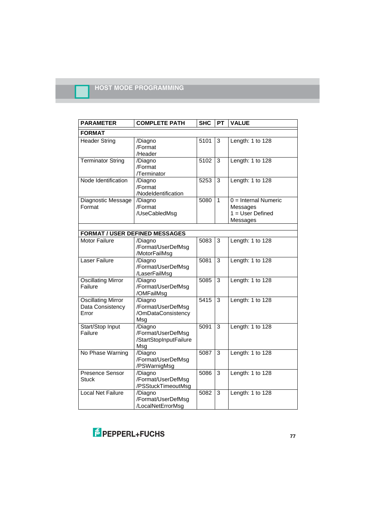| <b>PARAMETER</b>                                       | <b>COMPLETE PATH</b>                                           | <b>SHC</b>        | PT             | <b>VALUE</b>                                                         |
|--------------------------------------------------------|----------------------------------------------------------------|-------------------|----------------|----------------------------------------------------------------------|
| <b>FORMAT</b>                                          |                                                                |                   |                |                                                                      |
| <b>Header String</b>                                   | /Diagno<br>/Format<br>/Header                                  | 5101              | 3              | Length: 1 to 128                                                     |
| <b>Terminator String</b>                               | /Diagno<br>/Format<br>/Terminator                              | $\overline{5102}$ | 3              | Length: 1 to 128                                                     |
| Node Identification                                    | /Diagno<br>/Format<br>/NodeIdentification                      | 5253              | $\overline{3}$ | Length: 1 to 128                                                     |
| Diagnostic Message<br>Format                           | /Diagno<br>/Format<br>/UseCabledMsg                            | 5080              | $\overline{1}$ | $0 =$ Internal Numeric<br>Messages<br>$1 = User Defined$<br>Messages |
| <b>FORMAT / USER DEFINED MESSAGES</b>                  |                                                                |                   |                |                                                                      |
| <b>Motor Failure</b>                                   | /Diagno<br>/Format/UserDefMsg<br>/MotorFailMsg                 | 5083              | 3              | Length: 1 to 128                                                     |
| <b>Laser Failure</b>                                   | /Diagno<br>/Format/UserDefMsg<br>/LaserFailMsg                 | 5081              | 3              | Length: 1 to 128                                                     |
| <b>Oscillating Mirror</b><br>Failure                   | /Diagno<br>/Format/UserDefMsg<br>/OMFailMsg                    | 5085              | $\overline{3}$ | Length: 1 to 128                                                     |
| <b>Oscillating Mirror</b><br>Data Consistency<br>Error | /Diagno<br>/Format/UserDefMsg<br>/OmDataConsistency<br>Msg     | 5415              | $\overline{3}$ | Length: 1 to 128                                                     |
| Start/Stop Input<br>Failure                            | /Diagno<br>/Format/UserDefMsg<br>/StartStopInputFailure<br>Msg | 5091              | 3              | Length: 1 to 128                                                     |
| No Phase Warning                                       | /Diagno<br>/Format/UserDefMsg<br>/PSWarnigMsg                  | 5087              | $\overline{3}$ | Length: 1 to 128                                                     |
| <b>Presence Sensor</b><br>Stuck                        | /Diagno<br>/Format/UserDefMsg<br>/PSStuckTimeoutMsg            | 5086              | $\overline{3}$ | Length: 1 to 128                                                     |
| <b>Local Net Failure</b>                               | /Diagno<br>/Format/UserDefMsg<br>/LocalNetErrorMsg             | 5082              | $\overline{3}$ | Length: 1 to 128                                                     |

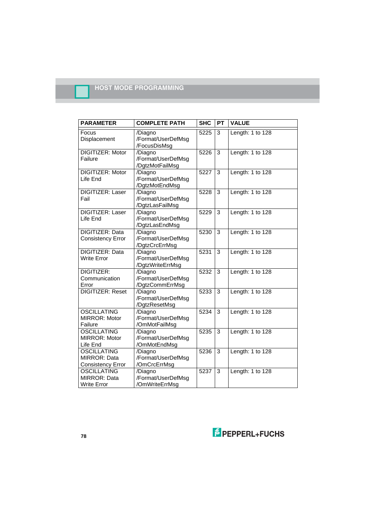| <b>PARAMETER</b>                                                      | <b>COMPLETE PATH</b>                              | <b>SHC</b> | <b>PT</b>      | <b>VALUE</b>     |
|-----------------------------------------------------------------------|---------------------------------------------------|------------|----------------|------------------|
| Focus<br>Displacement                                                 | /Diagno<br>/Format/UserDefMsg<br>/FocusDisMsg     | 5225       | 3              | Length: 1 to 128 |
| DIGITIZER: Motor<br>Failure                                           | /Diagno<br>/Format/UserDefMsg<br>/DgtzMotFailMsg  | 5226       | $\overline{3}$ | Length: 1 to 128 |
| DIGITIZER: Motor<br>Life End                                          | /Diagno<br>/Format/UserDefMsg<br>/DgtzMotEndMsg   | 5227       | $\overline{3}$ | Length: 1 to 128 |
| DIGITIZER: Laser<br>Fail                                              | /Diagno<br>/Format/UserDefMsg<br>/DgtzLasFailMsg  | 5228       | $\overline{3}$ | Length: 1 to 128 |
| DIGITIZER: Laser<br>Life End                                          | /Diagno<br>/Format/UserDefMsg<br>/DgtzLasEndMsg   | 5229       | 3              | Length: 1 to 128 |
| DIGITIZER: Data<br><b>Consistency Error</b>                           | /Diagno<br>/Format/UserDefMsg<br>/DgtzCrcErrMsg   | 5230       | 3              | Length: 1 to 128 |
| DIGITIZER: Data<br><b>Write Error</b>                                 | /Diagno<br>/Format/UserDefMsg<br>/DgtzWriteErrMsg | 5231       | $\overline{3}$ | Length: 1 to 128 |
| <b>DIGITIZER:</b><br>Communication<br>Error                           | /Diagno<br>/Format/UserDefMsg<br>/DgtzCommErrMsg  | 5232       | 3              | Length: 1 to 128 |
| <b>DIGITIZER: Reset</b>                                               | /Diagno<br>/Format/UserDefMsg<br>/DgtzResetMsg    | 5233       | 3              | Length: 1 to 128 |
| <b>OSCILLATING</b><br><b>MIRROR: Motor</b><br>Failure                 | /Diagno<br>/Format/UserDefMsg<br>/OmMotFailMsg    | 5234       | 3              | Length: 1 to 128 |
| <b>OSCILLATING</b><br><b>MIRROR: Motor</b><br>Life End                | /Diagno<br>/Format/UserDefMsg<br>/OmMotEndMsg     | 5235       | $\overline{3}$ | Length: 1 to 128 |
| <b>OSCILLATING</b><br><b>MIRROR: Data</b><br><b>Consistency Error</b> | /Diagno<br>/Format/UserDefMsg<br>/OmCrcErrMsg     | 5236       | $\overline{3}$ | Length: 1 to 128 |
| <b>OSCILLATING</b><br><b>MIRROR: Data</b><br><b>Write Error</b>       | /Diagno<br>/Format/UserDefMsg<br>/OmWriteErrMsg   | 5237       | 3              | Length: 1 to 128 |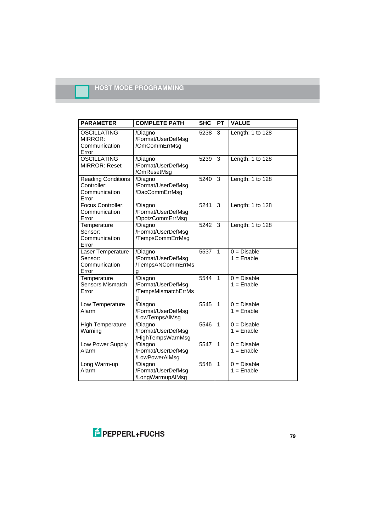| <b>PARAMETER</b>                                                   | <b>COMPLETE PATH</b>                                      | <b>SHC</b> | <b>PT</b>    | <b>VALUE</b>                  |
|--------------------------------------------------------------------|-----------------------------------------------------------|------------|--------------|-------------------------------|
| <b>OSCILLATING</b><br>MIRROR:<br>Communication<br>Error            | /Diagno<br>/Format/UserDefMsg<br>/OmCommErrMsg            | 5238       | 3            | Length: 1 to 128              |
| <b>OSCILLATING</b><br><b>MIRROR: Reset</b>                         | /Diagno<br>/Format/UserDefMsg<br>/OmResetMsg              | 5239       | 3            | Length: 1 to 128              |
| <b>Reading Conditions</b><br>Controller:<br>Communication<br>Error | /Diagno<br>/Format/UserDefMsg<br>/DacCommErrMsg           | 5240       | 3            | Length: 1 to 128              |
| <b>Focus Controller:</b><br>Communication<br>Error                 | /Diagno<br>/Format/UserDefMsg<br>/DpotzCommErrMsg         | 5241       | 3            | Length: 1 to 128              |
| Temperature<br>Sensor:<br>Communication<br>Error                   | /Diagno<br>/Format/UserDefMsg<br>/TempsCommErrMsg         | 5242       | 3            | Length: 1 to 128              |
| Laser Temperature<br>Sensor:<br>Communication<br>Error             | /Diagno<br>/Format/UserDefMsg<br>/TempsANCommErrMs<br>g   | 5537       | $\mathbf{1}$ | $0 = Disable$<br>$1 =$ Enable |
| Temperature<br>Sensors Mismatch<br>Error                           | /Diagno<br>/Format/UserDefMsg<br>/TempsMismatchErrMs<br>g | 5544       | $\mathbf{1}$ | $0 = Disable$<br>$1 =$ Enable |
| Low Temperature<br>Alarm                                           | /Diagno<br>/Format/UserDefMsg<br>/LowTempsAlMsg           | 5545       | $\mathbf{1}$ | $0 = Disable$<br>$1 =$ Enable |
| <b>High Temperature</b><br>Warning                                 | /Diagno<br>/Format/UserDefMsg<br>/HighTempsWarnMsg        | 5546       | $\mathbf{1}$ | $0 = Disable$<br>$1 =$ Enable |
| Low Power Supply<br>Alarm                                          | /Diagno<br>/Format/UserDefMsg<br>/LowPowerAlMsg           | 5547       | $\mathbf{1}$ | $0 = Disable$<br>$1 =$ Enable |
| Long Warm-up<br>Alarm                                              | /Diagno<br>/Format/UserDefMsg<br>/LongWarmupAlMsg         | 5548       | $\mathbf{1}$ | $0 = Disable$<br>$1 =$ Enable |

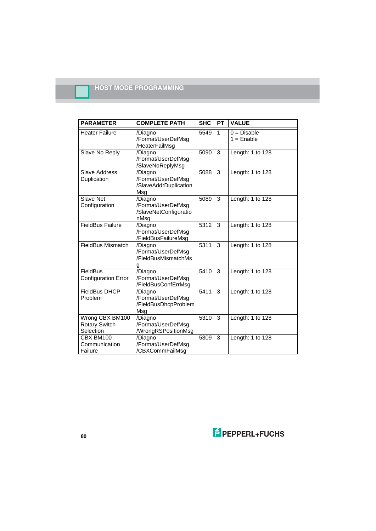| <b>PARAMETER</b>                                     | <b>COMPLETE PATH</b>                                           | <b>SHC</b> | <b>PT</b>      | <b>VALUE</b>                  |
|------------------------------------------------------|----------------------------------------------------------------|------------|----------------|-------------------------------|
| <b>Heater Failure</b>                                | /Diagno<br>/Format/UserDefMsg<br>/HeaterFailMsg                | 5549       | 1              | $0 = Disable$<br>$1 =$ Enable |
| Slave No Reply                                       | /Diagno<br>/Format/UserDefMsg<br>/SlaveNoReplyMsg              | 5090       | $\overline{3}$ | Length: 1 to 128              |
| <b>Slave Address</b><br>Duplication                  | /Diagno<br>/Format/UserDefMsg<br>/SlaveAddrDuplication<br>Msg  | 5088       | $\overline{3}$ | Length: 1 to 128              |
| Slave Net<br>Configuration                           | /Diagno<br>/Format/UserDefMsg<br>/SlaveNetConfiguratio<br>nMsg | 5089       | 3              | Length: 1 to 128              |
| <b>FieldBus Failure</b>                              | /Diagno<br>/Format/UserDefMsg<br>/FieldBusFailureMsg           | 5312       | 3              | Length: 1 to 128              |
| <b>FieldBus Mismatch</b>                             | /Diagno<br>/Format/UserDefMsg<br>/FieldBusMismatchMs<br>g      | 5311       | 3              | Length: 1 to 128              |
| FieldBus<br><b>Configuration Error</b>               | /Diagno<br>/Format/UserDefMsg<br>/FieldBusConfErrMsg           | 5410       | 3              | Length: 1 to 128              |
| <b>FieldBus DHCP</b><br>Problem                      | /Diagno<br>/Format/UserDefMsg<br>/FieldBusDhcpProblem<br>Msg   | 5411       | 3              | Length: 1 to 128              |
| Wrong CBX BM100<br><b>Rotary Switch</b><br>Selection | /Diagno<br>/Format/UserDefMsg<br>/WrongRSPositionMsg           | 5310       | $\overline{3}$ | Length: 1 to 128              |
| CBX BM100<br>Communication<br>Failure                | /Diagno<br>/Format/UserDefMsg<br>/CBXCommFailMsg               | 5309       | $\overline{3}$ | Length: 1 to 128              |

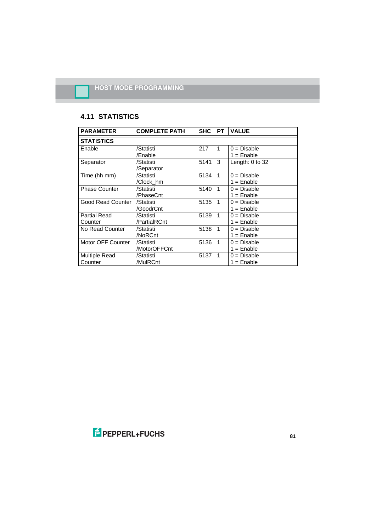### **4.11 STATISTICS**

| <b>PARAMETER</b>                | <b>COMPLETE PATH</b>      | <b>SHC</b> | <b>PT</b>    | <b>VALUE</b>                  |
|---------------------------------|---------------------------|------------|--------------|-------------------------------|
| <b>STATISTICS</b>               |                           |            |              |                               |
| Enable                          | /Statisti<br>/Enable      | 217        | $\mathbf 1$  | $0 = Disable$<br>1 = Enable   |
| Separator                       | /Statisti<br>/Separator   | 5141       | 3            | Length: 0 to 32               |
| Time (hh mm)                    | /Statisti<br>/Clock_hm    | 5134       | 1            | $0 = Disable$<br>$1 =$ Enable |
| <b>Phase Counter</b>            | /Statisti<br>/PhaseCnt    | 5140       | 1            | $0 = Disable$<br>$1 =$ Enable |
| Good Read Counter               | /Statisti<br>/GoodrCnt    | 5135       | 1            | $0 = Disable$<br>$1 =$ Enable |
| <b>Partial Read</b><br>Counter  | /Statisti<br>/PartialRCnt | 5139       | 1            | $0 = Disable$<br>$1 =$ Enable |
| No Read Counter                 | /Statisti<br>/NoRCnt      | 5138       | 1            | $0 = Disable$<br>$1 =$ Enable |
| Motor OFF Counter               | /Statisti<br>/MotorOFFCnt | 5136       | 1            | $0 = Disable$<br>$1 =$ Enable |
| <b>Multiple Read</b><br>Counter | /Statisti<br>/MulRCnt     | 5137       | $\mathbf{1}$ | $0 = Disable$<br>$1 =$ Enable |

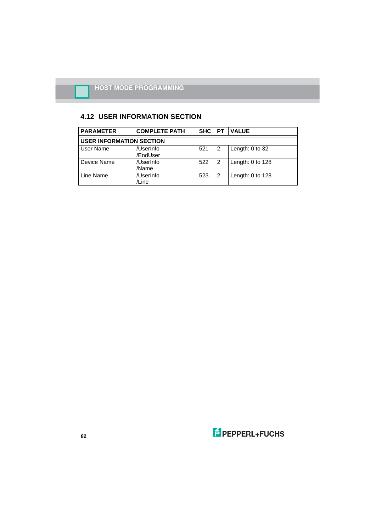#### **4.12 USER INFORMATION SECTION**

| <b>PARAMETER</b>                | <b>COMPLETE PATH</b>  | <b>SHC</b> | <b>PT</b> | <b>VALUE</b>         |  |
|---------------------------------|-----------------------|------------|-----------|----------------------|--|
| <b>USER INFORMATION SECTION</b> |                       |            |           |                      |  |
| User Name                       | /UserInfo<br>/EndUser | 521        | 2         | Length: $0$ to $32$  |  |
| Device Name                     | /UserInfo<br>/Name    | 522        | 2         | Length: $0$ to $128$ |  |
| Line Name                       | /UserInfo<br>/Line    | 523        | 2         | Length: $0$ to $128$ |  |

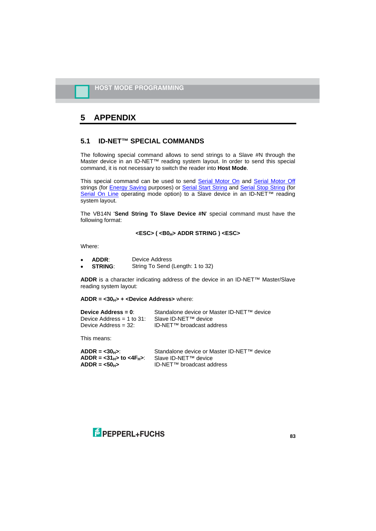### **5 APPENDIX**

#### **5.1 ID-NET™ SPECIAL COMMANDS**

The following special command allows to send strings to a Slave #N through the Master device in an ID-NET™ reading system layout. In order to send this special command, it is not necessary to switch the reader into **Host Mode**.

This special command can be used to send Serial Motor On and Serial Motor Off strings (for Energy Saving purposes) or Serial Start String and Serial Stop String (for Serial On Line operating mode option) to a Slave device in an ID-NET™ reading system layout.

The VB14N '**Send String To Slave Device #N**' special command must have the following format:

#### **<ESC> ( <B0H> ADDR STRING ) <ESC>**

Where:

- **ADDR**: Device Address
- **STRING:** String To Send (Length: 1 to 32)

**ADDR** is a character indicating address of the device in an ID-NET™ Master/Slave reading system layout:

#### **ADDR = <30H> + <Device Address>** where:

| Device Address $= 0$ :      | Standalone device or Master ID-NET™ device |
|-----------------------------|--------------------------------------------|
| Device Address $= 1$ to 31. | Slave ID-NET <sup>™</sup> device           |
| Device Address $=$ 32:      | ID-NET <sup>™</sup> broadcast address      |

This means:

| $ADDR = <30H$ :                                   | Standalone device or Master ID-NET™ device |
|---------------------------------------------------|--------------------------------------------|
| ADDR = $<$ 31 $_{\rm H}>$ to $<$ 4F $_{\rm H}>$ : | Slave ID-NET <sup>™</sup> device           |
| ADDR = $< 50H$                                    | ID-NET <sup>™</sup> broadcast address      |

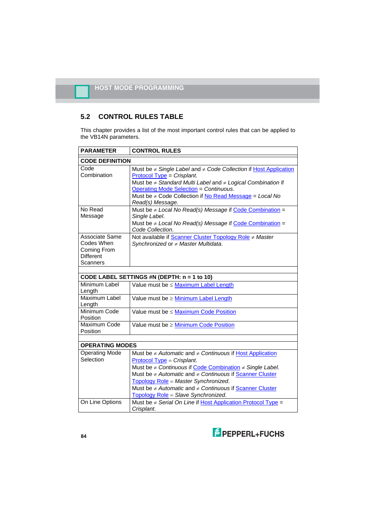### **5.2 CONTROL RULES TABLE**

This chapter provides a list of the most important control rules that can be applied to the VB14N parameters.

| <b>PARAMETER</b>                                                            | <b>CONTROL RULES</b>                                                                                                                                                                                                                                                                                                                                                                            |  |  |  |  |
|-----------------------------------------------------------------------------|-------------------------------------------------------------------------------------------------------------------------------------------------------------------------------------------------------------------------------------------------------------------------------------------------------------------------------------------------------------------------------------------------|--|--|--|--|
| <b>CODE DEFINITION</b>                                                      |                                                                                                                                                                                                                                                                                                                                                                                                 |  |  |  |  |
| Code<br>Combination                                                         | Must be $\neq$ Single Label and $\neq$ Code Collection if Host Application<br>Protocol Type = Crisplant.<br>Must be $\neq$ Standard Multi Label and $\neq$ Logical Combination if<br>Operating Mode Selection = Continuous.<br>Must be $\neq$ Code Collection if No Read Message = Local No<br>Read(s) Message.                                                                                 |  |  |  |  |
| No Read<br>Message                                                          | Must be $\neq$ Local No Read(s) Message if Code Combination =<br>Single Label.<br>Must be $\neq$ Local No Read(s) Message if Code Combination =<br>Code Collection.                                                                                                                                                                                                                             |  |  |  |  |
| Associate Same<br>Codes When<br>Coming From<br><b>Different</b><br>Scanners | Not available if Scanner Cluster Topology Role ≠ Master<br>Synchronized or $\neq$ Master Multidata.                                                                                                                                                                                                                                                                                             |  |  |  |  |
|                                                                             | CODE LABEL SETTINGS #N (DEPTH: n = 1 to 10)                                                                                                                                                                                                                                                                                                                                                     |  |  |  |  |
| Minimum Label<br>Length                                                     | Value must be ≤ Maximum Label Length                                                                                                                                                                                                                                                                                                                                                            |  |  |  |  |
| Maximum Label<br>Length                                                     | Value must be $\geq$ Minimum Label Length                                                                                                                                                                                                                                                                                                                                                       |  |  |  |  |
| Minimum Code<br>Position                                                    | Value must be < Maximum Code Position                                                                                                                                                                                                                                                                                                                                                           |  |  |  |  |
| Maximum Code<br>Position                                                    | Value must be $\geq$ Minimum Code Position                                                                                                                                                                                                                                                                                                                                                      |  |  |  |  |
| <b>OPERATING MODES</b>                                                      |                                                                                                                                                                                                                                                                                                                                                                                                 |  |  |  |  |
| <b>Operating Mode</b><br>Selection                                          | Must be $\neq$ Automatic and $\neq$ Continuous if Host Application<br>Protocol Type = Crisplant.<br>Must be $\neq$ Continuous if Code Combination $\neq$ Single Label.<br>Must be $\neq$ Automatic and $\neq$ Continuous if Scanner Cluster<br>Topology Role = Master Synchronized.<br>Must be $\neq$ Automatic and $\neq$ Continuous if Scanner Cluster<br>Topology Role = Slave Synchronized. |  |  |  |  |
| On Line Options                                                             | Must be $\neq$ Serial On Line if Host Application Protocol Type =<br>Crisplant.                                                                                                                                                                                                                                                                                                                 |  |  |  |  |

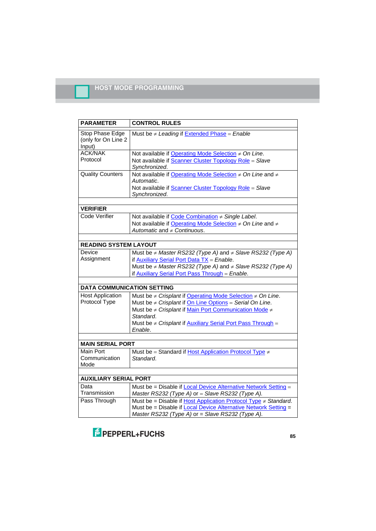| <b>PARAMETER</b>                                 | <b>CONTROL RULES</b>                                                                                                                                                                                                                                                                  |  |  |  |  |
|--------------------------------------------------|---------------------------------------------------------------------------------------------------------------------------------------------------------------------------------------------------------------------------------------------------------------------------------------|--|--|--|--|
| Stop Phase Edge<br>(only for On Line 2<br>Input) | Must be $\neq$ Leading if Extended Phase = Enable                                                                                                                                                                                                                                     |  |  |  |  |
| <b>ACK/NAK</b><br>Protocol                       | Not available if Operating Mode Selection ≠ On Line.<br>Not available if Scanner Cluster Topology Role = Slave<br>Synchronized.                                                                                                                                                       |  |  |  |  |
| <b>Quality Counters</b>                          | Not available if Operating Mode Selection $\neq$ On Line and $\neq$<br>Automatic.<br>Not available if Scanner Cluster Topology Role = Slave<br>Synchronized.                                                                                                                          |  |  |  |  |
| <b>VERIFIER</b>                                  |                                                                                                                                                                                                                                                                                       |  |  |  |  |
| Code Verifier                                    | Not available if Code Combination ≠ Single Label.<br>Not available if Operating Mode Selection ≠ On Line and ≠<br>Automatic and $\neq$ Continuous.                                                                                                                                    |  |  |  |  |
|                                                  |                                                                                                                                                                                                                                                                                       |  |  |  |  |
| READING SYSTEM LAYOUT<br>Device                  | Must be $\neq$ Master RS232 (Type A) and $\neq$ Slave RS232 (Type A)                                                                                                                                                                                                                  |  |  |  |  |
| Assignment                                       | if Auxiliary Serial Port Data TX = Enable.<br>Must be $\neq$ Master RS232 (Type A) and $\neq$ Slave RS232 (Type A)<br>if Auxiliary Serial Port Pass Through = Enable.                                                                                                                 |  |  |  |  |
|                                                  |                                                                                                                                                                                                                                                                                       |  |  |  |  |
| <b>DATA COMMUNICATION SETTING</b>                |                                                                                                                                                                                                                                                                                       |  |  |  |  |
| <b>Host Application</b><br>Protocol Type         | Must be $\neq$ Crisplant if Operating Mode Selection $\neq$ On Line.<br>Must be $\neq$ Crisplant if On Line Options = Serial On Line.<br>Must be ≠ Crisplant if Main Port Communication Mode ≠<br>Standard.<br>Must be ≠ Crisplant if Auxiliary Serial Port Pass Through =<br>Enable. |  |  |  |  |
| <b>MAIN SERIAL PORT</b>                          |                                                                                                                                                                                                                                                                                       |  |  |  |  |
| Main Port<br>Communication<br>Mode               | Must be = Standard if Host Application Protocol Type $\neq$<br>Standard.                                                                                                                                                                                                              |  |  |  |  |
| <b>AUXILIARY SERIAL PORT</b>                     |                                                                                                                                                                                                                                                                                       |  |  |  |  |
| Data<br>Transmission                             | Must be = Disable if Local Device Alternative Network Setting =<br>Master RS232 (Type A) or = Slave RS232 (Type A).                                                                                                                                                                   |  |  |  |  |
| Pass Through                                     | Must be = Disable if Host Application Protocol Type ≠ Standard.<br>Must be = Disable if Local Device Alternative Network Setting =<br>Master RS232 (Type A) or = Slave RS232 (Type A).                                                                                                |  |  |  |  |

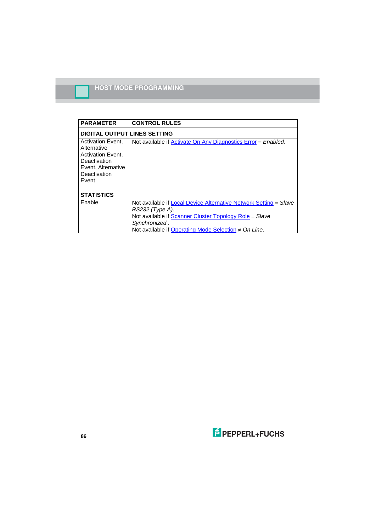| <b>PARAMETER</b>                                                                                                                   | <b>CONTROL RULES</b>                                                                                                                                                                                                             |  |  |  |
|------------------------------------------------------------------------------------------------------------------------------------|----------------------------------------------------------------------------------------------------------------------------------------------------------------------------------------------------------------------------------|--|--|--|
| <b>DIGITAL OUTPUT LINES SETTING</b>                                                                                                |                                                                                                                                                                                                                                  |  |  |  |
| <b>Activation Event,</b><br>Alternative<br><b>Activation Event.</b><br>Deactivation<br>Event, Alternative<br>Deactivation<br>Event | Not available if Activate On Any Diagnostics Error = Enabled.                                                                                                                                                                    |  |  |  |
|                                                                                                                                    |                                                                                                                                                                                                                                  |  |  |  |
| <b>STATISTICS</b>                                                                                                                  |                                                                                                                                                                                                                                  |  |  |  |
| Enable                                                                                                                             | Not available if Local Device Alternative Network Setting = Slave<br>$RS232$ (Type A).<br>Not available if Scanner Cluster Topology Role = $Slave$<br>Synchronized.<br>Not available if Operating Mode Selection $\neq$ On Line. |  |  |  |

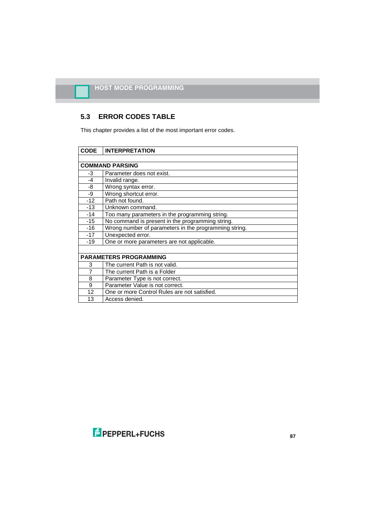### **5.3 ERROR CODES TABLE**

This chapter provides a list of the most important error codes.

| <b>CODE</b> | <b>INTERPRETATION</b>                                 |
|-------------|-------------------------------------------------------|
|             |                                                       |
|             | <b>COMMAND PARSING</b>                                |
| -3          | Parameter does not exist.                             |
| $-4$        | Invalid range.                                        |
| -8          | Wrong syntax error.                                   |
| -9          | Wrong shortcut error.                                 |
| $-12$       | Path not found.                                       |
| $-13$       | Unknown command.                                      |
| $-14$       | Too many parameters in the programming string.        |
| $-15$       | No command is present in the programming string.      |
| -16         | Wrong number of parameters in the programming string. |
| $-17$       | Unexpected error.                                     |
| $-19$       | One or more parameters are not applicable.            |
|             |                                                       |
|             | <b>PARAMETERS PROGRAMMING</b>                         |
| 3           | The current Path is not valid.                        |
| 7           | The current Path is a Folder                          |
| 8           | Parameter Type is not correct.                        |
| 9           | Parameter Value is not correct.                       |
| 12          | One or more Control Rules are not satisfied.          |
| 13          | Access denied.                                        |

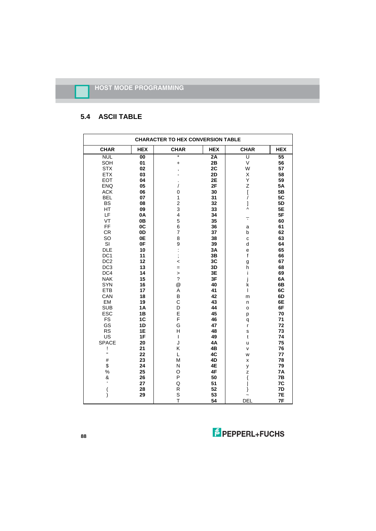### **5.4 ASCII TABLE**

| <b>CHARACTER TO HEX CONVERSION TABLE</b> |            |                          |            |                    |            |
|------------------------------------------|------------|--------------------------|------------|--------------------|------------|
| <b>CHAR</b>                              | <b>HEX</b> | <b>CHAR</b>              | <b>HEX</b> | <b>CHAR</b>        | <b>HEX</b> |
| <b>NUL</b>                               | 00         | $\star$                  | 2A         | U                  | 55         |
| SOH                                      | 01         | $\ddot{}$                | 2B         | $\vee$             | 56         |
| <b>STX</b>                               | 02         | ,                        | 2C         | W                  | 57         |
| <b>ETX</b>                               | 03         |                          | 2D         | Χ                  | 58         |
| <b>EOT</b>                               | 04         |                          | 2E         | Y                  | 59         |
| <b>ENQ</b>                               | 05         | $\prime$                 | 2F         | Z                  | 5A         |
| <b>ACK</b>                               | 06         | 0                        | 30         | ſ                  | 5B         |
| <b>BEL</b>                               | 07         | 1                        | 31         | $\prime$           | 5C         |
| BS                                       | 08         | $\overline{c}$           | 32         | 1                  | 5D         |
| HT                                       | 09         | 3                        | 33         | ν                  | 5E         |
| LF                                       | 0A         | $\overline{\mathbf{4}}$  | 34         | $\overline{\cdot}$ | 5F         |
| VT                                       | 0B         | 5                        | 35         |                    | 60         |
| FF                                       | 0C         | 6                        | 36         | a                  | 61         |
| <b>CR</b>                                | 0D         | $\overline{7}$           | 37         | b                  | 62         |
| SO                                       | 0E         | 8                        | 38         | C                  | 63         |
| SI                                       | 0F         | 9                        | 39         | d                  | 64         |
| <b>DLE</b>                               | 10         |                          | 3A         | е                  | 65         |
| DC <sub>1</sub>                          | 11         | $\vdots$                 | 3B         | f                  | 66         |
| DC <sub>2</sub><br>DC <sub>3</sub>       | 12<br>13   | $\prec$<br>$=$           | 3C<br>3D   | g                  | 67<br>68   |
| DC4                                      | 14         |                          | 3E         | h                  | 69         |
| <b>NAK</b>                               | 15         | $\geq$<br>$\overline{?}$ | 3F         | j.                 | 6A         |
| <b>SYN</b>                               | 16         | @                        | 40         | j<br>k             | 6B         |
| <b>ETB</b>                               | 17         | Α                        | 41         | $\overline{1}$     | 6C         |
| CAN                                      | 18         | B                        | 42         | m                  | 6D         |
| EM                                       | 19         | C                        | 43         | n                  | 6E         |
| <b>SUB</b>                               | 1A         | D                        | 44         | $\circ$            | 6F         |
| <b>ESC</b>                               | 1B         | E                        | 45         | p                  | 70         |
| FS                                       | 1C         | F                        | 46         | q                  | 71         |
| GS                                       | 1D         | G                        | 47         | r                  | 72         |
| <b>RS</b>                                | 1E         | H                        | 48         | s                  | 73         |
| US                                       | 1F         | $\mathsf{I}$             | 49         | t                  | 74         |
| <b>SPACE</b>                             | 20         | J                        | 4A         | u                  | 75         |
| ļ                                        | 21         | Κ                        | 4B         | v                  | 76         |
| H                                        | 22         | L                        | 4C         | W                  | 77         |
| $\#$                                     | 23         | M                        | 4D         | x                  | 78         |
| \$                                       | 24         | N                        | 4E         | У                  | 79         |
| $\%$                                     | 25         | O                        | 4F         | Z                  | <b>7A</b>  |
| &                                        | 26         | P                        | 50         | $\{$               | 7В         |
|                                          | 27         | Q                        | 51         |                    | 7C         |
|                                          | 28         | $\mathsf R$              | 52         | }                  | 7D         |
| $\lambda$                                | 29         | S                        | 53         |                    | <b>7E</b>  |
|                                          |            | T                        | 54         | <b>DEL</b>         | 7F         |

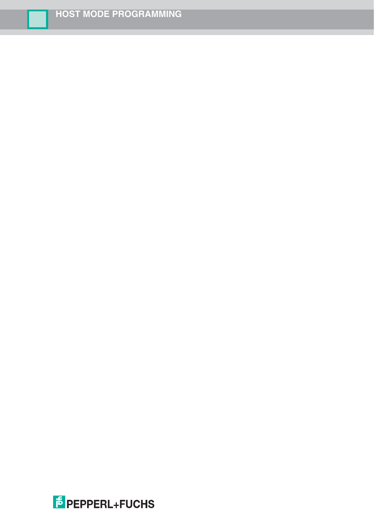